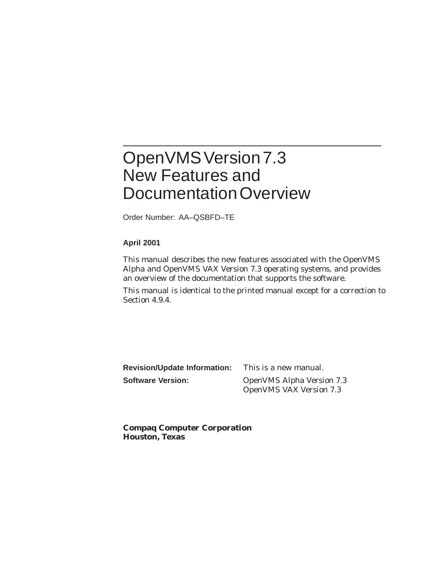# OpenVMS Version 7.3 New Features and Documentation Overview

Order Number: AA–QSBFD–TE

#### **April 2001**

This manual describes the new features associated with the OpenVMS Alpha and OpenVMS VAX Version 7.3 operating systems, and provides an overview of the documentation that supports the software.

This manual is identical to the printed manual except for a correction to Section 4.9.4.

| <b>Revision/Update Information:</b> | This is a new manual.            |
|-------------------------------------|----------------------------------|
| <b>Software Version:</b>            | <b>OpenVMS Alpha Version 7.3</b> |
|                                     | <b>OpenVMS VAX Version 7.3</b>   |

**Compaq Computer Corporation Houston, Texas**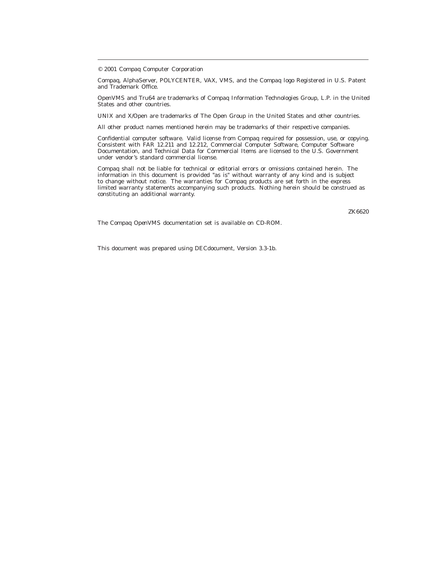© 2001 Compaq Computer Corporation

Compaq, AlphaServer, POLYCENTER, VAX, VMS, and the Compaq logo Registered in U.S. Patent and Trademark Office.

OpenVMS and Tru64 are trademarks of Compaq Information Technologies Group, L.P. in the United States and other countries.

UNIX and X/Open are trademarks of The Open Group in the United States and other countries.

All other product names mentioned herein may be trademarks of their respective companies.

Confidential computer software. Valid license from Compaq required for possession, use, or copying. Consistent with FAR 12.211 and 12.212, Commercial Computer Software, Computer Software Documentation, and Technical Data for Commercial Items are licensed to the U.S. Government under vendor's standard commercial license.

Compaq shall not be liable for technical or editorial errors or omissions contained herein. The information in this document is provided "as is" without warranty of any kind and is subject to change without notice. The warranties for Compaq products are set forth in the express limited warranty statements accompanying such products. Nothing herein should be construed as constituting an additional warranty.

ZK6620

The Compaq *OpenVMS* documentation set is available on CD-ROM.

This document was prepared using DECdocument, Version 3.3-1b.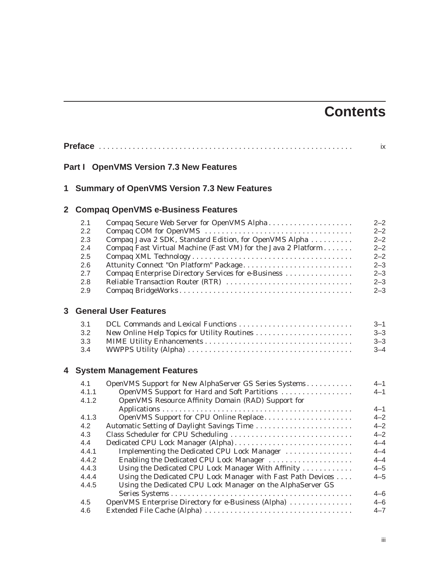# **Contents**

|              |                                                                                |                                                                                                                                                                                                                                                                                                                                                                                                                                                                                                      | ix                                                                                                         |
|--------------|--------------------------------------------------------------------------------|------------------------------------------------------------------------------------------------------------------------------------------------------------------------------------------------------------------------------------------------------------------------------------------------------------------------------------------------------------------------------------------------------------------------------------------------------------------------------------------------------|------------------------------------------------------------------------------------------------------------|
|              |                                                                                | <b>Part I OpenVMS Version 7.3 New Features</b>                                                                                                                                                                                                                                                                                                                                                                                                                                                       |                                                                                                            |
| 1.           |                                                                                | <b>Summary of OpenVMS Version 7.3 New Features</b>                                                                                                                                                                                                                                                                                                                                                                                                                                                   |                                                                                                            |
| $\mathbf{2}$ |                                                                                | <b>Compaq OpenVMS e-Business Features</b>                                                                                                                                                                                                                                                                                                                                                                                                                                                            |                                                                                                            |
|              | 2.1<br>2.2<br>2.3<br>2.4<br>2.5<br>2.6<br>2.7<br>2.8<br>2.9                    | Compaq Secure Web Server for OpenVMS Alpha<br>Compaq Java 2 SDK, Standard Edition, for OpenVMS Alpha<br>Compaq Fast Virtual Machine (Fast VM) for the Java 2 Platform<br>Attunity Connect "On Platform" Package<br>Compaq Enterprise Directory Services for e-Business<br>Reliable Transaction Router (RTR)                                                                                                                                                                                          | $2 - 2$<br>$2 - 2$<br>$2 - 2$<br>$2 - 2$<br>$2 - 2$<br>$2 - 3$<br>$2 - 3$<br>$2 - 3$<br>$2 - 3$            |
| 3            |                                                                                | <b>General User Features</b>                                                                                                                                                                                                                                                                                                                                                                                                                                                                         |                                                                                                            |
|              | 3.1<br>3.2<br>3.3<br>3.4                                                       |                                                                                                                                                                                                                                                                                                                                                                                                                                                                                                      | $3 - 1$<br>$3 - 3$<br>$3 - 3$<br>$3 - 4$                                                                   |
| 4            |                                                                                | <b>System Management Features</b>                                                                                                                                                                                                                                                                                                                                                                                                                                                                    |                                                                                                            |
|              | 4.1<br>4.1.1<br>4.1.2                                                          | OpenVMS Support for New AlphaServer GS Series Systems<br>OpenVMS Support for Hard and Soft Partitions<br>OpenVMS Resource Affinity Domain (RAD) Support for                                                                                                                                                                                                                                                                                                                                          | $4 - 1$<br>$4 - 1$<br>$4 - 1$                                                                              |
|              | 4.1.3<br>4.2<br>4.3<br>4.4<br>4.4.1<br>4.4.2<br>4.4.3<br>4.4.4<br>4.4.5<br>4.5 | OpenVMS Support for CPU Online Replace<br>Automatic Setting of Daylight Savings Time<br>Class Scheduler for CPU Scheduling<br>Dedicated CPU Lock Manager (Alpha)<br>Implementing the Dedicated CPU Lock Manager<br>Enabling the Dedicated CPU Lock Manager<br>Using the Dedicated CPU Lock Manager With Affinity<br>Using the Dedicated CPU Lock Manager with Fast Path Devices<br>Using the Dedicated CPU Lock Manager on the AlphaServer GS<br>OpenVMS Enterprise Directory for e-Business (Alpha) | $4 - 2$<br>$4 - 2$<br>$4 - 2$<br>$4 - 4$<br>$4 - 4$<br>$4 - 4$<br>$4 - 5$<br>$4 - 5$<br>$4 - 6$<br>$4 - 6$ |
|              | 4.6                                                                            |                                                                                                                                                                                                                                                                                                                                                                                                                                                                                                      | $4 - 7$                                                                                                    |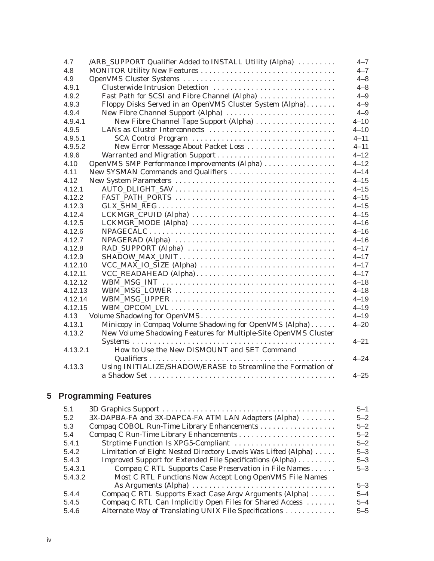| 4.7      | /ARB_SUPPORT Qualifier Added to INSTALL Utility (Alpha)         | $4 - 7$  |
|----------|-----------------------------------------------------------------|----------|
| 4.8      |                                                                 | $4 - 7$  |
| 4.9      |                                                                 | $4 - 8$  |
| 4.9.1    | Clusterwide Intrusion Detection                                 | $4 - 8$  |
| 4.9.2    | Fast Path for SCSI and Fibre Channel (Alpha)                    | $4 - 9$  |
| 4.9.3    | Floppy Disks Served in an OpenVMS Cluster System (Alpha)        | $4 - 9$  |
| 4.9.4    | New Fibre Channel Support (Alpha)                               | $4 - 9$  |
| 4.9.4.1  | New Fibre Channel Tape Support (Alpha)                          | $4 - 10$ |
| 4.9.5    |                                                                 | $4 - 10$ |
| 4.9.5.1  |                                                                 | $4 - 11$ |
| 4.9.5.2  | New Error Message About Packet Loss                             | $4 - 11$ |
| 4.9.6    | Warranted and Migration Support                                 | $4 - 12$ |
| 4.10     | OpenVMS SMP Performance Improvements (Alpha)                    | $4 - 12$ |
| 4.11     | New SYSMAN Commands and Qualifiers                              | $4 - 14$ |
| 4.12     |                                                                 | $4 - 15$ |
| 4.12.1   |                                                                 | $4 - 15$ |
| 4.12.2   |                                                                 | $4 - 15$ |
| 4.12.3   |                                                                 | $4 - 15$ |
| 4.12.4   |                                                                 | $4 - 15$ |
| 4.12.5   | LCKMGR_MODE (Alpha)                                             | $4 - 16$ |
| 4.12.6   |                                                                 | $4 - 16$ |
| 4.12.7   |                                                                 | $4 - 16$ |
| 4.12.8   |                                                                 | $4 - 17$ |
| 4.12.9   |                                                                 | $4 - 17$ |
| 4.12.10  | VCC_MAX_IO_SIZE (Alpha)                                         | $4 - 17$ |
| 4.12.11  | VCC_READAHEAD (Alpha)                                           | $4 - 17$ |
| 4.12.12  |                                                                 | $4 - 18$ |
| 4.12.13  |                                                                 | $4 - 18$ |
| 4.12.14  |                                                                 | $4 - 19$ |
| 4.12.15  |                                                                 | $4 - 19$ |
| 4.13     | Volume Shadowing for OpenVMS                                    | $4 - 19$ |
| 4.13.1   | Minicopy in Compaq Volume Shadowing for OpenVMS (Alpha)         | $4 - 20$ |
| 4.13.2   | New Volume Shadowing Features for Multiple-Site OpenVMS Cluster |          |
|          |                                                                 | $4 - 21$ |
| 4.13.2.1 | How to Use the New DISMOUNT and SET Command                     |          |
|          |                                                                 | $4 - 24$ |
| 4.13.3   | Using INITIALIZE/SHADOW/ERASE to Streamline the Formation of    |          |
|          |                                                                 | $4 - 25$ |
|          |                                                                 |          |

## **5 Programming Features**

| 5.1                                                                     | $5 - 1$ |
|-------------------------------------------------------------------------|---------|
| 3X-DAPBA-FA and 3X-DAPCA-FA ATM LAN Adapters (Alpha)<br>5.2             | $5 - 2$ |
| 5.3                                                                     | $5 - 2$ |
| 5.4                                                                     | $5 - 2$ |
| 5.4.1<br>Strptime Function Is XPG5-Compliant                            | $5 - 2$ |
| Limitation of Eight Nested Directory Levels Was Lifted (Alpha)<br>5.4.2 | $5 - 3$ |
| Improved Support for Extended File Specifications (Alpha)<br>5.4.3      | $5 - 3$ |
| 5.4.3.1<br>Compaq C RTL Supports Case Preservation in File Names        | $5 - 3$ |
| Most C RTL Functions Now Accept Long OpenVMS File Names<br>5.4.3.2      |         |
|                                                                         | $5 - 3$ |
| Compaq C RTL Supports Exact Case Argy Arguments (Alpha)<br>5.4.4        | $5 - 4$ |
| Compaq C RTL Can Implicitly Open Files for Shared Access<br>5.4.5       | $5 - 4$ |
| Alternate Way of Translating UNIX File Specifications<br>5.4.6          | $5 - 5$ |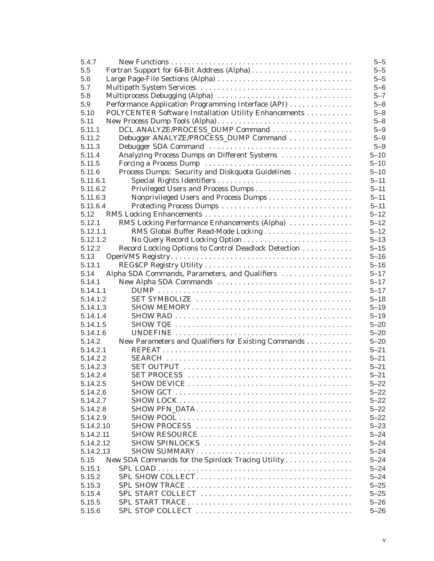| 5.4.7     |                                                       | $5 - 5$  |
|-----------|-------------------------------------------------------|----------|
| 5.5       | Fortran Support for 64-Bit Address (Alpha)            | $5 - 5$  |
| 5.6       |                                                       | $5 - 5$  |
| 5.7       |                                                       | $5 - 6$  |
| 5.8       | Multiprocess Debugging (Alpha)                        | $5 - 7$  |
| 5.9       | Performance Application Programming Interface (API)   | $5 - 8$  |
| 5.10      | POLYCENTER Software Installation Utility Enhancements | $5 - 8$  |
| 5.11      | New Process Dump Tools (Alpha)                        | $5 - 8$  |
| 5.11.1    | DCL ANALYZE/PROCESS_DUMP Command                      | $5 - 9$  |
| 5.11.2    | Debugger ANALYZE/PROCESS_DUMP Command                 | $5 - 9$  |
| 5.11.3    |                                                       | $5 - 9$  |
| 5.11.4    | Analyzing Process Dumps on Different Systems          | $5 - 10$ |
| 5.11.5    |                                                       | $5 - 10$ |
| 5.11.6    | Process Dumps: Security and Diskquota Guidelines      | $5 - 10$ |
|           |                                                       | $5 - 11$ |
| 5.11.6.1  |                                                       | $5 - 11$ |
| 5.11.6.2  | Privileged Users and Process Dumps                    |          |
| 5.11.6.3  | Nonprivileged Users and Process Dumps                 | $5 - 11$ |
| 5.11.6.4  |                                                       | $5 - 11$ |
| 5.12      |                                                       | $5 - 12$ |
| 5.12.1    | RMS Locking Performance Enhancements (Alpha)          | $5 - 12$ |
| 5.12.1.1  | RMS Global Buffer Read-Mode Locking                   | $5 - 12$ |
| 5.12.1.2  |                                                       | $5 - 13$ |
| 5.12.2    | Record Locking Options to Control Deadlock Detection  | $5 - 15$ |
| 5.13      |                                                       | $5 - 16$ |
| 5.13.1    |                                                       | $5 - 16$ |
| 5.14      | Alpha SDA Commands, Parameters, and Qualifiers        | $5 - 17$ |
| 5.14.1    |                                                       | $5 - 17$ |
| 5.14.1.1  |                                                       | $5 - 17$ |
| 5.14.1.2  |                                                       | $5 - 18$ |
| 5.14.1.3  |                                                       | $5 - 19$ |
| 5.14.1.4  |                                                       | $5 - 19$ |
| 5.14.1.5  |                                                       | $5 - 20$ |
| 5.14.1.6  |                                                       | $5 - 20$ |
| 5.14.2    | New Parameters and Qualifiers for Existing Commands   | $5 - 20$ |
| 5.14.2.1  |                                                       | $5 - 21$ |
| 5.14.2.2  |                                                       | $5 - 21$ |
| 5.14.2.3  |                                                       | $5 - 21$ |
| 5.14.2.4  |                                                       | $5 - 21$ |
| 5.14.2.5  |                                                       | $5 - 22$ |
| 5.14.2.6  |                                                       | $5 - 22$ |
| 5.14.2.7  |                                                       | $5 - 22$ |
| 5.14.2.8  |                                                       | $5 - 22$ |
| 5.14.2.9  |                                                       | $5 - 22$ |
| 5.14.2.10 |                                                       | $5 - 23$ |
| 5.14.2.11 |                                                       | $5 - 24$ |
|           |                                                       | $5 - 24$ |
| 5.14.2.12 |                                                       |          |
| 5.14.2.13 |                                                       | $5 - 24$ |
| 5.15      | New SDA Commands for the Spinlock Tracing Utility     | $5 - 24$ |
| 5.15.1    |                                                       | $5 - 24$ |
| 5.15.2    |                                                       | $5 - 24$ |
| 5.15.3    |                                                       | $5 - 25$ |
| 5.15.4    |                                                       | $5 - 25$ |
| 5.15.5    |                                                       | $5 - 26$ |
| 5.15.6    |                                                       | $5 - 26$ |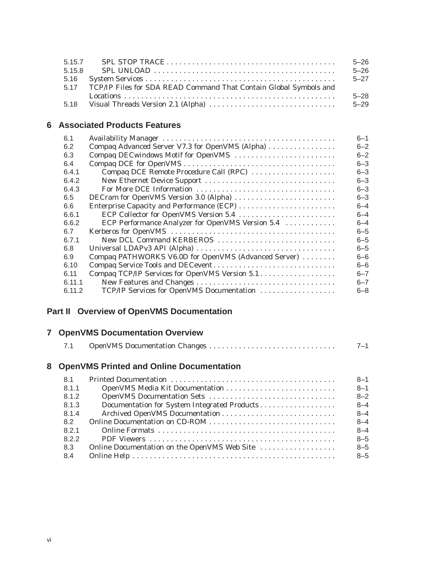| 5.15.7 |                                                                        | $5 - 26$ |
|--------|------------------------------------------------------------------------|----------|
| 5.15.8 |                                                                        | $5 - 26$ |
|        |                                                                        | $5 - 27$ |
|        | 5.17 TCP/IP Files for SDA READ Command That Contain Global Symbols and |          |
|        |                                                                        | $5 - 28$ |
|        | 5.18 Visual Threads Version 2.1 (Alpha)                                | $5 - 29$ |

#### **6 Associated Products Features**

|                                                      | $6 - 1$                                                                                                                                                                                                                                            |
|------------------------------------------------------|----------------------------------------------------------------------------------------------------------------------------------------------------------------------------------------------------------------------------------------------------|
|                                                      | $6 - 2$                                                                                                                                                                                                                                            |
|                                                      | $6 - 2$                                                                                                                                                                                                                                            |
|                                                      | $6 - 3$                                                                                                                                                                                                                                            |
|                                                      | $6 - 3$                                                                                                                                                                                                                                            |
|                                                      | $6 - 3$                                                                                                                                                                                                                                            |
|                                                      | $6 - 3$                                                                                                                                                                                                                                            |
|                                                      | $6 - 3$                                                                                                                                                                                                                                            |
| Enterprise Capacity and Performance (ECP)            | $6 - 4$                                                                                                                                                                                                                                            |
|                                                      | $6 - 4$                                                                                                                                                                                                                                            |
| ECP Performance Analyzer for OpenVMS Version 5.4     | $6 - 4$                                                                                                                                                                                                                                            |
|                                                      | $6 - 5$                                                                                                                                                                                                                                            |
| New DCL Command KERBEROS                             | $6 - 5$                                                                                                                                                                                                                                            |
|                                                      | $6 - 5$                                                                                                                                                                                                                                            |
| Compaq PATHWORKS V6.0D for OpenVMS (Advanced Server) | $6 - 6$                                                                                                                                                                                                                                            |
|                                                      | $6 - 6$                                                                                                                                                                                                                                            |
|                                                      | $6 - 7$                                                                                                                                                                                                                                            |
|                                                      | $6 - 7$                                                                                                                                                                                                                                            |
| TCP/IP Services for OpenVMS Documentation            | $6 - 8$                                                                                                                                                                                                                                            |
|                                                      | Compaq Advanced Server V7.3 for OpenVMS (Alpha)<br>Compaq DECwindows Motif for OpenVMS<br>Compaq DCE Remote Procedure Call (RPC)<br>New Ethernet Device Support<br>DECram for OpenVMS Version 3.0 (Alpha)<br>ECP Collector for OpenVMS Version 5.4 |

## **Part II Overview of OpenVMS Documentation**

## **7 OpenVMS Documentation Overview**

| 7.1 | OpenVMS Documentation Changes |  |
|-----|-------------------------------|--|
|     |                               |  |

### **8 OpenVMS Printed and Online Documentation**

| 8.1   |                                              | $8 - 1$ |
|-------|----------------------------------------------|---------|
| 8.1.1 |                                              | $8 - 1$ |
| 8.1.2 |                                              | $8 - 2$ |
| 8.1.3 | Documentation for System Integrated Products | $8 - 4$ |
| 8.1.4 |                                              | $8 - 4$ |
| 8.2   |                                              | $8 - 4$ |
| 8.2.1 |                                              | $8 - 4$ |
| 8.2.2 |                                              | $8 - 5$ |
| 8.3   | Online Documentation on the OpenVMS Web Site | $8 - 5$ |
| 8.4   |                                              | $8 - 5$ |
|       |                                              |         |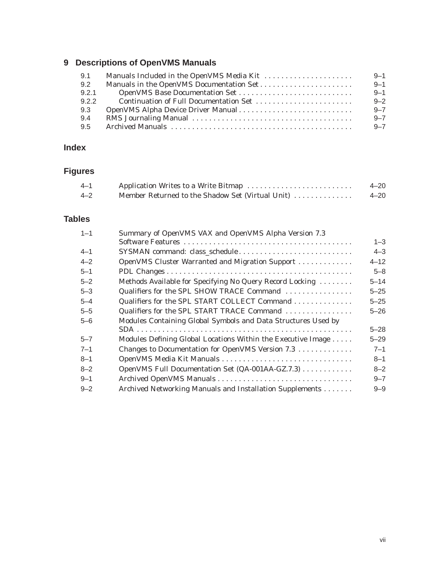## **9 Descriptions of OpenVMS Manuals**

| 9.1   | $9 - 1$ |
|-------|---------|
| 9.2   | $9 - 1$ |
| 9.2.1 | $9 - 1$ |
| 9.2.2 | $9 - 2$ |
| 9.3   | $9 - 7$ |
| 9.4   | $9 - 7$ |
| 9.5   | $9 - 7$ |

## **Index**

## **Figures**

| 4–1 |                                                  | $4 - 20$ |
|-----|--------------------------------------------------|----------|
| 4–2 | Member Returned to the Shadow Set (Virtual Unit) | $4 - 20$ |

#### **Tables**

| $1 - 1$ | Summary of OpenVMS VAX and OpenVMS Alpha Version 7.3          |          |
|---------|---------------------------------------------------------------|----------|
|         |                                                               | $1 - 3$  |
| $4 - 1$ | SYSMAN command: class_schedule                                | $4 - 3$  |
| $4 - 2$ | OpenVMS Cluster Warranted and Migration Support               | $4 - 12$ |
| $5 - 1$ |                                                               | $5 - 8$  |
| $5 - 2$ | Methods Available for Specifying No Query Record Locking      | $5 - 14$ |
| $5 - 3$ | Qualifiers for the SPL SHOW TRACE Command                     | $5 - 25$ |
| $5 - 4$ | Qualifiers for the SPL START COLLECT Command                  | $5 - 25$ |
| $5 - 5$ | Qualifiers for the SPL START TRACE Command                    | $5 - 26$ |
| $5 - 6$ | Modules Containing Global Symbols and Data Structures Used by |          |
|         |                                                               | $5 - 28$ |
| $5 - 7$ | Modules Defining Global Locations Within the Executive Image  | $5 - 29$ |
| $7 - 1$ | Changes to Documentation for OpenVMS Version 7.3              | $7 - 1$  |
| $8 - 1$ | OpenVMS Media Kit Manuals                                     | $8 - 1$  |
| $8 - 2$ | OpenVMS Full Documentation Set (QA-001AA-GZ.7.3)              | $8 - 2$  |
| $9 - 1$ | Archived OpenVMS Manuals                                      | $9 - 7$  |
| $9 - 2$ | Archived Networking Manuals and Installation Supplements      | $9 - 9$  |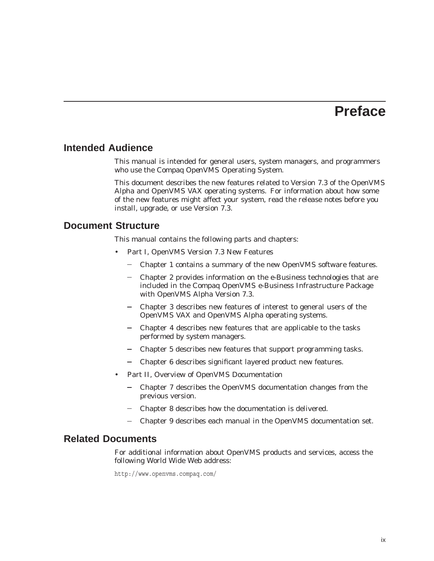## **Preface**

#### **Intended Audience**

This manual is intended for general users, system managers, and programmers who use the Compaq *OpenVMS* Operating System.

This document describes the new features related to Version 7.3 of the OpenVMS Alpha and OpenVMS VAX operating systems. For information about how some of the new features might affect your system, read the release notes before you install, upgrade, or use Version 7.3.

#### **Document Structure**

This manual contains the following parts and chapters:

- Part I, OpenVMS Version 7.3 New Features
	- Chapter 1 contains a summary of the new OpenVMS software features.
	- Chapter 2 provides information on the e-Business technologies that are included in the Compaq OpenVMS e-Business Infrastructure Package with OpenVMS Alpha Version 7.3.
	- Chapter 3 describes new features of interest to general users of the OpenVMS VAX and OpenVMS Alpha operating systems.
	- Chapter 4 describes new features that are applicable to the tasks  $\equiv$ performed by system managers.
	- $\sim$ Chapter 5 describes new features that support programming tasks.
	- Chapter 6 describes significant layered product new features.
- Part II, Overview of OpenVMS Documentation
	- Chapter 7 describes the OpenVMS documentation changes from the  $\frac{1}{2}$ previous version.
	- Chapter 8 describes how the documentation is delivered.
	- Chapter 9 describes each manual in the OpenVMS documentation set.

#### **Related Documents**

For additional information about OpenVMS products and services, access the following World Wide Web address:

http://www.openvms.compaq.com/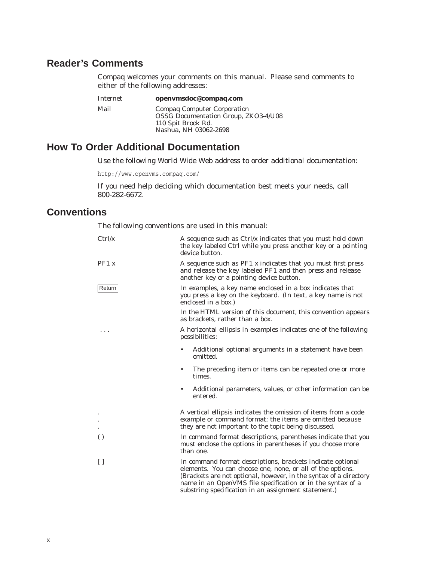## **Reader's Comments**

Compaq welcomes your comments on this manual. Please send comments to either of the following addresses:

| Internet | openvmsdoc@compaq.com                                                                                                            |
|----------|----------------------------------------------------------------------------------------------------------------------------------|
| Mail     | <b>Compaq Computer Corporation</b><br><b>OSSG Documentation Group, ZKO3-4/U08</b><br>110 Spit Brook Rd.<br>Nashua, NH 03062-2698 |

## **How To Order Additional Documentation**

Use the following World Wide Web address to order additional documentation:

http://www.openvms.compaq.com/

If you need help deciding which documentation best meets your needs, call 800-282-6672.

## **Conventions**

The following conventions are used in this manual:

| Ctrl/x           | A sequence such as $\frac{C \text{tr}}{X}$ indicates that you must hold down<br>the key labeled Ctrl while you press another key or a pointing<br>device button.                                                                                                                                                     |
|------------------|----------------------------------------------------------------------------------------------------------------------------------------------------------------------------------------------------------------------------------------------------------------------------------------------------------------------|
| PF1x             | A sequence such as PF1 x indicates that you must first press<br>and release the key labeled PF1 and then press and release<br>another key or a pointing device button.                                                                                                                                               |
| Return           | In examples, a key name enclosed in a box indicates that<br>you press a key on the keyboard. (In text, a key name is not<br>enclosed in a box.)                                                                                                                                                                      |
|                  | In the HTML version of this document, this convention appears<br>as brackets, rather than a box.                                                                                                                                                                                                                     |
|                  | A horizontal ellipsis in examples indicates one of the following<br>possibilities:                                                                                                                                                                                                                                   |
|                  | Additional optional arguments in a statement have been<br>omitted.                                                                                                                                                                                                                                                   |
|                  | The preceding item or items can be repeated one or more<br>times.                                                                                                                                                                                                                                                    |
|                  | Additional parameters, values, or other information can be<br>entered.                                                                                                                                                                                                                                               |
|                  | A vertical ellipsis indicates the omission of items from a code<br>example or command format; the items are omitted because<br>they are not important to the topic being discussed.                                                                                                                                  |
| $\left( \right)$ | In command format descriptions, parentheses indicate that you<br>must enclose the options in parentheses if you choose more<br>than one.                                                                                                                                                                             |
| $\Box$           | In command format descriptions, brackets indicate optional<br>elements. You can choose one, none, or all of the options.<br>(Brackets are not optional, however, in the syntax of a directory<br>name in an OpenVMS file specification or in the syntax of a<br>substring specification in an assignment statement.) |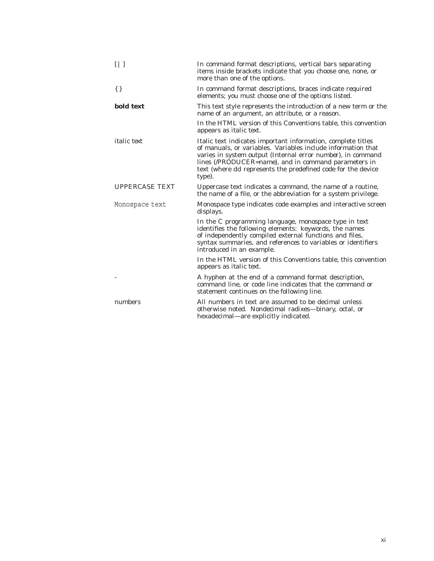| $[ \ ]$               | In command format descriptions, vertical bars separating<br>items inside brackets indicate that you choose one, none, or<br>more than one of the options.                                                                                                                                                                                    |
|-----------------------|----------------------------------------------------------------------------------------------------------------------------------------------------------------------------------------------------------------------------------------------------------------------------------------------------------------------------------------------|
| $\{\}$                | In command format descriptions, braces indicate required<br>elements; you must choose one of the options listed.                                                                                                                                                                                                                             |
| <b>bold</b> text      | This text style represents the introduction of a new term or the<br>name of an argument, an attribute, or a reason.                                                                                                                                                                                                                          |
|                       | In the HTML version of this Conventions table, this convention<br>appears as <i>italic text</i> .                                                                                                                                                                                                                                            |
| <i>italic</i> text    | Italic text indicates important information, complete titles<br>of manuals, or variables. Variables include information that<br>varies in system output (Internal error <i>number</i> ), in command<br>lines (/PRODUCER=name), and in command parameters in<br>text (where <i>dd</i> represents the predefined code for the device<br>type). |
| <b>UPPERCASE TEXT</b> | Uppercase text indicates a command, the name of a routine,<br>the name of a file, or the abbreviation for a system privilege.                                                                                                                                                                                                                |
| Monospace text        | Monospace type indicates code examples and interactive screen<br>displays.                                                                                                                                                                                                                                                                   |
|                       | In the C programming language, monospace type in text<br>identifies the following elements: keywords, the names<br>of independently compiled external functions and files,<br>syntax summaries, and references to variables or identifiers<br>introduced in an example.                                                                      |
|                       | In the HTML version of this Conventions table, this convention<br>appears as <i>italic text</i> .                                                                                                                                                                                                                                            |
|                       | A hyphen at the end of a command format description,<br>command line, or code line indicates that the command or<br>statement continues on the following line.                                                                                                                                                                               |
| numbers               | All numbers in text are assumed to be decimal unless<br>otherwise noted. Nondecimal radixes—binary, octal, or<br>hexadecimal—are explicitly indicated.                                                                                                                                                                                       |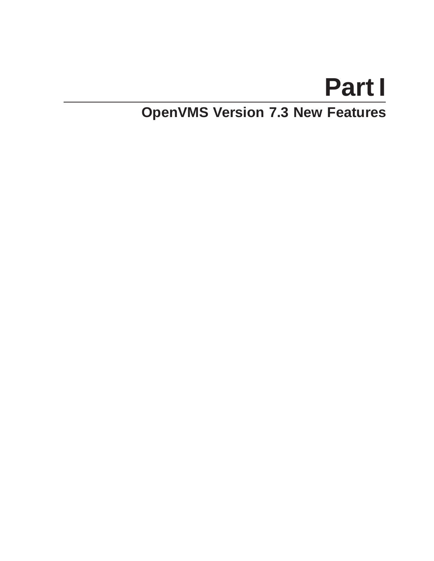# **Part I**

**OpenVMS Version 7.3 New Features**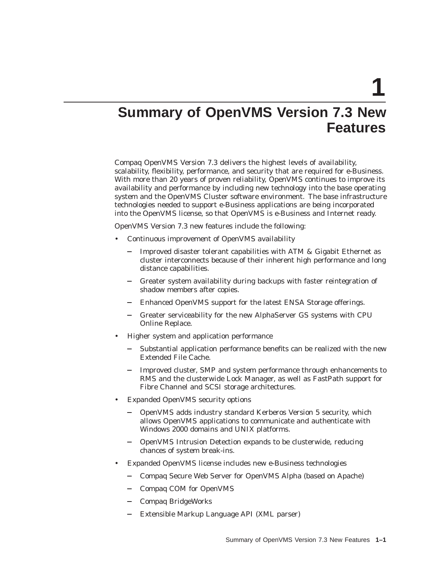**1**

# **Summary of OpenVMS Version 7.3 New Features**

Compaq OpenVMS Version 7.3 delivers the highest levels of availability, scalability, flexibility, performance, and security that are required for e-Business. With more than 20 years of proven reliability, OpenVMS continues to improve its availability and performance by including new technology into the base operating system and the OpenVMS Cluster software environment. The base infrastructure technologies needed to support e-Business applications are being incorporated into the OpenVMS license, so that OpenVMS is e-Business and Internet ready.

OpenVMS Version 7.3 new features include the following:

- Continuous improvement of OpenVMS availability
	- Improved disaster tolerant capabilities with ATM & Gigabit Ethernet as cluster interconnects because of their inherent high performance and long distance capabilities.
	- Greater system availability during backups with faster reintegration of shadow members after copies.
	- Enhanced OpenVMS support for the latest ENSA Storage offerings.
	- Greater serviceability for the new AlphaServer GS systems with CPU Online Replace.
- Higher system and application performance
	- Substantial application performance benefits can be realized with the new Extended File Cache.
	- Improved cluster, SMP and system performance through enhancements to RMS and the clusterwide Lock Manager, as well as FastPath support for Fibre Channel and SCSI storage architectures.
- Expanded OpenVMS security options
	- OpenVMS adds industry standard Kerberos Version 5 security, which allows OpenVMS applications to communicate and authenticate with Windows 2000 domains and UNIX platforms.
	- OpenVMS Intrusion Detection expands to be clusterwide, reducing chances of system break-ins.
- Expanded OpenVMS license includes new e-Business technologies
	- Compaq Secure Web Server for OpenVMS Alpha (based on Apache)
	- Compaq COM for OpenVMS
	- Compaq BridgeWorks
	- Extensible Markup Language API (XML parser)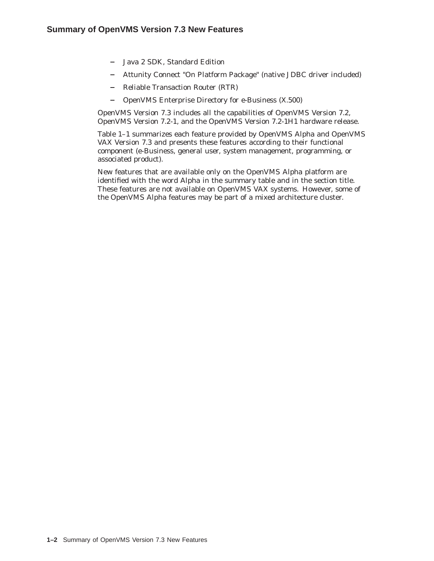- Java 2 SDK, Standard Edition
- Attunity Connect "On Platform Package" (native JDBC driver included)
- Reliable Transaction Router (RTR)
- OpenVMS Enterprise Directory for e-Business (X.500)

OpenVMS Version 7.3 includes all the capabilities of OpenVMS Version 7.2, OpenVMS Version 7.2-1, and the OpenVMS Version 7.2-1H1 hardware release.

Table 1–1 summarizes each feature provided by OpenVMS Alpha and OpenVMS VAX Version 7.3 and presents these features according to their functional component (e-Business, general user, system management, programming, or associated product).

New features that are available only on the OpenVMS Alpha platform are identified with the word Alpha in the summary table and in the section title. These features are not available on OpenVMS VAX systems. However, some of the OpenVMS Alpha features may be part of a mixed architecture cluster.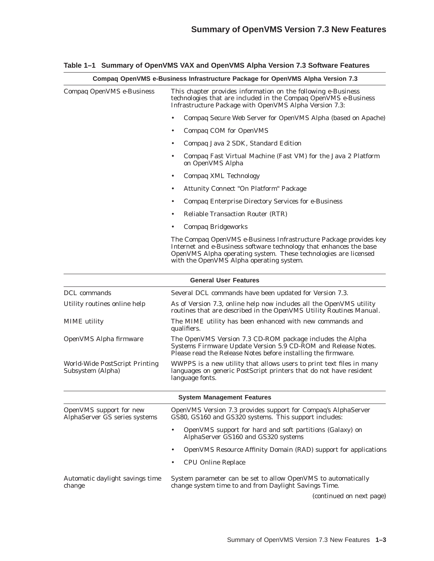| Compaq OpenVMS e-Business Infrastructure Package for OpenVMS Alpha Version 7.3 |                                                                                                                                                                                                                                                        |  |  |
|--------------------------------------------------------------------------------|--------------------------------------------------------------------------------------------------------------------------------------------------------------------------------------------------------------------------------------------------------|--|--|
| Compaq OpenVMS e-Business                                                      | This chapter provides information on the following e-Business<br>technologies that are included in the Compaq OpenVMS e-Business<br>Infrastructure Package with OpenVMS Alpha Version 7.3:                                                             |  |  |
|                                                                                | Compaq Secure Web Server for OpenVMS Alpha (based on Apache)                                                                                                                                                                                           |  |  |
|                                                                                | Compaq COM for OpenVMS<br>٠                                                                                                                                                                                                                            |  |  |
|                                                                                | Compaq Java 2 SDK, Standard Edition                                                                                                                                                                                                                    |  |  |
|                                                                                | Compaq Fast Virtual Machine (Fast VM) for the Java 2 Platform<br>on OpenVMS Alpha                                                                                                                                                                      |  |  |
|                                                                                | Compaq XML Technology<br>$\bullet$                                                                                                                                                                                                                     |  |  |
|                                                                                | <b>Attunity Connect "On Platform" Package</b><br>٠                                                                                                                                                                                                     |  |  |
|                                                                                | Compaq Enterprise Directory Services for e-Business<br>٠                                                                                                                                                                                               |  |  |
|                                                                                | Reliable Transaction Router (RTR)<br>٠                                                                                                                                                                                                                 |  |  |
|                                                                                | <b>Compaq Bridgeworks</b>                                                                                                                                                                                                                              |  |  |
|                                                                                | The Compaq OpenVMS e-Business Infrastructure Package provides key<br>Internet and e-Business software technology that enhances the base<br>OpenVMS Alpha operating system. These technologies are licensed<br>with the OpenVMS Alpha operating system. |  |  |
|                                                                                | <b>General User Features</b>                                                                                                                                                                                                                           |  |  |
| DCL commands                                                                   | Several DCL commands have been updated for Version 7.3.                                                                                                                                                                                                |  |  |
| Utility routines online help                                                   | As of Version 7.3, online help now includes all the OpenVMS utility<br>routines that are described in the OpenVMS Utility Routines Manual.                                                                                                             |  |  |
| <b>MIME</b> utility                                                            | The MIME utility has been enhanced with new commands and<br>qualifiers.                                                                                                                                                                                |  |  |
| OpenVMS Alpha firmware                                                         | The OpenVMS Version 7.3 CD-ROM package includes the Alpha<br>Systems Firmware Update Version 5.9 CD-ROM and Release Notes.<br>Please read the Release Notes before installing the firmware.                                                            |  |  |
| World-Wide PostScript Printing<br>Subsystem (Alpha)                            | WWPPS is a new utility that allows users to print text files in many<br>languages on generic PostScript printers that do not have resident<br>language fonts.                                                                                          |  |  |
|                                                                                | <b>System Management Features</b>                                                                                                                                                                                                                      |  |  |
| OpenVMS support for new<br>AlphaServer GS series systems                       | OpenVMS Version 7.3 provides support for Compaq's AlphaServer<br>GS80, GS160 and GS320 systems. This support includes:                                                                                                                                 |  |  |
|                                                                                | OpenVMS support for hard and soft partitions (Galaxy) on<br>٠<br>AlphaServer GS160 and GS320 systems                                                                                                                                                   |  |  |
|                                                                                | OpenVMS Resource Affinity Domain (RAD) support for applications<br>٠                                                                                                                                                                                   |  |  |
|                                                                                | <b>CPU Online Replace</b>                                                                                                                                                                                                                              |  |  |
| Automatic daylight savings time<br>change                                      | System parameter can be set to allow OpenVMS to automatically<br>change system time to and from Daylight Savings Time.                                                                                                                                 |  |  |
|                                                                                | (continued on next page)                                                                                                                                                                                                                               |  |  |

|  | Table 1–1 Summary of OpenVMS VAX and OpenVMS Alpha Version 7.3 Software Features |  |  |  |
|--|----------------------------------------------------------------------------------|--|--|--|
|--|----------------------------------------------------------------------------------|--|--|--|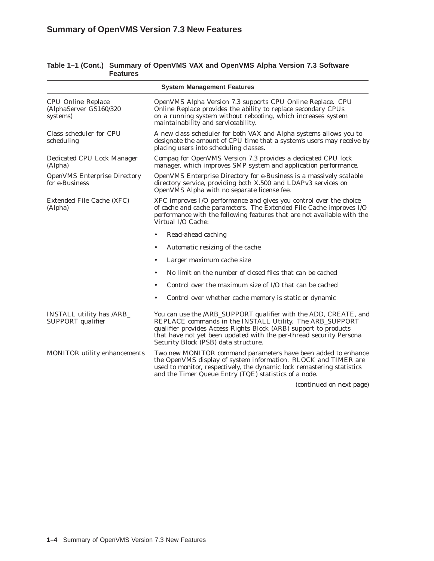| <b>System Management Features</b>                               |                                                                                                                                                                                                                                                                                                                 |  |
|-----------------------------------------------------------------|-----------------------------------------------------------------------------------------------------------------------------------------------------------------------------------------------------------------------------------------------------------------------------------------------------------------|--|
| <b>CPU Online Replace</b><br>(AlphaServer GS160/320<br>systems) | OpenVMS Alpha Version 7.3 supports CPU Online Replace. CPU<br>Online Replace provides the ability to replace secondary CPUs<br>on a running system without rebooting, which increases system<br>maintainability and serviceability.                                                                             |  |
| Class scheduler for CPU<br>scheduling                           | A new class scheduler for both VAX and Alpha systems allows you to<br>designate the amount of CPU time that a system's users may receive by<br>placing users into scheduling classes.                                                                                                                           |  |
| Dedicated CPU Lock Manager<br>(Alpha)                           | Compaq for OpenVMS Version 7.3 provides a dedicated CPU lock<br>manager, which improves SMP system and application performance.                                                                                                                                                                                 |  |
| <b>OpenVMS Enterprise Directory</b><br>for e-Business           | OpenVMS Enterprise Directory for e-Business is a massively scalable<br>directory service, providing both X.500 and LDAPv3 services on<br>OpenVMS Alpha with no separate license fee.                                                                                                                            |  |
| Extended File Cache (XFC)<br>(Alpha)                            | XFC improves I/O performance and gives you control over the choice<br>of cache and cache parameters. The Extended File Cache improves I/O<br>performance with the following features that are not available with the<br>Virtual I/O Cache:                                                                      |  |
|                                                                 | Read-ahead caching<br>$\bullet$                                                                                                                                                                                                                                                                                 |  |
|                                                                 | Automatic resizing of the cache                                                                                                                                                                                                                                                                                 |  |
|                                                                 | Larger maximum cache size<br>٠                                                                                                                                                                                                                                                                                  |  |
|                                                                 | No limit on the number of closed files that can be cached<br>٠                                                                                                                                                                                                                                                  |  |
|                                                                 | Control over the maximum size of I/O that can be cached                                                                                                                                                                                                                                                         |  |
|                                                                 | Control over whether cache memory is static or dynamic<br>٠                                                                                                                                                                                                                                                     |  |
| INSTALL utility has /ARB_<br>SUPPORT qualifier                  | You can use the /ARB_SUPPORT qualifier with the ADD, CREATE, and<br>REPLACE commands in the INSTALL Utility. The ARB_SUPPORT<br>qualifier provides Access Rights Block (ARB) support to products<br>that have not yet been updated with the per-thread security Persona<br>Security Block (PSB) data structure. |  |
| <b>MONITOR</b> utility enhancements                             | Two new MONITOR command parameters have been added to enhance<br>the OpenVMS display of system information. RLOCK and TIMER are<br>used to monitor, respectively, the dynamic lock remastering statistics<br>and the Timer Queue Entry (TQE) statistics of a node.                                              |  |

(continued on next page)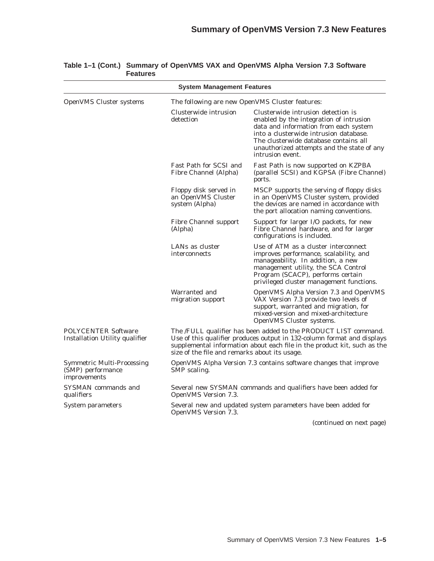| <b>System Management Features</b>                                                 |                                                                                                                                                                                                                                                                         |                                                                                                                                                                                                                                                                             |
|-----------------------------------------------------------------------------------|-------------------------------------------------------------------------------------------------------------------------------------------------------------------------------------------------------------------------------------------------------------------------|-----------------------------------------------------------------------------------------------------------------------------------------------------------------------------------------------------------------------------------------------------------------------------|
| <b>OpenVMS Cluster systems</b><br>The following are new OpenVMS Cluster features: |                                                                                                                                                                                                                                                                         |                                                                                                                                                                                                                                                                             |
|                                                                                   | Clusterwide intrusion<br>detection                                                                                                                                                                                                                                      | Clusterwide intrusion detection is<br>enabled by the integration of intrusion<br>data and information from each system<br>into a clusterwide intrusion database.<br>The clusterwide database contains all<br>unauthorized attempts and the state of any<br>intrusion event. |
|                                                                                   | Fast Path for SCSI and<br>Fibre Channel (Alpha)                                                                                                                                                                                                                         | Fast Path is now supported on KZPBA<br>(parallel SCSI) and KGPSA (Fibre Channel)<br>ports.                                                                                                                                                                                  |
|                                                                                   | Floppy disk served in<br>an OpenVMS Cluster<br>system (Alpha)                                                                                                                                                                                                           | MSCP supports the serving of floppy disks<br>in an OpenVMS Cluster system, provided<br>the devices are named in accordance with<br>the port allocation naming conventions.                                                                                                  |
|                                                                                   | <b>Fibre Channel support</b><br>(Alpha)                                                                                                                                                                                                                                 | Support for larger I/O packets, for new<br>Fibre Channel hardware, and for larger<br>configurations is included.                                                                                                                                                            |
|                                                                                   | LANs as cluster<br>interconnects                                                                                                                                                                                                                                        | Use of ATM as a cluster interconnect<br>improves performance, scalability, and<br>manageability. In addition, a new<br>management utility, the SCA Control<br>Program (SCACP), performs certain<br>privileged cluster management functions.                                 |
|                                                                                   | Warranted and<br>migration support                                                                                                                                                                                                                                      | OpenVMS Alpha Version 7.3 and OpenVMS<br>VAX Version 7.3 provide two levels of<br>support, warranted and migration, for<br>mixed-version and mixed-architecture<br>OpenVMS Cluster systems.                                                                                 |
| <b>POLYCENTER Software</b><br><b>Installation Utility qualifier</b>               | The /FULL qualifier has been added to the PRODUCT LIST command.<br>Use of this qualifier produces output in 132-column format and displays<br>supplemental information about each file in the product kit, such as the<br>size of the file and remarks about its usage. |                                                                                                                                                                                                                                                                             |
| <b>Symmetric Multi-Processing</b><br>(SMP) performance<br>improvements            | SMP scaling.                                                                                                                                                                                                                                                            | OpenVMS Alpha Version 7.3 contains software changes that improve                                                                                                                                                                                                            |
| <b>SYSMAN</b> commands and<br>qualifiers                                          | OpenVMS Version 7.3.                                                                                                                                                                                                                                                    | Several new SYSMAN commands and qualifiers have been added for                                                                                                                                                                                                              |
| System parameters                                                                 | OpenVMS Version 7.3.                                                                                                                                                                                                                                                    | Several new and updated system parameters have been added for                                                                                                                                                                                                               |

| Table 1–1 (Cont.) Summary of OpenVMS VAX and OpenVMS Alpha Version 7.3 Software |
|---------------------------------------------------------------------------------|
| <b>Features</b>                                                                 |

(continued on next page)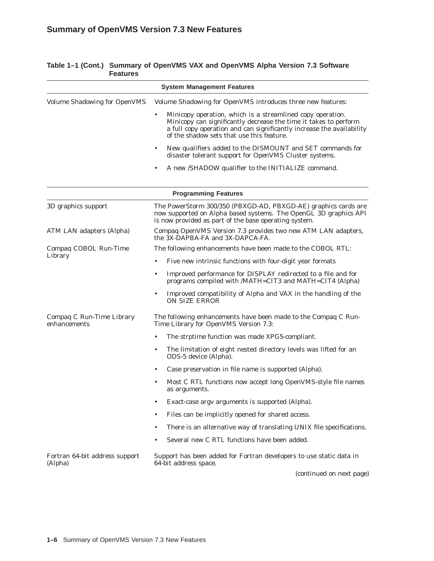| <b>Features</b>                           |                                                                                                                                                                                                                                                           |
|-------------------------------------------|-----------------------------------------------------------------------------------------------------------------------------------------------------------------------------------------------------------------------------------------------------------|
|                                           | <b>System Management Features</b>                                                                                                                                                                                                                         |
| <b>Volume Shadowing for OpenVMS</b>       | Volume Shadowing for OpenVMS introduces three new features:                                                                                                                                                                                               |
|                                           | Minicopy operation, which is a streamlined copy operation.<br>٠<br>Minicopy can significantly decrease the time it takes to perform<br>a full copy operation and can significantly increase the availability<br>of the shadow sets that use this feature. |
|                                           | New qualifiers added to the DISMOUNT and SET commands for<br>$\bullet$<br>disaster tolerant support for OpenVMS Cluster systems.                                                                                                                          |
|                                           | A new /SHADOW qualifier to the INITIALIZE command.<br>$\bullet$                                                                                                                                                                                           |
|                                           | <b>Programming Features</b>                                                                                                                                                                                                                               |
| 3D graphics support                       | The PowerStorm 300/350 (PBXGD-AD, PBXGD-AE) graphics cards are<br>now supported on Alpha based systems. The OpenGL 3D graphics API<br>is now provided as part of the base operating system.                                                               |
| <b>ATM LAN adapters (Alpha)</b>           | Compaq OpenVMS Version 7.3 provides two new ATM LAN adapters,<br>the 3X-DAPBA-FA and 3X-DAPCA-FA.                                                                                                                                                         |
| Compaq COBOL Run-Time                     | The following enhancements have been made to the COBOL RTL:                                                                                                                                                                                               |
| Library                                   | Five new intrinsic functions with four-digit year formats<br>٠                                                                                                                                                                                            |
|                                           | Improved performance for DISPLAY redirected to a file and for<br>٠<br>programs compiled with /MATH=CIT3 and MATH=CIT4 (Alpha)                                                                                                                             |
|                                           | Improved compatibility of Alpha and VAX in the handling of the<br>٠<br><b>ON SIZE ERROR</b>                                                                                                                                                               |
| Compaq C Run-Time Library<br>enhancements | The following enhancements have been made to the Compaq C Run-<br>Time Library for OpenVMS Version 7.3:                                                                                                                                                   |
|                                           | The strptime function was made XPG5-compliant.<br>٠                                                                                                                                                                                                       |
|                                           | The limitation of eight nested directory levels was lifted for an<br>٠<br>ODS-5 device (Alpha).                                                                                                                                                           |
|                                           | Case preservation in file name is supported (Alpha).<br>٠                                                                                                                                                                                                 |
|                                           | Most C RTL functions now accept long OpenVMS-style file names<br>٠<br>as arguments.                                                                                                                                                                       |
|                                           | Exact-case argv arguments is supported (Alpha).<br>$\bullet$                                                                                                                                                                                              |
|                                           | Files can be implicitly opened for shared access.<br>٠                                                                                                                                                                                                    |
|                                           | There is an alternative way of translating UNIX file specifications.<br>٠                                                                                                                                                                                 |
|                                           | Several new C RTL functions have been added.<br>٠                                                                                                                                                                                                         |
| Fortran 64-bit address support<br>(Alpha) | Support has been added for Fortran developers to use static data in<br>64-bit address space.                                                                                                                                                              |
|                                           | (continued on next page)                                                                                                                                                                                                                                  |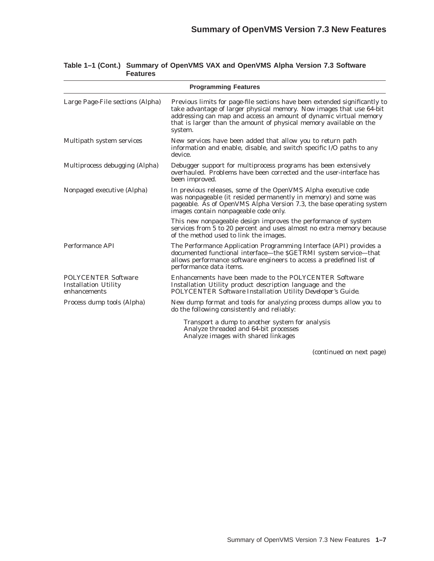| <b>Programming Features</b>                                               |                                                                                                                                                                                                                                                                                                          |  |
|---------------------------------------------------------------------------|----------------------------------------------------------------------------------------------------------------------------------------------------------------------------------------------------------------------------------------------------------------------------------------------------------|--|
| Large Page-File sections (Alpha)                                          | Previous limits for page-file sections have been extended significantly to<br>take advantage of larger physical memory. Now images that use 64-bit<br>addressing can map and access an amount of dynamic virtual memory<br>that is larger than the amount of physical memory available on the<br>system. |  |
| Multipath system services                                                 | New services have been added that allow you to return path<br>information and enable, disable, and switch specific I/O paths to any<br>device.                                                                                                                                                           |  |
| Multiprocess debugging (Alpha)                                            | Debugger support for multiprocess programs has been extensively<br>overhauled. Problems have been corrected and the user-interface has<br>been improved.                                                                                                                                                 |  |
| Nonpaged executive (Alpha)                                                | In previous releases, some of the OpenVMS Alpha executive code<br>was nonpageable (it resided permanently in memory) and some was<br>pageable. As of OpenVMS Alpha Version 7.3, the base operating system<br>images contain nonpageable code only.                                                       |  |
|                                                                           | This new nonpageable design improves the performance of system<br>services from 5 to 20 percent and uses almost no extra memory because<br>of the method used to link the images.                                                                                                                        |  |
| Performance API                                                           | The Performance Application Programming Interface (API) provides a<br>documented functional interface—the SGETRMI system service—that<br>allows performance software engineers to access a predefined list of<br>performance data items.                                                                 |  |
| <b>POLYCENTER Software</b><br><b>Installation Utility</b><br>enhancements | Enhancements have been made to the POLYCENTER Software<br>Installation Utility product description language and the<br>POLYCENTER Software Installation Utility Developer's Guide.                                                                                                                       |  |
| Process dump tools (Alpha)                                                | New dump format and tools for analyzing process dumps allow you to<br>do the following consistently and reliably:                                                                                                                                                                                        |  |
|                                                                           | Transport a dump to another system for analysis<br>Analyze threaded and 64-bit processes<br>Analyze images with shared linkages                                                                                                                                                                          |  |

(continued on next page)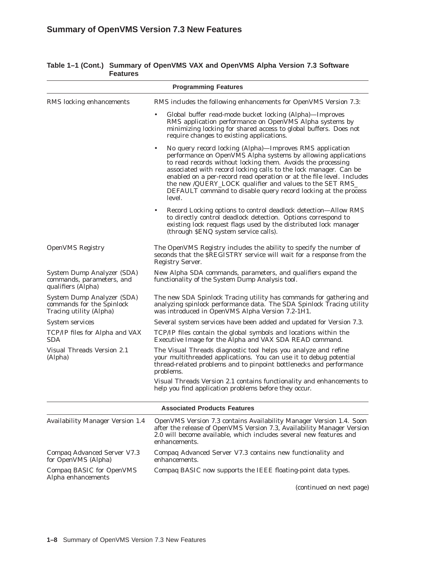|                                                                                    | <b>Programming Features</b>                                                                                                                                                                                                                                                                                                                                                                                                                                                                |  |  |
|------------------------------------------------------------------------------------|--------------------------------------------------------------------------------------------------------------------------------------------------------------------------------------------------------------------------------------------------------------------------------------------------------------------------------------------------------------------------------------------------------------------------------------------------------------------------------------------|--|--|
| RMS locking enhancements                                                           | RMS includes the following enhancements for OpenVMS Version 7.3:                                                                                                                                                                                                                                                                                                                                                                                                                           |  |  |
|                                                                                    | Global buffer read-mode bucket locking (Alpha)—Improves<br>$\bullet$<br>RMS application performance on OpenVMS Alpha systems by<br>minimizing locking for shared access to global buffers. Does not<br>require changes to existing applications.                                                                                                                                                                                                                                           |  |  |
|                                                                                    | No query record locking (Alpha)-Improves RMS application<br>$\bullet$<br>performance on OpenVMS Alpha systems by allowing applications<br>to read records without locking them. Avoids the processing<br>associated with record locking calls to the lock manager. Can be<br>enabled on a per-record read operation or at the file level. Includes<br>the new /QUERY_LOCK qualifier and values to the SET RMS_<br>DEFAULT command to disable query record locking at the process<br>level. |  |  |
|                                                                                    | Record Locking options to control deadlock detection-Allow RMS<br>$\bullet$<br>to directly control deadlock detection. Options correspond to<br>existing lock request flags used by the distributed lock manager<br>(through \$ENQ system service calls).                                                                                                                                                                                                                                  |  |  |
| <b>OpenVMS Registry</b>                                                            | The OpenVMS Registry includes the ability to specify the number of<br>seconds that the \$REGISTRY service will wait for a response from the<br><b>Registry Server.</b>                                                                                                                                                                                                                                                                                                                     |  |  |
| System Dump Analyzer (SDA)<br>commands, parameters, and<br>qualifiers (Alpha)      | New Alpha SDA commands, parameters, and qualifiers expand the<br>functionality of the System Dump Analysis tool.                                                                                                                                                                                                                                                                                                                                                                           |  |  |
| System Dump Analyzer (SDA)<br>commands for the Spinlock<br>Tracing utility (Alpha) | The new SDA Spinlock Tracing utility has commands for gathering and<br>analyzing spinlock performance data. The SDA Spinlock Tracing utility<br>was introduced in OpenVMS Alpha Version 7.2-1H1.                                                                                                                                                                                                                                                                                           |  |  |
| <b>System services</b>                                                             | Several system services have been added and updated for Version 7.3.                                                                                                                                                                                                                                                                                                                                                                                                                       |  |  |
| TCP/IP files for Alpha and VAX<br><b>SDA</b>                                       | TCP/IP files contain the global symbols and locations within the<br>Executive Image for the Alpha and VAX SDA READ command.                                                                                                                                                                                                                                                                                                                                                                |  |  |
| Visual Threads Version 2.1<br>(Alpha)                                              | The Visual Threads diagnostic tool helps you analyze and refine<br>your multithreaded applications. You can use it to debug potential<br>thread-related problems and to pinpoint bottlenecks and performance<br>problems.                                                                                                                                                                                                                                                                  |  |  |
|                                                                                    | Visual Threads Version 2.1 contains functionality and enhancements to<br>help you find application problems before they occur.                                                                                                                                                                                                                                                                                                                                                             |  |  |
|                                                                                    | <b>Associated Products Features</b>                                                                                                                                                                                                                                                                                                                                                                                                                                                        |  |  |
| <b>Availability Manager Version 1.4</b>                                            | OpenVMS Version 7.3 contains Availability Manager Version 1.4. Soon<br>after the release of OpenVMS Version 7.3, Availability Manager Version<br>2.0 will become available, which includes several new features and<br>enhancements.                                                                                                                                                                                                                                                       |  |  |
| Compaq Advanced Server V7.3<br>for OpenVMS (Alpha)                                 | Compaq Advanced Server V7.3 contains new functionality and<br>enhancements.                                                                                                                                                                                                                                                                                                                                                                                                                |  |  |
| Compaq BASIC for OpenVMS<br>Alpha enhancements                                     | Compaq BASIC now supports the IEEE floating-point data types.                                                                                                                                                                                                                                                                                                                                                                                                                              |  |  |
|                                                                                    | (continued on next page)                                                                                                                                                                                                                                                                                                                                                                                                                                                                   |  |  |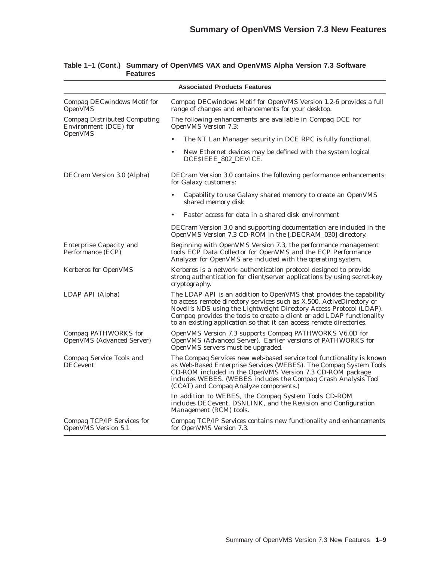| <b>Associated Products Features</b>                             |                                                                                                                                                                                                                                                                                                                                                                        |  |
|-----------------------------------------------------------------|------------------------------------------------------------------------------------------------------------------------------------------------------------------------------------------------------------------------------------------------------------------------------------------------------------------------------------------------------------------------|--|
| Compaq DECwindows Motif for<br>OpenVMS                          | Compaq DECwindows Motif for OpenVMS Version 1.2-6 provides a full<br>range of changes and enhancements for your desktop.                                                                                                                                                                                                                                               |  |
| <b>Compaq Distributed Computing</b><br>Environment (DCE) for    | The following enhancements are available in Compaq DCE for<br><b>OpenVMS</b> Version 7.3:                                                                                                                                                                                                                                                                              |  |
| OpenVMS                                                         | The NT Lan Manager security in DCE RPC is fully functional.<br>$\bullet$                                                                                                                                                                                                                                                                                               |  |
|                                                                 | New Ethernet devices may be defined with the system logical<br>DCESIEEE_802_DEVICE.                                                                                                                                                                                                                                                                                    |  |
| <b>DECram Version 3.0 (Alpha)</b>                               | DECram Version 3.0 contains the following performance enhancements<br>for Galaxy customers:                                                                                                                                                                                                                                                                            |  |
|                                                                 | Capability to use Galaxy shared memory to create an OpenVMS<br>$\bullet$<br>shared memory disk                                                                                                                                                                                                                                                                         |  |
|                                                                 | Faster access for data in a shared disk environment                                                                                                                                                                                                                                                                                                                    |  |
|                                                                 | DECram Version 3.0 and supporting documentation are included in the<br>OpenVMS Version 7.3 CD-ROM in the [.DECRAM_030] directory.                                                                                                                                                                                                                                      |  |
| Enterprise Capacity and<br>Performance (ECP)                    | Beginning with OpenVMS Version 7.3, the performance management<br>tools ECP Data Collector for OpenVMS and the ECP Performance<br>Analyzer for OpenVMS are included with the operating system.                                                                                                                                                                         |  |
| <b>Kerberos for OpenVMS</b>                                     | Kerberos is a network authentication protocol designed to provide<br>strong authentication for client/server applications by using secret-key<br>cryptography.                                                                                                                                                                                                         |  |
| LDAP API (Alpha)                                                | The LDAP API is an addition to OpenVMS that provides the capability<br>to access remote directory services such as X.500, ActiveDirectory or<br>Novell's NDS using the Lightweight Directory Access Protocol (LDAP).<br>Compaq provides the tools to create a client or add LDAP functionality<br>to an existing application so that it can access remote directories. |  |
| <b>Compaq PATHWORKS for</b><br><b>OpenVMS</b> (Advanced Server) | OpenVMS Version 7.3 supports Compaq PATHWORKS V6.0D for<br>OpenVMS (Advanced Server). Earlier versions of PATHWORKS for<br>OpenVMS servers must be upgraded.                                                                                                                                                                                                           |  |
| Compaq Service Tools and<br><b>DECevent</b>                     | The Compaq Services new web-based service tool functionality is known<br>as Web-Based Enterprise Services (WEBES). The Compaq System Tools<br>CD-ROM included in the OpenVMS Version 7.3 CD-ROM package<br>includes WEBES. (WEBES includes the Compaq Crash Analysis Tool<br>(CCAT) and Compaq Analyze components.)                                                    |  |
|                                                                 | In addition to WEBES, the Compaq System Tools CD-ROM<br>includes DECevent, DSNLINK, and the Revision and Configuration<br>Management (RCM) tools.                                                                                                                                                                                                                      |  |
| Compaq TCP/IP Services for<br>OpenVMS Version 5.1               | Compaq TCP/IP Services contains new functionality and enhancements<br>for OpenVMS Version 7.3.                                                                                                                                                                                                                                                                         |  |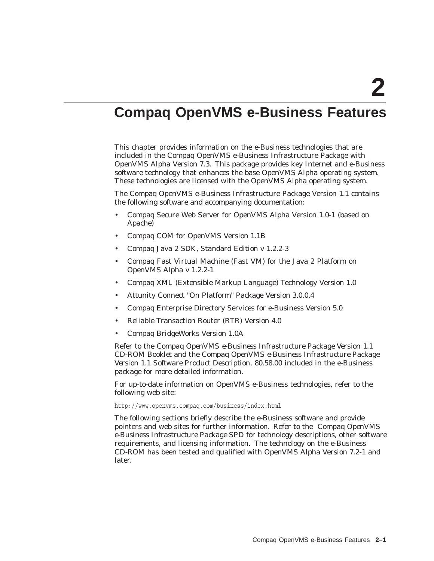# **Compaq OpenVMS e-Business Features**

This chapter provides information on the e-Business technologies that are included in the Compaq OpenVMS e-Business Infrastructure Package with OpenVMS Alpha Version 7.3. This package provides key Internet and e-Business software technology that enhances the base OpenVMS Alpha operating system. These technologies are licensed with the OpenVMS Alpha operating system.

The Compaq OpenVMS e-Business Infrastructure Package Version 1.1 contains the following software and accompanying documentation:

- Compaq Secure Web Server for OpenVMS Alpha Version 1.0-1 (based on Apache)
- Compaq COM for OpenVMS Version 1.1B
- Compaq Java 2 SDK, Standard Edition v 1.2.2-3
- Compaq Fast Virtual Machine (Fast VM) for the Java 2 Platform on OpenVMS Alpha v 1.2.2-1
- Compaq XML (Extensible Markup Language) Technology Version 1.0
- Attunity Connect "On Platform" Package Version 3.0.0.4
- Compaq Enterprise Directory Services for e-Business Version 5.0
- Reliable Transaction Router (RTR) Version 4.0
- Compaq BridgeWorks Version 1.0A

Refer to the *Compaq OpenVMS e-Business Infrastructure Package Version 1.1 CD-ROM Booklet* and the *Compaq OpenVMS e-Business Infrastructure Package Version 1.1 Software Product Description, 80.58.00* included in the e-Business package for more detailed information.

For up-to-date information on OpenVMS e-Business technologies, refer to the following web site:

http://www.openvms.compaq.com/business/index.html

The following sections briefly describe the e-Business software and provide pointers and web sites for further information. Refer to the *Compaq OpenVMS e-Business Infrastructure Package SPD* for technology descriptions, other software requirements, and licensing information. The technology on the e-Business CD-ROM has been tested and qualified with OpenVMS Alpha Version 7.2-1 and later.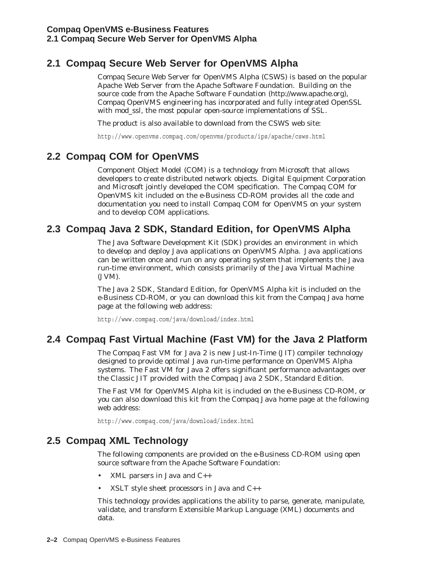## **2.1 Compaq Secure Web Server for OpenVMS Alpha**

Compaq Secure Web Server for OpenVMS Alpha (CSWS) is based on the popular Apache Web Server from the Apache Software Foundation. Building on the source code from the Apache Software Foundation (http://www.apache.org), Compaq OpenVMS engineering has incorporated and fully integrated OpenSSL with mod ssl, the most popular open-source implementations of SSL.

The product is also available to download from the CSWS web site:

http://www.openvms.compaq.com/openvms/products/ips/apache/csws.html

## **2.2 Compaq COM for OpenVMS**

Component Object Model (COM) is a technology from Microsoft that allows developers to create distributed network objects. Digital Equipment Corporation and Microsoft jointly developed the COM specification. The Compaq COM for OpenVMS kit included on the e-Business CD-ROM provides all the code and documentation you need to install Compaq COM for OpenVMS on your system and to develop COM applications.

## **2.3 Compaq Java 2 SDK, Standard Edition, for OpenVMS Alpha**

The Java Software Development Kit (SDK) provides an environment in which to develop and deploy Java applications on OpenVMS Alpha. Java applications can be written once and run on any operating system that implements the Java run-time environment, which consists primarily of the Java Virtual Machine (JVM).

The Java 2 SDK, Standard Edition, for OpenVMS Alpha kit is included on the e-Business CD-ROM, or you can download this kit from the Compaq Java home page at the following web address:

http://www.compaq.com/java/download/index.html

## **2.4 Compaq Fast Virtual Machine (Fast VM) for the Java 2 Platform**

The Compaq Fast VM for Java 2 is new Just-In-Time (JIT) compiler technology designed to provide optimal Java run-time performance on OpenVMS Alpha systems. The Fast VM for Java 2 offers significant performance advantages over the Classic JIT provided with the Compaq Java 2 SDK, Standard Edition.

The Fast VM for OpenVMS Alpha kit is included on the e-Business CD-ROM, or you can also download this kit from the Compaq Java home page at the following web address:

http://www.compaq.com/java/download/index.html

## **2.5 Compaq XML Technology**

The following components are provided on the e-Business CD-ROM using open source software from the Apache Software Foundation:

- XML parsers in Java and C++
- XSLT style sheet processors in Java and C++

This technology provides applications the ability to parse, generate, manipulate, validate, and transform Extensible Markup Language (XML) documents and data.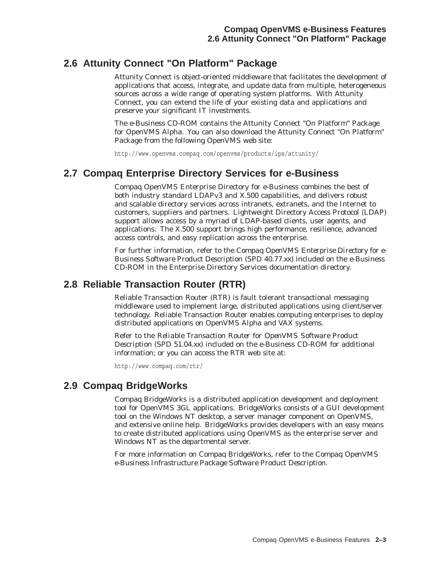## **2.6 Attunity Connect "On Platform" Package**

Attunity Connect is object-oriented middleware that facilitates the development of applications that access, integrate, and update data from multiple, heterogeneous sources across a wide range of operating system platforms. With Attunity Connect, you can extend the life of your existing data and applications and preserve your significant IT investments.

The e-Business CD-ROM contains the Attunity Connect "On Platform" Package for OpenVMS Alpha. You can also download the Attunity Connect "On Platform" Package from the following OpenVMS web site:

http://www.openvms.compaq.com/openvms/products/ips/attunity/

### **2.7 Compaq Enterprise Directory Services for e-Business**

Compaq OpenVMS Enterprise Directory for e-Business combines the best of both industry standard LDAPv3 and X.500 capabilities, and delivers robust and scalable directory services across intranets, extranets, and the Internet to customers, suppliers and partners. Lightweight Directory Access Protocol (LDAP) support allows access by a myriad of LDAP-based clients, user agents, and applications. The X.500 support brings high performance, resilience, advanced access controls, and easy replication across the enterprise.

For further information, refer to the *Compaq OpenVMS Enterprise Directory for e-Business Software Product Description* (SPD 40.77.*xx*) included on the e-Business CD-ROM in the Enterprise Directory Services documentation directory.

#### **2.8 Reliable Transaction Router (RTR)**

Reliable Transaction Router (RTR) is fault tolerant transactional messaging middleware used to implement large, distributed applications using client/server technology. Reliable Transaction Router enables computing enterprises to deploy distributed applications on OpenVMS Alpha and VAX systems.

Refer to the *Reliable Transaction Router for OpenVMS Software Product Description* (SPD 51.04.*xx*) included on the e-Business CD-ROM for additional information; or you can access the RTR web site at:

http://www.compaq.com/rtr/

#### **2.9 Compaq BridgeWorks**

Compaq BridgeWorks is a distributed application development and deployment tool for OpenVMS 3GL applications. BridgeWorks consists of a GUI development tool on the Windows NT desktop, a server manager component on OpenVMS, and extensive online help. BridgeWorks provides developers with an easy means to create distributed applications using OpenVMS as the enterprise server and Windows NT as the departmental server.

For more information on Compaq BridgeWorks, refer to the *Compaq OpenVMS e-Business Infrastructure Package Software Product Description*.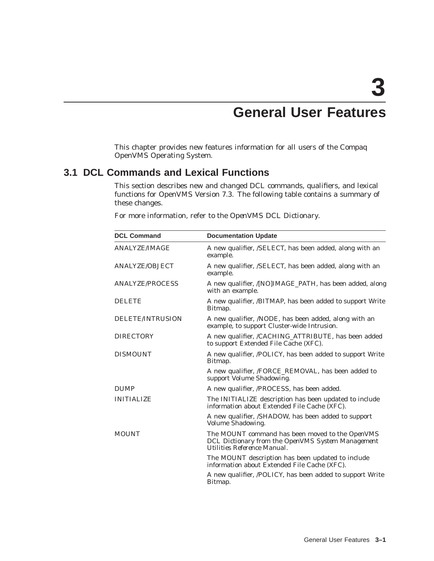# **General User Features**

This chapter provides new features information for all users of the Compaq OpenVMS Operating System.

## **3.1 DCL Commands and Lexical Functions**

This section describes new and changed DCL commands, qualifiers, and lexical functions for OpenVMS Version 7.3. The following table contains a summary of these changes.

For more information, refer to the *OpenVMS DCL Dictionary*.

| <b>DCL Command</b>      | <b>Documentation Update</b>                                                                                                         |
|-------------------------|-------------------------------------------------------------------------------------------------------------------------------------|
| <b>ANALYZE/IMAGE</b>    | A new qualifier, /SELECT, has been added, along with an<br>example.                                                                 |
| <b>ANALYZE/OBJECT</b>   | A new qualifier, /SELECT, has been added, along with an<br>example.                                                                 |
| <b>ANALYZE/PROCESS</b>  | A new qualifier, /[NO]IMAGE_PATH, has been added, along<br>with an example.                                                         |
| <b>DELETE</b>           | A new qualifier, /BITMAP, has been added to support Write<br>Bitmap.                                                                |
| <b>DELETE/INTRUSION</b> | A new qualifier, <i>NODE</i> , has been added, along with an<br>example, to support Cluster-wide Intrusion.                         |
| <b>DIRECTORY</b>        | A new qualifier, /CACHING_ATTRIBUTE, has been added<br>to support Extended File Cache (XFC).                                        |
| <b>DISMOUNT</b>         | A new qualifier, /POLICY, has been added to support Write<br>Bitmap.                                                                |
|                         | A new qualifier, /FORCE_REMOVAL, has been added to<br>support Volume Shadowing.                                                     |
| <b>DUMP</b>             | A new qualifier, /PROCESS, has been added.                                                                                          |
| <b>INITIALIZE</b>       | The INITIALIZE description has been updated to include<br>information about Extended File Cache (XFC).                              |
|                         | A new qualifier, /SHADOW, has been added to support<br>Volume Shadowing.                                                            |
| <b>MOUNT</b>            | The MOUNT command has been moved to the OpenVMS<br>DCL Dictionary from the OpenVMS System Management<br>Utilities Reference Manual. |
|                         | The MOUNT description has been updated to include<br>information about Extended File Cache (XFC).                                   |
|                         | A new qualifier, /POLICY, has been added to support Write<br>Bitmap.                                                                |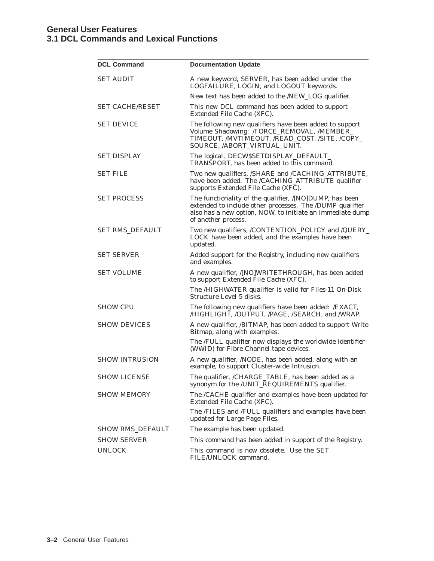#### **General User Features 3.1 DCL Commands and Lexical Functions**

| <b>DCL Command</b>      | <b>Documentation Update</b>                                                                                                                                                                             |
|-------------------------|---------------------------------------------------------------------------------------------------------------------------------------------------------------------------------------------------------|
| <b>SET AUDIT</b>        | A new keyword, SERVER, has been added under the<br>LOGFAILURE, LOGIN, and LOGOUT keywords.                                                                                                              |
|                         | New text has been added to the /NEW_LOG qualifier.                                                                                                                                                      |
| <b>SET CACHE/RESET</b>  | This new DCL command has been added to support<br>Extended File Cache (XFC).                                                                                                                            |
| <b>SET DEVICE</b>       | The following new qualifiers have been added to support<br>Volume Shadowing: /FORCE_REMOVAL, /MEMBER_<br>TIMEOUT, /MVTIMEOUT, /READ_COST, /SITE, /COPY_<br>SOURCE, /ABORT_VIRTUAL_UNIT.                 |
| <b>SET DISPLAY</b>      | The logical, DECW\$SETDISPLAY_DEFAULT_<br>TRANSPORT, has been added to this command.                                                                                                                    |
| <b>SET FILE</b>         | Two new qualifiers, /SHARE and /CACHING_ATTRIBUTE,<br>have been added. The /CACHING_ATTRIBUTE qualifier<br>supports Extended File Cache (XFC).                                                          |
| <b>SET PROCESS</b>      | The functionality of the qualifier, /[NO]DUMP, has been<br>extended to include other processes. The /DUMP qualifier<br>also has a new option, NOW, to initiate an immediate dump<br>of another process. |
| <b>SET RMS_DEFAULT</b>  | Two new qualifiers, /CONTENTION_POLICY and /QUERY_<br>LOCK have been added, and the examples have been<br>updated.                                                                                      |
| <b>SET SERVER</b>       | Added support for the Registry, including new qualifiers<br>and examples.                                                                                                                               |
| <b>SET VOLUME</b>       | A new qualifier, /[NO]WRITETHROUGH, has been added<br>to support Extended File Cache (XFC).                                                                                                             |
|                         | The /HIGHWATER qualifier is valid for Files-11 On-Disk<br>Structure Level 5 disks.                                                                                                                      |
| <b>SHOW CPU</b>         | The following new qualifiers have been added: /EXACT,<br>/HIGHLIGHT, /OUTPUT, /PAGE, /SEARCH, and /WRAP.                                                                                                |
| <b>SHOW DEVICES</b>     | A new qualifier, /BITMAP, has been added to support Write<br>Bitmap, along with examples.                                                                                                               |
|                         | The /FULL qualifier now displays the worldwide identifier<br>(WWID) for Fibre Channel tape devices.                                                                                                     |
| <b>SHOW INTRUSION</b>   | A new qualifier, /NODE, has been added, along with an<br>example, to support Cluster-wide Intrusion.                                                                                                    |
| <b>SHOW LICENSE</b>     | The qualifier, /CHARGE_TABLE, has been added as a<br>synonym for the /UNIT_REQUIREMENTS qualifier.                                                                                                      |
| <b>SHOW MEMORY</b>      | The /CACHE qualifier and examples have been updated for<br>Extended File Cache (XFC).                                                                                                                   |
|                         | The /FILES and /FULL qualifiers and examples have been<br>updated for Large Page Files.                                                                                                                 |
| <b>SHOW RMS_DEFAULT</b> | The example has been updated.                                                                                                                                                                           |
| <b>SHOW SERVER</b>      | This command has been added in support of the Registry.                                                                                                                                                 |
| <b>UNLOCK</b>           | This command is now obsolete. Use the SET<br>FILE/UNLOCK command.                                                                                                                                       |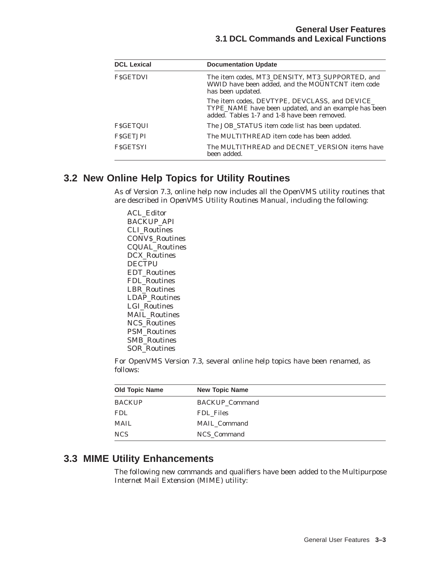| <b>DCL Lexical</b> | <b>Documentation Update</b>                                                                                                                           |
|--------------------|-------------------------------------------------------------------------------------------------------------------------------------------------------|
| <b>FSGETDVI</b>    | The item codes, MT3_DENSITY, MT3_SUPPORTED, and<br>WWID have been added, and the MOUNTCNT item code<br>has been updated.                              |
|                    | The item codes, DEVTYPE, DEVCLASS, and DEVICE<br>TYPE_NAME have been updated, and an example has been<br>added. Tables 1-7 and 1-8 have been removed. |
| <b>FSGETQUI</b>    | The JOB STATUS item code list has been updated.                                                                                                       |
| <b>FSGETJPI</b>    | The MULTITHREAD item code has been added.                                                                                                             |
| <b>FSGETSYI</b>    | The MULTITHREAD and DECNET_VERSION items have<br>been added.                                                                                          |

## **3.2 New Online Help Topics for Utility Routines**

As of Version 7.3, online help now includes all the OpenVMS utility routines that are described in *OpenVMS Utility Routines Manual*, including the following:

ACL\_Editor BACKUP\_API CLI\_Routines CONV\$\_Routines CQUAL\_Routines DCX\_Routines **DECTPU** EDT\_Routines FDL\_Routines LBR\_Routines LDAP\_Routines LGI\_Routines MAIL\_Routines NCS\_Routines PSM\_Routines SMB\_Routines SOR\_Routines

For OpenVMS Version 7.3, several online help topics have been renamed, as follows:

| <b>Old Topic Name</b> | <b>New Topic Name</b> |
|-----------------------|-----------------------|
| <b>BACKUP</b>         | <b>BACKUP</b> Command |
| <b>FDL</b>            | <b>FDL</b> Files      |
| <b>MAIL</b>           | <b>MAIL</b> Command   |
| <b>NCS</b>            | NCS Command           |

## **3.3 MIME Utility Enhancements**

The following new commands and qualifiers have been added to the Multipurpose Internet Mail Extension (MIME) utility: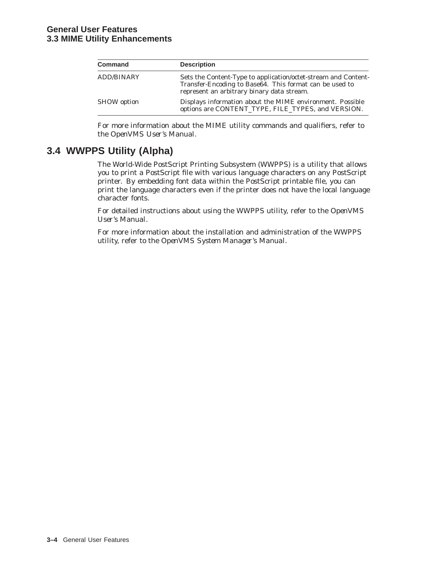| <b>Command</b>     | <b>Description</b>                                                                                                                                                      |
|--------------------|-------------------------------------------------------------------------------------------------------------------------------------------------------------------------|
| <b>ADD/BINARY</b>  | Sets the Content-Type to application/octet-stream and Content-<br>Transfer-Encoding to Base64. This format can be used to<br>represent an arbitrary binary data stream. |
| <b>SHOW</b> option | Displays information about the MIME environment. Possible<br>options are CONTENT_TYPE, FILE_TYPES, and VERSION.                                                         |

For more information about the MIME utility commands and qualifiers, refer to the *OpenVMS User's Manual*.

### **3.4 WWPPS Utility (Alpha)**

The World-Wide PostScript Printing Subsystem (WWPPS) is a utility that allows you to print a PostScript file with various language characters on any PostScript printer. By embedding font data within the PostScript printable file, you can print the language characters even if the printer does not have the local language character fonts.

For detailed instructions about using the WWPPS utility, refer to the *OpenVMS User's Manual*.

For more information about the installation and administration of the WWPPS utility, refer to the *OpenVMS System Manager's Manual*.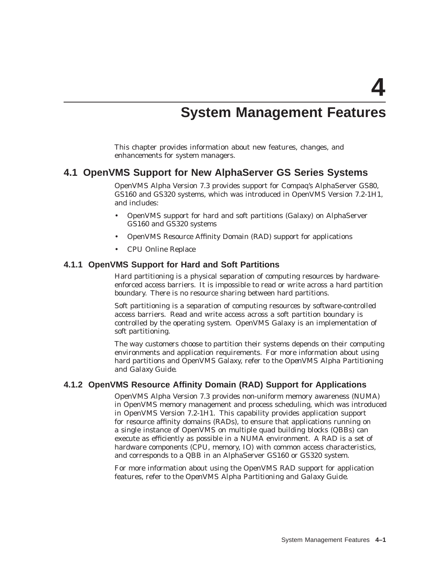# **System Management Features**

This chapter provides information about new features, changes, and enhancements for system managers.

#### **4.1 OpenVMS Support for New AlphaServer GS Series Systems**

OpenVMS Alpha Version 7.3 provides support for Compaq's AlphaServer GS80, GS160 and GS320 systems, which was introduced in OpenVMS Version 7.2-1H1, and includes:

- OpenVMS support for hard and soft partitions (Galaxy) on AlphaServer GS160 and GS320 systems
- OpenVMS Resource Affinity Domain (RAD) support for applications
- CPU Online Replace

#### **4.1.1 OpenVMS Support for Hard and Soft Partitions**

Hard partitioning is a physical separation of computing resources by hardwareenforced access barriers. It is impossible to read or write across a hard partition boundary. There is no resource sharing between hard partitions.

Soft partitioning is a separation of computing resources by software-controlled access barriers. Read and write access across a soft partition boundary is controlled by the operating system. OpenVMS Galaxy is an implementation of soft partitioning.

The way customers choose to partition their systems depends on their computing environments and application requirements. For more information about using hard partitions and OpenVMS Galaxy, refer to the *OpenVMS Alpha Partitioning and Galaxy Guide*.

#### **4.1.2 OpenVMS Resource Affinity Domain (RAD) Support for Applications**

OpenVMS Alpha Version 7.3 provides non-uniform memory awareness (NUMA) in OpenVMS memory management and process scheduling, which was introduced in OpenVMS Version 7.2-1H1. This capability provides application support for resource affinity domains (RADs), to ensure that applications running on a single instance of OpenVMS on multiple quad building blocks (QBBs) can execute as efficiently as possible in a NUMA environment. A RAD is a set of hardware components (CPU, memory, IO) with common access characteristics, and corresponds to a QBB in an AlphaServer GS160 or GS320 system.

For more information about using the OpenVMS RAD support for application features, refer to the *OpenVMS Alpha Partitioning and Galaxy Guide*.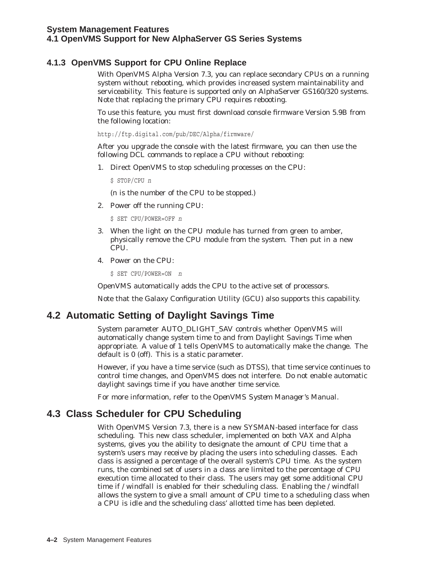#### **4.1.3 OpenVMS Support for CPU Online Replace**

With OpenVMS Alpha Version 7.3, you can replace secondary CPUs on a running system without rebooting, which provides increased system maintainability and serviceability. This feature is supported only on AlphaServer GS160/320 systems. Note that replacing the primary CPU requires rebooting.

To use this feature, you must first download console firmware Version 5.9B from the following location:

http://ftp.digital.com/pub/DEC/Alpha/firmware/

After you upgrade the console with the latest firmware, you can then use the following DCL commands to replace a CPU without rebooting:

1. Direct OpenVMS to stop scheduling processes on the CPU:

\$ STOP/CPU *n*

(*n* is the number of the CPU to be stopped.)

2. Power off the running CPU:

\$ SET CPU/POWER=OFF *n*

- 3. When the light on the CPU module has turned from green to amber, physically remove the CPU module from the system. Then put in a new CPU.
- 4. Power on the CPU:

\$ SET CPU/POWER=ON *n*

OpenVMS automatically adds the CPU to the active set of processors.

Note that the Galaxy Configuration Utility (GCU) also supports this capability.

#### **4.2 Automatic Setting of Daylight Savings Time**

System parameter AUTO\_DLIGHT\_SAV controls whether OpenVMS will automatically change system time to and from Daylight Savings Time when appropriate. A value of 1 tells OpenVMS to automatically make the change. The default is 0 (off). This is a static parameter.

However, if you have a time service (such as DTSS), that time service continues to control time changes, and OpenVMS does not interfere. Do not enable automatic daylight savings time if you have another time service.

For more information, refer to the *OpenVMS System Manager's Manual*.

## **4.3 Class Scheduler for CPU Scheduling**

With OpenVMS Version 7.3, there is a new SYSMAN-based interface for class scheduling. This new class scheduler, implemented on both VAX and Alpha systems, gives you the ability to designate the amount of CPU time that a system's users may receive by placing the users into scheduling classes. Each class is assigned a percentage of the overall system's CPU time. As the system runs, the combined set of users in a class are limited to the percentage of CPU execution time allocated to their class. The users may get some additional CPU time if */windfall* is enabled for their scheduling class. Enabling the */windfall* allows the system to give a small amount of CPU time to a scheduling class when a CPU is idle and the scheduling class' allotted time has been depleted.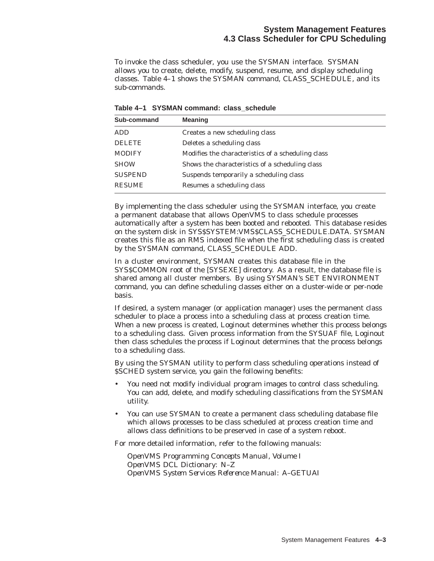To invoke the class scheduler, you use the SYSMAN interface. SYSMAN allows you to create, delete, modify, suspend, resume, and display scheduling classes. Table 4–1 shows the SYSMAN command, CLASS\_SCHEDULE, and its sub-commands.

| Sub-command    | <b>Meaning</b>                                     |
|----------------|----------------------------------------------------|
| ADD            | Creates a new scheduling class                     |
| <b>DELETE</b>  | Deletes a scheduling class                         |
| <b>MODIFY</b>  | Modifies the characteristics of a scheduling class |
| <b>SHOW</b>    | Shows the characteristics of a scheduling class    |
| <b>SUSPEND</b> | Suspends temporarily a scheduling class            |
| <b>RESUME</b>  | Resumes a scheduling class                         |

**Table 4–1 SYSMAN command: class\_schedule**

By implementing the class scheduler using the SYSMAN interface, you create a permanent database that allows OpenVMS to class schedule processes automatically after a system has been booted and rebooted. This database resides on the system disk in SYS\$SYSTEM:VMS\$CLASS\_SCHEDULE.DATA. SYSMAN creates this file as an RMS indexed file when the first scheduling class is created by the SYSMAN command, CLASS\_SCHEDULE ADD.

In a cluster environment, SYSMAN creates this database file in the SYS\$COMMON root of the [SYSEXE] directory. As a result, the database file is shared among all cluster members. By using SYSMAN's SET ENVIRONMENT command, you can define scheduling classes either on a cluster-wide or per-node basis.

If desired, a system manager (or application manager) uses the permanent class scheduler to place a process into a scheduling class at process creation time. When a new process is created, Loginout determines whether this process belongs to a scheduling class. Given process information from the SYSUAF file, Loginout then class schedules the process if Loginout determines that the process belongs to a scheduling class.

By using the SYSMAN utility to perform class scheduling operations instead of \$SCHED system service, you gain the following benefits:

- You need not modify individual program images to control class scheduling. You can add, delete, and modify scheduling classifications from the SYSMAN utility.
- You can use SYSMAN to create a permanent class scheduling database file which allows processes to be class scheduled at process creation time and allows class definitions to be preserved in case of a system reboot.

For more detailed information, refer to the following manuals:

*OpenVMS Programming Concepts Manual, Volume I OpenVMS DCL Dictionary: N–Z OpenVMS System Services Reference Manual: A–GETUAI*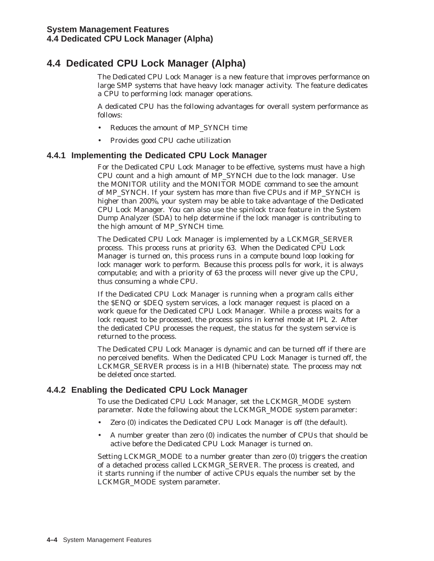## **4.4 Dedicated CPU Lock Manager (Alpha)**

The Dedicated CPU Lock Manager is a new feature that improves performance on large SMP systems that have heavy lock manager activity. The feature dedicates a CPU to performing lock manager operations.

A dedicated CPU has the following advantages for overall system performance as follows:

- Reduces the amount of MP\_SYNCH time
- Provides good CPU cache utilization

#### **4.4.1 Implementing the Dedicated CPU Lock Manager**

For the Dedicated CPU Lock Manager to be effective, systems must have a high CPU count and a high amount of MP\_SYNCH due to the lock manager. Use the MONITOR utility and the MONITOR MODE command to see the amount of MP\_SYNCH. If your system has more than five CPUs and if MP\_SYNCH is higher than 200%, your system may be able to take advantage of the Dedicated CPU Lock Manager. You can also use the spinlock trace feature in the System Dump Analyzer (SDA) to help determine if the lock manager is contributing to the high amount of MP\_SYNCH time.

The Dedicated CPU Lock Manager is implemented by a LCKMGR\_SERVER process. This process runs at priority 63. When the Dedicated CPU Lock Manager is turned on, this process runs in a compute bound loop looking for lock manager work to perform. Because this process polls for work, it is always computable; and with a priority of 63 the process will never give up the CPU, thus consuming a whole CPU.

If the Dedicated CPU Lock Manager is running when a program calls either the \$ENQ or \$DEQ system services, a lock manager request is placed on a work queue for the Dedicated CPU Lock Manager. While a process waits for a lock request to be processed, the process spins in kernel mode at IPL 2. After the dedicated CPU processes the request, the status for the system service is returned to the process.

The Dedicated CPU Lock Manager is dynamic and can be turned off if there are no perceived benefits. When the Dedicated CPU Lock Manager is turned off, the LCKMGR\_SERVER process is in a HIB (hibernate) state. The process may not be deleted once started.

#### **4.4.2 Enabling the Dedicated CPU Lock Manager**

To use the Dedicated CPU Lock Manager, set the LCKMGR\_MODE system parameter. Note the following about the LCKMGR\_MODE system parameter:

- Zero (0) indicates the Dedicated CPU Lock Manager is off (the default).
- A number greater than zero (0) indicates the number of CPUs that should be active before the Dedicated CPU Lock Manager is turned on.

Setting LCKMGR\_MODE to a number greater than zero (0) triggers the creation of a detached process called LCKMGR\_SERVER. The process is created, and it starts running if the number of active CPUs equals the number set by the LCKMGR\_MODE system parameter.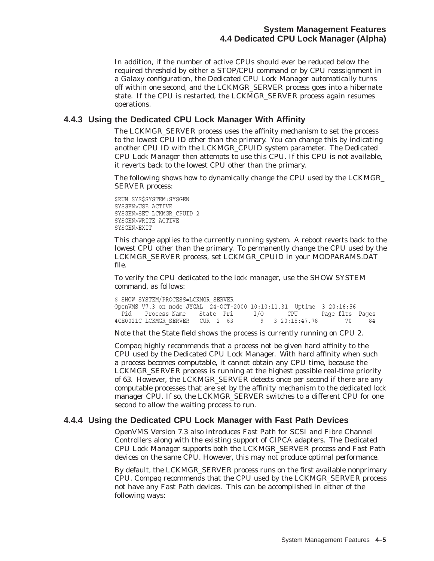In addition, if the number of active CPUs should ever be reduced below the required threshold by either a STOP/CPU command or by CPU reassignment in a Galaxy configuration, the Dedicated CPU Lock Manager automatically turns off within one second, and the LCKMGR\_SERVER process goes into a hibernate state. If the CPU is restarted, the LCKMGR\_SERVER process again resumes operations.

### **4.4.3 Using the Dedicated CPU Lock Manager With Affinity**

The LCKMGR\_SERVER process uses the affinity mechanism to set the process to the lowest CPU ID other than the primary. You can change this by indicating another CPU ID with the LCKMGR\_CPUID system parameter. The Dedicated CPU Lock Manager then attempts to use this CPU. If this CPU is not available, it reverts back to the lowest CPU other than the primary.

The following shows how to dynamically change the CPU used by the LCKMGR\_ SERVER process:

\$RUN SYS\$SYSTEM:SYSGEN SYSGEN>USE ACTIVE SYSGEN>SET LCKMGR\_CPUID 2 SYSGEN>WRITE ACTIVE SYSGEN>EXIT

This change applies to the currently running system. A reboot reverts back to the lowest CPU other than the primary. To permanently change the CPU used by the LCKMGR\_SERVER process, set LCKMGR\_CPUID in your MODPARAMS.DAT file.

To verify the CPU dedicated to the lock manager, use the SHOW SYSTEM command, as follows:

\$ SHOW SYSTEM/PROCESS=LCKMGR\_SERVER OpenVMS V7.3 on node JYGAL 24-OCT-2000 10:10:11.31 Uptime 3 20:16:56 Pid Process Name State Pri I/O CPU Page flts Pages 4CE0021C LCKMGR\_SERVER CUR 2 63 9 3 20:15:47.78 70 84

Note that the State field shows the process is currently running on CPU 2.

Compaq highly recommends that a process not be given hard affinity to the CPU used by the Dedicated CPU Lock Manager. With hard affinity when such a process becomes computable, it cannot obtain any CPU time, because the LCKMGR\_SERVER process is running at the highest possible real-time priority of 63. However, the LCKMGR\_SERVER detects once per second if there are any computable processes that are set by the affinity mechanism to the dedicated lock manager CPU. If so, the LCKMGR\_SERVER switches to a different CPU for one second to allow the waiting process to run.

### **4.4.4 Using the Dedicated CPU Lock Manager with Fast Path Devices**

OpenVMS Version 7.3 also introduces Fast Path for SCSI and Fibre Channel Controllers along with the existing support of CIPCA adapters. The Dedicated CPU Lock Manager supports both the LCKMGR\_SERVER process and Fast Path devices on the same CPU. However, this may not produce optimal performance.

By default, the LCKMGR\_SERVER process runs on the first available nonprimary CPU. Compaq recommends that the CPU used by the LCKMGR\_SERVER process not have any Fast Path devices. This can be accomplished in either of the following ways: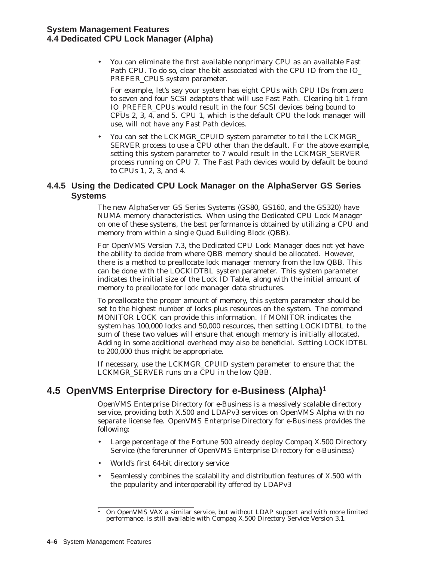• You can eliminate the first available nonprimary CPU as an available Fast Path CPU. To do so, clear the bit associated with the CPU ID from the IO\_ PREFER CPUS system parameter.

For example, let's say your system has eight CPUs with CPU IDs from zero to seven and four SCSI adapters that will use Fast Path. Clearing bit 1 from IO\_PREFER\_CPUs would result in the four SCSI devices being bound to CPUs 2, 3, 4, and 5. CPU 1, which is the default CPU the lock manager will use, will not have any Fast Path devices.

• You can set the LCKMGR\_CPUID system parameter to tell the LCKMGR\_ SERVER process to use a CPU other than the default. For the above example, setting this system parameter to 7 would result in the LCKMGR\_SERVER process running on CPU 7. The Fast Path devices would by default be bound to CPUs 1, 2, 3, and 4.

### **4.4.5 Using the Dedicated CPU Lock Manager on the AlphaServer GS Series Systems**

The new AlphaServer GS Series Systems (GS80, GS160, and the GS320) have NUMA memory characteristics. When using the Dedicated CPU Lock Manager on one of these systems, the best performance is obtained by utilizing a CPU and memory from within a single Quad Building Block (QBB).

For OpenVMS Version 7.3, the Dedicated CPU Lock Manager does not yet have the ability to decide from where QBB memory should be allocated. However, there is a method to preallocate lock manager memory from the low QBB. This can be done with the LOCKIDTBL system parameter. This system parameter indicates the initial size of the Lock ID Table, along with the initial amount of memory to preallocate for lock manager data structures.

To preallocate the proper amount of memory, this system parameter should be set to the highest number of locks plus resources on the system. The command MONITOR LOCK can provide this information. If MONITOR indicates the system has 100,000 locks and 50,000 resources, then setting LOCKIDTBL to the sum of these two values will ensure that enough memory is initially allocated. Adding in some additional overhead may also be beneficial. Setting LOCKIDTBL to 200,000 thus might be appropriate.

If necessary, use the LCKMGR\_CPUID system parameter to ensure that the LCKMGR\_SERVER runs on a CPU in the low QBB.

# **4.5 OpenVMS Enterprise Directory for e-Business (Alpha)1**

OpenVMS Enterprise Directory for e-Business is a massively scalable directory service, providing both X.500 and LDAPv3 services on OpenVMS Alpha with no separate license fee. OpenVMS Enterprise Directory for e-Business provides the following:

- Large percentage of the Fortune 500 already deploy Compaq X.500 Directory Service (the forerunner of OpenVMS Enterprise Directory for e-Business)
- World's first 64-bit directory service
- Seamlessly combines the scalability and distribution features of X.500 with the popularity and interoperability offered by LDAPv3

<sup>1</sup> On OpenVMS VAX a similar service, but without LDAP support and with more limited performance, is still available with Compaq X.500 Directory Service Version 3.1.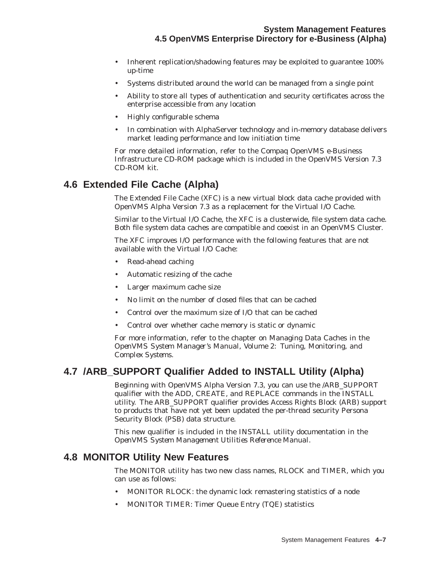- Inherent replication/shadowing features may be exploited to guarantee 100% up-time
- Systems distributed around the world can be managed from a single point
- Ability to store all types of authentication and security certificates across the enterprise accessible from any location
- Highly configurable schema
- In combination with AlphaServer technology and in-memory database delivers market leading performance and low initiation time

For more detailed information, refer to the Compaq OpenVMS e-Business Infrastructure CD-ROM package which is included in the OpenVMS Version 7.3 CD-ROM kit.

# **4.6 Extended File Cache (Alpha)**

The Extended File Cache (XFC) is a new virtual block data cache provided with OpenVMS Alpha Version 7.3 as a replacement for the Virtual I/O Cache.

Similar to the Virtual I/O Cache, the XFC is a clusterwide, file system data cache. Both file system data caches are compatible and coexist in an OpenVMS Cluster.

The XFC improves I/O performance with the following features that are not available with the Virtual I/O Cache:

- Read-ahead caching
- Automatic resizing of the cache
- Larger maximum cache size
- No limit on the number of closed files that can be cached
- Control over the maximum size of I/O that can be cached
- Control over whether cache memory is static or dynamic

For more information, refer to the chapter on Managing Data Caches in the *OpenVMS System Manager's Manual, Volume 2: Tuning, Monitoring, and Complex Systems*.

# **4.7 /ARB\_SUPPORT Qualifier Added to INSTALL Utility (Alpha)**

Beginning with OpenVMS Alpha Version 7.3, you can use the /ARB\_SUPPORT qualifier with the ADD, CREATE, and REPLACE commands in the INSTALL utility. The ARB\_SUPPORT qualifier provides Access Rights Block (ARB) support to products that have not yet been updated the per-thread security Persona Security Block (PSB) data structure.

This new qualifier is included in the INSTALL utility documentation in the *OpenVMS System Management Utilities Reference Manual*.

# **4.8 MONITOR Utility New Features**

The MONITOR utility has two new class names, RLOCK and TIMER, which you can use as follows:

- MONITOR RLOCK: the dynamic lock remastering statistics of a node
- MONITOR TIMER: Timer Queue Entry (TQE) statistics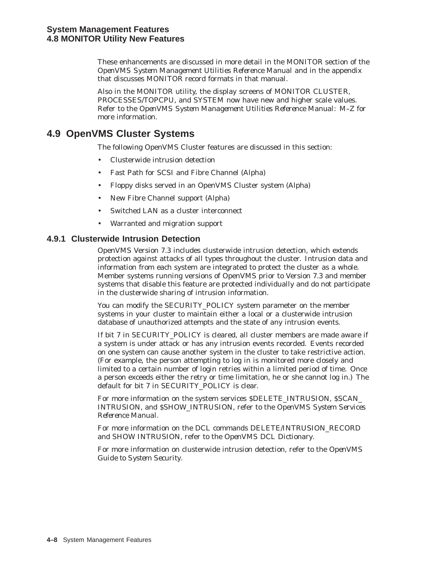These enhancements are discussed in more detail in the MONITOR section of the *OpenVMS System Management Utilities Reference Manual* and in the appendix that discusses MONITOR record formats in that manual.

Also in the MONITOR utility, the display screens of MONITOR CLUSTER, PROCESSES/TOPCPU, and SYSTEM now have new and higher scale values. Refer to the *OpenVMS System Management Utilities Reference Manual: M–Z* for more information.

# **4.9 OpenVMS Cluster Systems**

The following OpenVMS Cluster features are discussed in this section:

- Clusterwide intrusion detection
- Fast Path for SCSI and Fibre Channel (Alpha)
- Floppy disks served in an OpenVMS Cluster system (Alpha)
- New Fibre Channel support (Alpha)
- Switched LAN as a cluster interconnect
- Warranted and migration support

### **4.9.1 Clusterwide Intrusion Detection**

OpenVMS Version 7.3 includes clusterwide intrusion detection, which extends protection against attacks of all types throughout the cluster. Intrusion data and information from each system are integrated to protect the cluster as a whole. Member systems running versions of OpenVMS prior to Version 7.3 and member systems that disable this feature are protected individually and do not participate in the clusterwide sharing of intrusion information.

You can modify the SECURITY\_POLICY system parameter on the member systems in your cluster to maintain either a local or a clusterwide intrusion database of unauthorized attempts and the state of any intrusion events.

If bit 7 in SECURITY\_POLICY is cleared, all cluster members are made aware if a system is under attack or has any intrusion events recorded. Events recorded on one system can cause another system in the cluster to take restrictive action. (For example, the person attempting to log in is monitored more closely and limited to a certain number of login retries within a limited period of time. Once a person exceeds either the retry or time limitation, he or she cannot log in.) The default for bit 7 in SECURITY\_POLICY is clear.

For more information on the system services \$DELETE\_INTRUSION, \$SCAN\_ INTRUSION, and \$SHOW\_INTRUSION, refer to the *OpenVMS System Services Reference Manual*.

For more information on the DCL commands DELETE/INTRUSION\_RECORD and SHOW INTRUSION, refer to the *OpenVMS DCL Dictionary*.

For more information on clusterwide intrusion detection, refer to the *OpenVMS Guide to System Security*.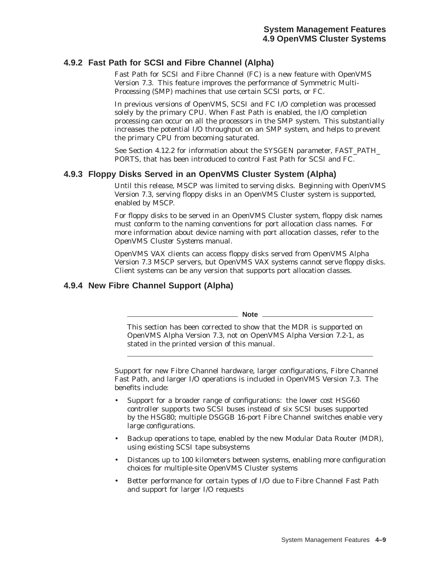### **4.9.2 Fast Path for SCSI and Fibre Channel (Alpha)**

Fast Path for SCSI and Fibre Channel (FC) is a new feature with OpenVMS Version 7.3. This feature improves the performance of Symmetric Multi-Processing (SMP) machines that use certain SCSI ports, or FC.

In previous versions of OpenVMS, SCSI and FC I/O completion was processed solely by the primary CPU. When Fast Path is enabled, the I/O completion processing can occur on all the processors in the SMP system. This substantially increases the potential I/O throughput on an SMP system, and helps to prevent the primary CPU from becoming saturated.

See Section 4.12.2 for information about the SYSGEN parameter, FAST\_PATH\_ PORTS, that has been introduced to control Fast Path for SCSI and FC.

#### **4.9.3 Floppy Disks Served in an OpenVMS Cluster System (Alpha)**

Until this release, MSCP was limited to serving disks. Beginning with OpenVMS Version 7.3, serving floppy disks in an OpenVMS Cluster system is supported, enabled by MSCP.

For floppy disks to be served in an OpenVMS Cluster system, floppy disk names must conform to the naming conventions for port allocation class names. For more information about device naming with port allocation classes, refer to the *OpenVMS Cluster Systems* manual.

OpenVMS VAX clients can access floppy disks served from OpenVMS Alpha Version 7.3 MSCP servers, but OpenVMS VAX systems cannot serve floppy disks. Client systems can be any version that supports port allocation classes.

### **4.9.4 New Fibre Channel Support (Alpha)**

**Note**

This section has been corrected to show that the MDR is supported on OpenVMS Alpha Version 7.3, not on OpenVMS Alpha Version 7.2-1, as stated in the printed version of this manual.

Support for new Fibre Channel hardware, larger configurations, Fibre Channel Fast Path, and larger I/O operations is included in OpenVMS Version 7.3. The benefits include:

- Support for a broader range of configurations: the lower cost HSG60 controller supports two SCSI buses instead of six SCSI buses supported by the HSG80; multiple DSGGB 16-port Fibre Channel switches enable very large configurations.
- Backup operations to tape, enabled by the new Modular Data Router (MDR), using existing SCSI tape subsystems
- Distances up to 100 kilometers between systems, enabling more configuration choices for multiple-site OpenVMS Cluster systems
- Better performance for certain types of I/O due to Fibre Channel Fast Path and support for larger I/O requests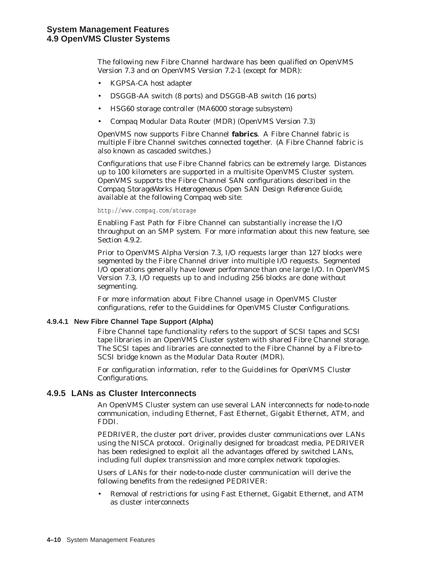The following new Fibre Channel hardware has been qualified on OpenVMS Version 7.3 and on OpenVMS Version 7.2-1 (except for MDR):

- KGPSA-CA host adapter
- DSGGB-AA switch (8 ports) and DSGGB-AB switch (16 ports)
- HSG60 storage controller (MA6000 storage subsystem)
- Compaq Modular Data Router (MDR) (OpenVMS Version 7.3)

OpenVMS now supports Fibre Channel **fabrics**. A Fibre Channel fabric is multiple Fibre Channel switches connected together. (A Fibre Channel fabric is also known as cascaded switches.)

Configurations that use Fibre Channel fabrics can be extremely large. Distances up to 100 kilometers are supported in a multisite OpenVMS Cluster system. OpenVMS supports the Fibre Channel SAN configurations described in the *Compaq StorageWorks Heterogeneous Open SAN Design Reference Guide*, available at the following Compaq web site:

#### http://www.compaq.com/storage

Enabling Fast Path for Fibre Channel can substantially increase the I/O throughput on an SMP system. For more information about this new feature, see Section 4.9.2.

Prior to OpenVMS Alpha Version 7.3, I/O requests larger than 127 blocks were segmented by the Fibre Channel driver into multiple I/O requests. Segmented I/O operations generally have lower performance than one large I/O. In OpenVMS Version 7.3, I/O requests up to and including 256 blocks are done without segmenting.

For more information about Fibre Channel usage in OpenVMS Cluster configurations, refer to the *Guidelines for OpenVMS Cluster Configurations*.

#### **4.9.4.1 New Fibre Channel Tape Support (Alpha)**

Fibre Channel tape functionality refers to the support of SCSI tapes and SCSI tape libraries in an OpenVMS Cluster system with shared Fibre Channel storage. The SCSI tapes and libraries are connected to the Fibre Channel by a Fibre-to-SCSI bridge known as the Modular Data Router (MDR).

For configuration information, refer to the *Guidelines for OpenVMS Cluster Configurations*.

#### **4.9.5 LANs as Cluster Interconnects**

An OpenVMS Cluster system can use several LAN interconnects for node-to-node communication, including Ethernet, Fast Ethernet, Gigabit Ethernet, ATM, and FDDI.

PEDRIVER, the cluster port driver, provides cluster communications over LANs using the NISCA protocol. Originally designed for broadcast media, PEDRIVER has been redesigned to exploit all the advantages offered by switched LANs, including full duplex transmission and more complex network topologies.

Users of LANs for their node-to-node cluster communication will derive the following benefits from the redesigned PEDRIVER:

• Removal of restrictions for using Fast Ethernet, Gigabit Ethernet, and ATM as cluster interconnects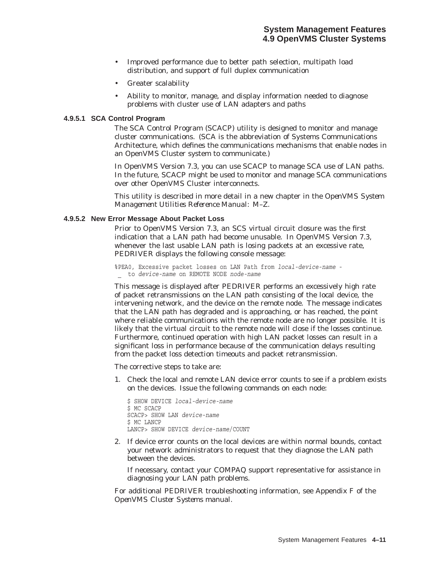- Improved performance due to better path selection, multipath load distribution, and support of full duplex communication
- Greater scalability
- Ability to monitor, manage, and display information needed to diagnose problems with cluster use of LAN adapters and paths

#### **4.9.5.1 SCA Control Program**

The SCA Control Program (SCACP) utility is designed to monitor and manage cluster communications. (SCA is the abbreviation of Systems Communications Architecture, which defines the communications mechanisms that enable nodes in an OpenVMS Cluster system to communicate.)

In OpenVMS Version 7.3, you can use SCACP to manage SCA use of LAN paths. In the future, SCACP might be used to monitor and manage SCA communications over other OpenVMS Cluster interconnects.

This utility is described in more detail in a new chapter in the *OpenVMS System Management Utilities Reference Manual: M–Z*.

#### **4.9.5.2 New Error Message About Packet Loss**

Prior to OpenVMS Version 7.3, an SCS virtual circuit closure was the first indication that a LAN path had become unusable. In OpenVMS Version 7.3, whenever the last usable LAN path is losing packets at an excessive rate, PEDRIVER displays the following console message:

```
%PEA0, Excessive packet losses on LAN Path from local-device-name - _ to device-name on REMOTE NODE node-name
```
This message is displayed after PEDRIVER performs an excessively high rate of packet retransmissions on the LAN path consisting of the local device, the intervening network, and the device on the remote node. The message indicates that the LAN path has degraded and is approaching, or has reached, the point where reliable communications with the remote node are no longer possible. It is likely that the virtual circuit to the remote node will close if the losses continue. Furthermore, continued operation with high LAN packet losses can result in a significant loss in performance because of the communication delays resulting from the packet loss detection timeouts and packet retransmission.

The corrective steps to take are:

1. Check the local and remote LAN device error counts to see if a problem exists on the devices. Issue the following commands on each node:

\$ SHOW DEVICE *local-device-name* \$ MC SCACP SCACP> SHOW LAN *device-name* \$ MC LANCP LANCP> SHOW DEVICE *device-name*/COUNT

2. If device error counts on the local devices are within normal bounds, contact your network administrators to request that they diagnose the LAN path between the devices.

If necessary, contact your COMPAQ support representative for assistance in diagnosing your LAN path problems.

For additional PEDRIVER troubleshooting information, see Appendix F of the *OpenVMS Cluster Systems* manual.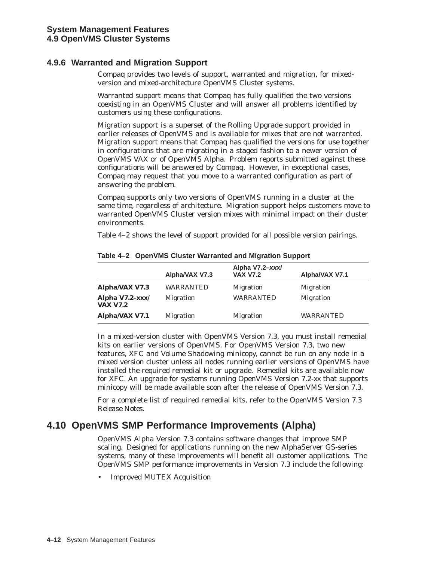### **4.9.6 Warranted and Migration Support**

Compaq provides two levels of support, warranted and migration, for mixedversion and mixed-architecture OpenVMS Cluster systems.

Warranted support means that Compaq has fully qualified the two versions coexisting in an OpenVMS Cluster and will answer all problems identified by customers using these configurations.

Migration support is a superset of the Rolling Upgrade support provided in earlier releases of OpenVMS and is available for mixes that are not warranted. Migration support means that Compaq has qualified the versions for use together in configurations that are migrating in a staged fashion to a newer version of OpenVMS VAX or of OpenVMS Alpha. Problem reports submitted against these configurations will be answered by Compaq. However, in exceptional cases, Compaq may request that you move to a warranted configuration as part of answering the problem.

Compaq supports only two versions of OpenVMS running in a cluster at the same time, regardless of architecture. Migration support helps customers move to warranted OpenVMS Cluster version mixes with minimal impact on their cluster environments.

Table 4–2 shows the level of support provided for all possible version pairings.

|                                    | Alpha/VAX V7.3   | Alpha V7.2-xxxl<br><b>VAX V7.2</b> | Alpha/VAX V7.1   |
|------------------------------------|------------------|------------------------------------|------------------|
| Alpha/VAX V7.3                     | <b>WARRANTED</b> | <b>Migration</b>                   | <b>Migration</b> |
| Alpha V7.2-xxx/<br><b>VAX V7.2</b> | <b>Migration</b> | <b>WARRANTED</b>                   | <b>Migration</b> |
| Alpha/VAX V7.1                     | <b>Migration</b> | <b>Migration</b>                   | <b>WARRANTED</b> |

**Table 4–2 OpenVMS Cluster Warranted and Migration Support**

In a mixed-version cluster with OpenVMS Version 7.3, you must install remedial kits on earlier versions of OpenVMS. For OpenVMS Version 7.3, two new features, XFC and Volume Shadowing minicopy, cannot be run on any node in a mixed version cluster unless all nodes running earlier versions of OpenVMS have installed the required remedial kit or upgrade. Remedial kits are available now for XFC. An upgrade for systems running OpenVMS Version 7.2-*xx* that supports minicopy will be made available soon after the release of OpenVMS Version 7.3.

For a complete list of required remedial kits, refer to the *OpenVMS Version 7.3 Release Notes*.

# **4.10 OpenVMS SMP Performance Improvements (Alpha)**

OpenVMS Alpha Version 7.3 contains software changes that improve SMP scaling. Designed for applications running on the new AlphaServer GS-series systems, many of these improvements will benefit all customer applications. The OpenVMS SMP performance improvements in Version 7.3 include the following:

• Improved MUTEX Acquisition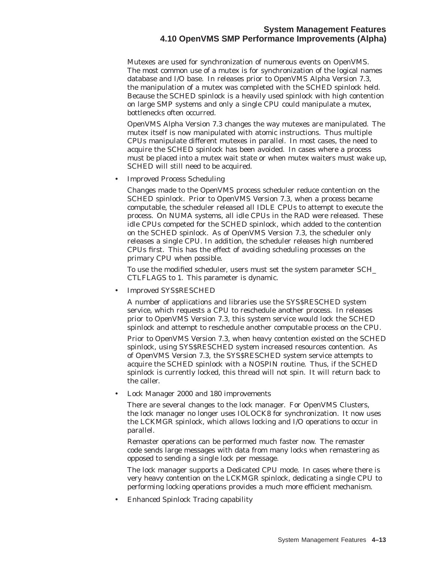### **System Management Features 4.10 OpenVMS SMP Performance Improvements (Alpha)**

Mutexes are used for synchronization of numerous events on OpenVMS. The most common use of a mutex is for synchronization of the logical names database and I/O base. In releases prior to OpenVMS Alpha Version 7.3, the manipulation of a mutex was completed with the SCHED spinlock held. Because the SCHED spinlock is a heavily used spinlock with high contention on large SMP systems and only a single CPU could manipulate a mutex, bottlenecks often occurred.

OpenVMS Alpha Version 7.3 changes the way mutexes are manipulated. The mutex itself is now manipulated with atomic instructions. Thus multiple CPUs manipulate different mutexes in parallel. In most cases, the need to acquire the SCHED spinlock has been avoided. In cases where a process must be placed into a mutex wait state or when mutex waiters must wake up, SCHED will still need to be acquired.

• Improved Process Scheduling

Changes made to the OpenVMS process scheduler reduce contention on the SCHED spinlock. Prior to OpenVMS Version 7.3, when a process became computable, the scheduler released all IDLE CPUs to attempt to execute the process. On NUMA systems, all idle CPUs in the RAD were released. These idle CPUs competed for the SCHED spinlock, which added to the contention on the SCHED spinlock. As of OpenVMS Version 7.3, the scheduler only releases a single CPU. In addition, the scheduler releases high numbered CPUs first. This has the effect of avoiding scheduling processes on the primary CPU when possible.

To use the modified scheduler, users must set the system parameter SCH\_ CTLFLAGS to 1. This parameter is dynamic.

• Improved SYS\$RESCHED

A number of applications and libraries use the SYS\$RESCHED system service, which requests a CPU to reschedule another process. In releases prior to OpenVMS Version 7.3, this system service would lock the SCHED spinlock and attempt to reschedule another computable process on the CPU.

Prior to OpenVMS Version 7.3, when heavy contention existed on the SCHED spinlock, using SYS\$RESCHED system increased resources contention. As of OpenVMS Version 7.3, the SYS\$RESCHED system service attempts to acquire the SCHED spinlock with a NOSPIN routine. Thus, if the SCHED spinlock is currently locked, this thread will not spin. It will return back to the caller.

• Lock Manager 2000 and 180 improvements

There are several changes to the lock manager. For OpenVMS Clusters, the lock manager no longer uses IOLOCK8 for synchronization. It now uses the LCKMGR spinlock, which allows locking and I/O operations to occur in parallel.

Remaster operations can be performed much faster now. The remaster code sends large messages with data from many locks when remastering as opposed to sending a single lock per message.

The lock manager supports a Dedicated CPU mode. In cases where there is very heavy contention on the LCKMGR spinlock, dedicating a single CPU to performing locking operations provides a much more efficient mechanism.

• Enhanced Spinlock Tracing capability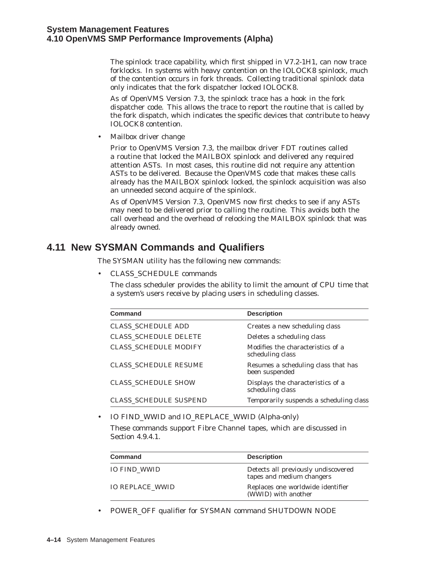The spinlock trace capability, which first shipped in V7.2-1H1, can now trace forklocks. In systems with heavy contention on the IOLOCK8 spinlock, much of the contention occurs in fork threads. Collecting traditional spinlock data only indicates that the fork dispatcher locked IOLOCK8.

As of OpenVMS Version 7.3, the spinlock trace has a hook in the fork dispatcher code. This allows the trace to report the routine that is called by the fork dispatch, which indicates the specific devices that contribute to heavy IOLOCK8 contention.

• Mailbox driver change

Prior to OpenVMS Version 7.3, the mailbox driver FDT routines called a routine that locked the MAILBOX spinlock and delivered any required attention ASTs. In most cases, this routine did not require any attention ASTs to be delivered. Because the OpenVMS code that makes these calls already has the MAILBOX spinlock locked, the spinlock acquisition was also an unneeded second acquire of the spinlock.

As of OpenVMS Version 7.3, OpenVMS now first checks to see if any ASTs may need to be delivered prior to calling the routine. This avoids both the call overhead and the overhead of relocking the MAILBOX spinlock that was already owned.

# **4.11 New SYSMAN Commands and Qualifiers**

The SYSMAN utility has the following new commands:

• CLASS\_SCHEDULE commands

The class scheduler provides the ability to limit the amount of CPU time that a system's users receive by placing users in scheduling classes.

| Command                       | <b>Description</b>                                    |
|-------------------------------|-------------------------------------------------------|
| <b>CLASS SCHEDULE ADD</b>     | Creates a new scheduling class                        |
| <b>CLASS SCHEDULE DELETE</b>  | Deletes a scheduling class                            |
| <b>CLASS SCHEDULE MODIFY</b>  | Modifies the characteristics of a<br>scheduling class |
| <b>CLASS SCHEDULE RESUME</b>  | Resumes a scheduling class that has<br>been suspended |
| <b>CLASS SCHEDULE SHOW</b>    | Displays the characteristics of a<br>scheduling class |
| <b>CLASS SCHEDULE SUSPEND</b> | Temporarily suspends a scheduling class               |

• IO FIND\_WWID and IO\_REPLACE\_WWID (Alpha-only)

These commands support Fibre Channel tapes, which are discussed in Section 4.9.4.1.

| <b>Command</b>         | <b>Description</b>                                               |
|------------------------|------------------------------------------------------------------|
| <b>IO FIND WWID</b>    | Detects all previously undiscovered<br>tapes and medium changers |
| <b>IO REPLACE WWID</b> | Replaces one worldwide identifier<br>(WWID) with another         |

• POWER\_OFF qualifier for SYSMAN command SHUTDOWN NODE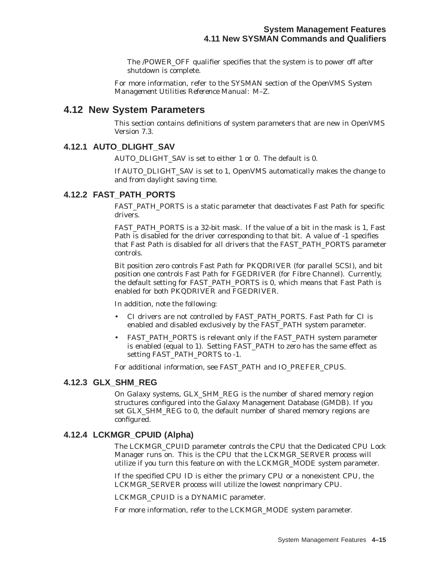The /POWER\_OFF qualifier specifies that the system is to power off after shutdown is complete.

For more information, refer to the SYSMAN section of the *OpenVMS System Management Utilities Reference Manual: M–Z*.

# **4.12 New System Parameters**

This section contains definitions of system parameters that are new in OpenVMS Version 7.3.

### **4.12.1 AUTO\_DLIGHT\_SAV**

AUTO\_DLIGHT\_SAV is set to either 1 or 0. The default is 0.

If AUTO\_DLIGHT\_SAV is set to 1, OpenVMS automatically makes the change to and from daylight saving time.

#### **4.12.2 FAST\_PATH\_PORTS**

FAST\_PATH\_PORTS is a static parameter that deactivates Fast Path for specific drivers.

FAST\_PATH\_PORTS is a 32-bit mask. If the value of a bit in the mask is 1, Fast Path is disabled for the driver corresponding to that bit. A value of -1 specifies that Fast Path is disabled for all drivers that the FAST\_PATH\_PORTS parameter controls.

Bit position zero controls Fast Path for PKQDRIVER (for parallel SCSI), and bit position one controls Fast Path for FGEDRIVER (for Fibre Channel). Currently, the default setting for FAST\_PATH\_PORTS is 0, which means that Fast Path is enabled for both PKQDRIVER and FGEDRIVER.

In addition, note the following:

- CI drivers are not controlled by FAST\_PATH\_PORTS. Fast Path for CI is enabled and disabled exclusively by the FAST\_PATH system parameter.
- FAST\_PATH\_PORTS is relevant only if the FAST\_PATH system parameter is enabled (equal to 1). Setting FAST\_PATH to zero has the same effect as setting FAST\_PATH\_PORTS to -1.

For additional information, see FAST\_PATH and IO\_PREFER\_CPUS.

### **4.12.3 GLX\_SHM\_REG**

On Galaxy systems, GLX\_SHM\_REG is the number of shared memory region structures configured into the Galaxy Management Database (GMDB). If you set GLX\_SHM\_REG to 0, the default number of shared memory regions are configured.

### **4.12.4 LCKMGR\_CPUID (Alpha)**

The LCKMGR\_CPUID parameter controls the CPU that the Dedicated CPU Lock Manager runs on. This is the CPU that the LCKMGR\_SERVER process will utilize if you turn this feature on with the LCKMGR\_MODE system parameter.

If the specified CPU ID is either the primary CPU or a nonexistent CPU, the LCKMGR\_SERVER process will utilize the lowest nonprimary CPU.

LCKMGR\_CPUID is a DYNAMIC parameter.

For more information, refer to the LCKMGR\_MODE system parameter.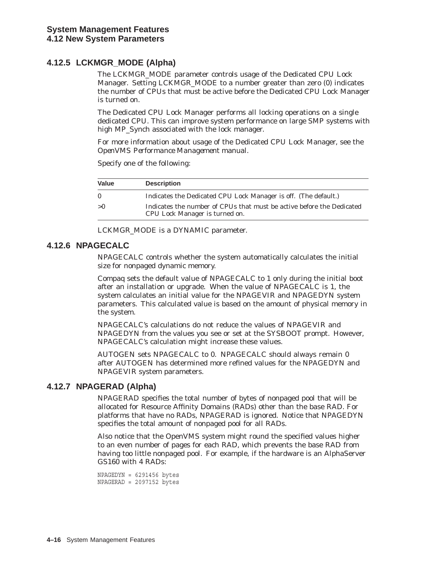### **4.12.5 LCKMGR\_MODE (Alpha)**

The LCKMGR\_MODE parameter controls usage of the Dedicated CPU Lock Manager. Setting LCKMGR\_MODE to a number greater than zero (0) indicates the number of CPUs that must be active before the Dedicated CPU Lock Manager is turned on.

The Dedicated CPU Lock Manager performs all locking operations on a single dedicated CPU. This can improve system performance on large SMP systems with high MP Synch associated with the lock manager.

For more information about usage of the Dedicated CPU Lock Manager, see the *OpenVMS Performance Management* manual.

| <b>Value</b> | <b>Description</b>                                                                                      |
|--------------|---------------------------------------------------------------------------------------------------------|
| $\Omega$     | Indicates the Dedicated CPU Lock Manager is off. (The default.)                                         |
| >0           | Indicates the number of CPUs that must be active before the Dedicated<br>CPU Lock Manager is turned on. |

Specify one of the following:

LCKMGR\_MODE is a DYNAMIC parameter.

#### **4.12.6 NPAGECALC**

NPAGECALC controls whether the system automatically calculates the initial size for nonpaged dynamic memory.

Compaq sets the default value of NPAGECALC to 1 only during the initial boot after an installation or upgrade. When the value of NPAGECALC is 1, the system calculates an initial value for the NPAGEVIR and NPAGEDYN system parameters. This calculated value is based on the amount of physical memory in the system.

NPAGECALC's calculations do not reduce the values of NPAGEVIR and NPAGEDYN from the values you see or set at the SYSBOOT prompt. However, NPAGECALC's calculation might increase these values.

AUTOGEN sets NPAGECALC to 0. NPAGECALC should always remain 0 after AUTOGEN has determined more refined values for the NPAGEDYN and NPAGEVIR system parameters.

### **4.12.7 NPAGERAD (Alpha)**

NPAGERAD specifies the total number of bytes of nonpaged pool that will be allocated for Resource Affinity Domains (RADs) other than the base RAD. For platforms that have no RADs, NPAGERAD is ignored. Notice that NPAGEDYN specifies the total amount of nonpaged pool for all RADs.

Also notice that the OpenVMS system might round the specified values higher to an even number of pages for each RAD, which prevents the base RAD from having too little nonpaged pool. For example, if the hardware is an AlphaServer GS160 with 4 RADs:

```
NPAGEDYN = 6291456 bytes
NPAGERAD = 2097152 bytes
```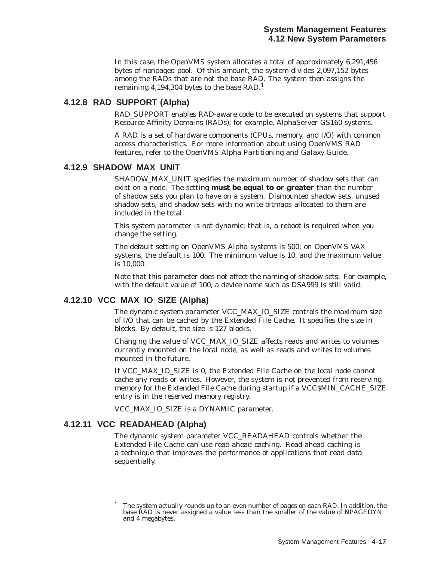In this case, the OpenVMS system allocates a total of approximately 6,291,456 bytes of nonpaged pool. Of this amount, the system divides 2,097,152 bytes among the RADs that are not the base RAD. The system then assigns the remaining 4,194,304 bytes to the base RAD.<sup>1</sup>

### **4.12.8 RAD\_SUPPORT (Alpha)**

RAD\_SUPPORT enables RAD-aware code to be executed on systems that support Resource Affinity Domains (RADs); for example, AlphaServer GS160 systems.

A RAD is a set of hardware components (CPUs, memory, and I/O) with common access characteristics. For more information about using OpenVMS RAD features, refer to the *OpenVMS Alpha Partitioning and Galaxy Guide*.

#### **4.12.9 SHADOW\_MAX\_UNIT**

SHADOW\_MAX\_UNIT specifies the maximum number of shadow sets that can exist on a node. The setting **must be equal to or greater** than the number of shadow sets you plan to have on a system. Dismounted shadow sets, unused shadow sets, and shadow sets with no write bitmaps allocated to them are included in the total.

This system parameter is not dynamic; that is, a reboot is required when you change the setting.

The default setting on OpenVMS Alpha systems is 500; on OpenVMS VAX systems, the default is 100. The minimum value is 10, and the maximum value is 10,000.

Note that this parameter does not affect the naming of shadow sets. For example, with the default value of 100, a device name such as DSA999 is still valid.

### **4.12.10 VCC\_MAX\_IO\_SIZE (Alpha)**

The dynamic system parameter VCC\_MAX\_IO\_SIZE controls the maximum size of I/O that can be cached by the Extended File Cache. It specifies the size in blocks. By default, the size is 127 blocks.

Changing the value of VCC\_MAX\_IO\_SIZE affects reads and writes to volumes currently mounted on the local node, as well as reads and writes to volumes mounted in the future.

If VCC\_MAX\_IO\_SIZE is 0, the Extended File Cache on the local node cannot cache any reads or writes. However, the system is not prevented from reserving memory for the Extended File Cache during startup if a VCC\$MIN\_CACHE\_SIZE entry is in the reserved memory registry.

VCC\_MAX\_IO\_SIZE is a DYNAMIC parameter.

### **4.12.11 VCC\_READAHEAD (Alpha)**

The dynamic system parameter VCC\_READAHEAD controls whether the Extended File Cache can use read-ahead caching. Read-ahead caching is a technique that improves the performance of applications that read data sequentially.

The system actually rounds up to an even number of pages on each RAD. In addition, the base RAD is never assigned a value less than the smaller of the value of NPAGEDYN and 4 megabytes.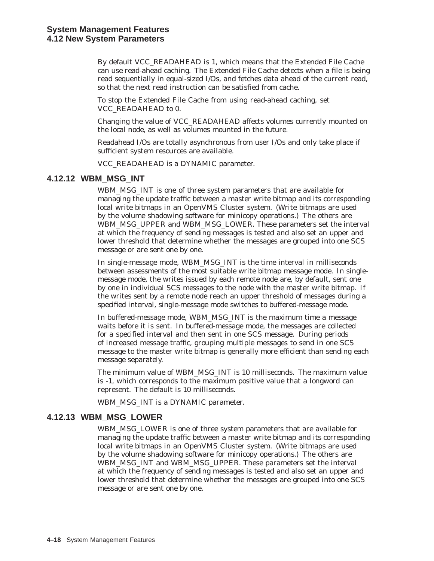By default VCC\_READAHEAD is 1, which means that the Extended File Cache can use read-ahead caching. The Extended File Cache detects when a file is being read sequentially in equal-sized I/Os, and fetches data ahead of the current read, so that the next read instruction can be satisfied from cache.

To stop the Extended File Cache from using read-ahead caching, set VCC\_READAHEAD to 0.

Changing the value of VCC\_READAHEAD affects volumes currently mounted on the local node, as well as volumes mounted in the future.

Readahead I/Os are totally asynchronous from user I/Os and only take place if sufficient system resources are available.

VCC\_READAHEAD is a DYNAMIC parameter.

### **4.12.12 WBM\_MSG\_INT**

WBM\_MSG\_INT is one of three system parameters that are available for managing the update traffic between a master write bitmap and its corresponding local write bitmaps in an OpenVMS Cluster system. (Write bitmaps are used by the volume shadowing software for minicopy operations.) The others are WBM\_MSG\_UPPER and WBM\_MSG\_LOWER. These parameters set the interval at which the frequency of sending messages is tested and also set an upper and lower threshold that determine whether the messages are grouped into one SCS message or are sent one by one.

In single-message mode, WBM\_MSG\_INT is the time interval in milliseconds between assessments of the most suitable write bitmap message mode. In singlemessage mode, the writes issued by each remote node are, by default, sent one by one in individual SCS messages to the node with the master write bitmap. If the writes sent by a remote node reach an upper threshold of messages during a specified interval, single-message mode switches to buffered-message mode.

In buffered-message mode, WBM\_MSG\_INT is the maximum time a message waits before it is sent. In buffered-message mode, the messages are collected for a specified interval and then sent in one SCS message. During periods of increased message traffic, grouping multiple messages to send in one SCS message to the master write bitmap is generally more efficient than sending each message separately.

The minimum value of WBM\_MSG\_INT is 10 milliseconds. The maximum value is -1, which corresponds to the maximum positive value that a longword can represent. The default is 10 milliseconds.

WBM\_MSG\_INT is a DYNAMIC parameter.

#### **4.12.13 WBM\_MSG\_LOWER**

WBM\_MSG\_LOWER is one of three system parameters that are available for managing the update traffic between a master write bitmap and its corresponding local write bitmaps in an OpenVMS Cluster system. (Write bitmaps are used by the volume shadowing software for minicopy operations.) The others are WBM\_MSG\_INT and WBM\_MSG\_UPPER. These parameters set the interval at which the frequency of sending messages is tested and also set an upper and lower threshold that determine whether the messages are grouped into one SCS message or are sent one by one.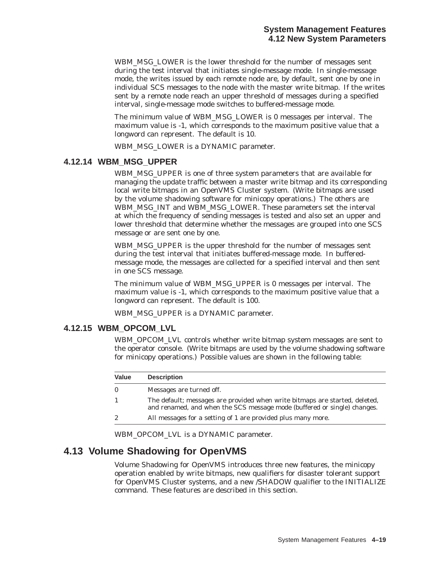WBM\_MSG\_LOWER is the lower threshold for the number of messages sent during the test interval that initiates single-message mode. In single-message mode, the writes issued by each remote node are, by default, sent one by one in individual SCS messages to the node with the master write bitmap. If the writes sent by a remote node reach an upper threshold of messages during a specified interval, single-message mode switches to buffered-message mode.

The minimum value of WBM\_MSG\_LOWER is 0 messages per interval. The maximum value is -1, which corresponds to the maximum positive value that a longword can represent. The default is 10.

WBM\_MSG\_LOWER is a DYNAMIC parameter.

#### **4.12.14 WBM\_MSG\_UPPER**

WBM MSG UPPER is one of three system parameters that are available for managing the update traffic between a master write bitmap and its corresponding local write bitmaps in an OpenVMS Cluster system. (Write bitmaps are used by the volume shadowing software for minicopy operations.) The others are WBM\_MSG\_INT and WBM\_MSG\_LOWER. These parameters set the interval at which the frequency of sending messages is tested and also set an upper and lower threshold that determine whether the messages are grouped into one SCS message or are sent one by one.

WBM\_MSG\_UPPER is the upper threshold for the number of messages sent during the test interval that initiates buffered-message mode. In bufferedmessage mode, the messages are collected for a specified interval and then sent in one SCS message.

The minimum value of WBM\_MSG\_UPPER is 0 messages per interval. The maximum value is -1, which corresponds to the maximum positive value that a longword can represent. The default is 100.

WBM\_MSG\_UPPER is a DYNAMIC parameter.

#### **4.12.15 WBM\_OPCOM\_LVL**

WBM\_OPCOM\_LVL controls whether write bitmap system messages are sent to the operator console. (Write bitmaps are used by the volume shadowing software for minicopy operations.) Possible values are shown in the following table:

| Value    | <b>Description</b>                                                                                                                                      |
|----------|---------------------------------------------------------------------------------------------------------------------------------------------------------|
| $\Omega$ | Messages are turned off.                                                                                                                                |
|          | The default; messages are provided when write bitmaps are started, deleted,<br>and renamed, and when the SCS message mode (buffered or single) changes. |
| 2        | All messages for a setting of 1 are provided plus many more.                                                                                            |

WBM\_OPCOM\_LVL is a DYNAMIC parameter.

# **4.13 Volume Shadowing for OpenVMS**

Volume Shadowing for OpenVMS introduces three new features, the minicopy operation enabled by write bitmaps, new qualifiers for disaster tolerant support for OpenVMS Cluster systems, and a new /SHADOW qualifier to the INITIALIZE command. These features are described in this section.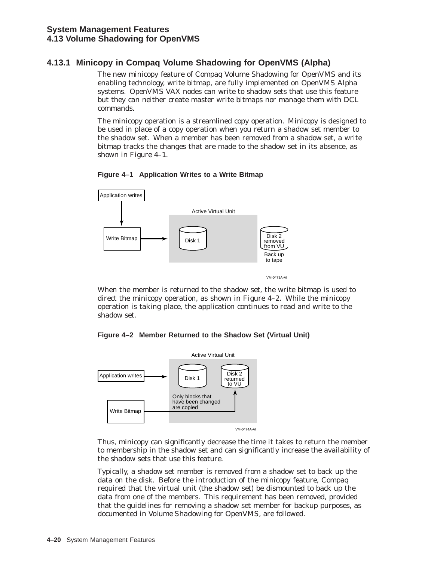# **4.13.1 Minicopy in Compaq Volume Shadowing for OpenVMS (Alpha)**

The new minicopy feature of Compaq Volume Shadowing for OpenVMS and its enabling technology, write bitmap, are fully implemented on OpenVMS Alpha systems. OpenVMS VAX nodes can write to shadow sets that use this feature but they can neither create master write bitmaps nor manage them with DCL commands.

The minicopy operation is a streamlined copy operation. Minicopy is designed to be used in place of a copy operation when you return a shadow set member to the shadow set. When a member has been removed from a shadow set, a write bitmap tracks the changes that are made to the shadow set in its absence, as shown in Figure 4–1.





When the member is returned to the shadow set, the write bitmap is used to direct the minicopy operation, as shown in Figure 4–2. While the minicopy operation is taking place, the application continues to read and write to the shadow set.

#### **Figure 4–2 Member Returned to the Shadow Set (Virtual Unit)**



Thus, minicopy can significantly decrease the time it takes to return the member to membership in the shadow set and can significantly increase the availability of the shadow sets that use this feature.

Typically, a shadow set member is removed from a shadow set to back up the data on the disk. Before the introduction of the minicopy feature, Compaq required that the virtual unit (the shadow set) be dismounted to back up the data from one of the members. This requirement has been removed, provided that the guidelines for removing a shadow set member for backup purposes, as documented in *Volume Shadowing for OpenVMS*, are followed.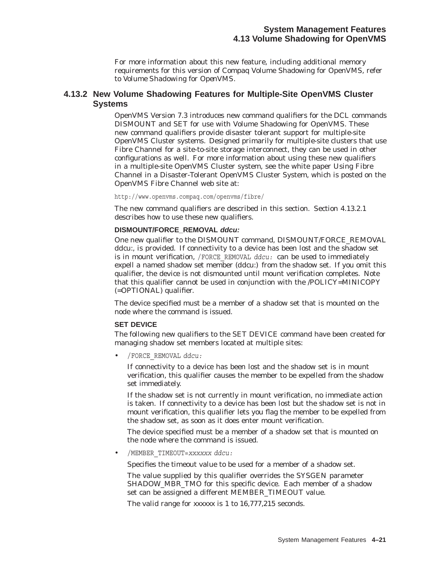For more information about this new feature, including additional memory requirements for this version of Compaq Volume Shadowing for OpenVMS, refer to *Volume Shadowing for OpenVMS*.

### **4.13.2 New Volume Shadowing Features for Multiple-Site OpenVMS Cluster Systems**

OpenVMS Version 7.3 introduces new command qualifiers for the DCL commands DISMOUNT and SET for use with Volume Shadowing for OpenVMS. These new command qualifiers provide disaster tolerant support for multiple-site OpenVMS Cluster systems. Designed primarily for multiple-site clusters that use Fibre Channel for a site-to-site storage interconnect, they can be used in other configurations as well. For more information about using these new qualifiers in a multiple-site OpenVMS Cluster system, see the white paper Using Fibre Channel in a Disaster-Tolerant OpenVMS Cluster System, which is posted on the OpenVMS Fibre Channel web site at:

http://www.openvms.compaq.com/openvms/fibre/

The new command qualifiers are described in this section. Section 4.13.2.1 describes how to use these new qualifiers.

#### **DISMOUNT/FORCE\_REMOVAL ddcu:**

One new qualifier to the DISMOUNT command, DISMOUNT/FORCE\_REMOVAL *ddcu:*, is provided. If connectivity to a device has been lost and the shadow set is in mount verification, /FORCE\_REMOVAL *ddcu:* can be used to immediately expell a named shadow set member (*ddcu:*) from the shadow set. If you omit this qualifier, the device is not dismounted until mount verification completes. Note that this qualifier cannot be used in conjunction with the /POLICY=MINICOPY (=OPTIONAL) qualifier.

The device specified must be a member of a shadow set that is mounted on the node where the command is issued.

#### **SET DEVICE**

The following new qualifiers to the SET DEVICE command have been created for managing shadow set members located at multiple sites:

• /FORCE\_REMOVAL *ddcu:*

If connectivity to a device has been lost and the shadow set is in mount verification, this qualifier causes the member to be expelled from the shadow set immediately.

If the shadow set is not currently in mount verification, no immediate action is taken. If connectivity to a device has been lost but the shadow set is not in mount verification, this qualifier lets you flag the member to be expelled from the shadow set, as soon as it does enter mount verification.

The device specified must be a member of a shadow set that is mounted on the node where the command is issued.

• /MEMBER\_TIMEOUT=*xxxxxx ddcu:*

Specifies the timeout value to be used for a member of a shadow set.

The value supplied by this qualifier overrides the SYSGEN parameter SHADOW MBR TMO for this specific device. Each member of a shadow set can be assigned a different MEMBER\_TIMEOUT value.

The valid range for *xxxxxx* is 1 to 16,777,215 seconds.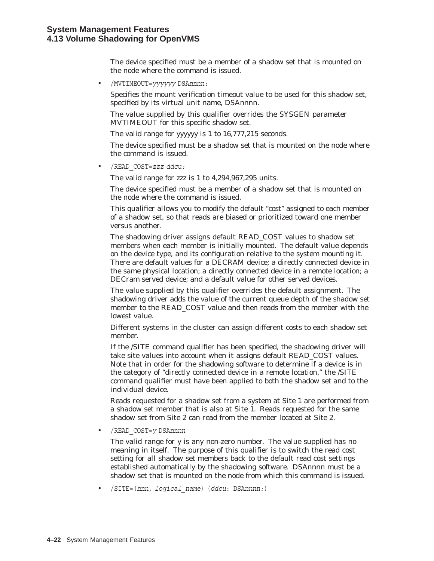The device specified must be a member of a shadow set that is mounted on the node where the command is issued.

• /MVTIMEOUT=*yyyyyy* DSA*nnnn*:

Specifies the mount verification timeout value to be used for this shadow set, specified by its virtual unit name, DSA*nnnn*.

The value supplied by this qualifier overrides the SYSGEN parameter MVTIMEOUT for this specific shadow set.

The valid range for *yyyyyy* is 1 to 16,777,215 seconds.

The device specified must be a shadow set that is mounted on the node where the command is issued.

• /READ\_COST=*zzz ddcu:*

The valid range for *zzz* is 1 to 4,294,967,295 units.

The device specified must be a member of a shadow set that is mounted on the node where the command is issued.

This qualifier allows you to modify the default ''cost'' assigned to each member of a shadow set, so that reads are biased or prioritized toward one member versus another.

The shadowing driver assigns default READ\_COST values to shadow set members when each member is initially mounted. The default value depends on the device type, and its configuration relative to the system mounting it. There are default values for a DECRAM device; a directly connected device in the same physical location; a directly connected device in a remote location; a DECram served device; and a default value for other served devices.

The value supplied by this qualifier overrides the default assignment. The shadowing driver adds the value of the current queue depth of the shadow set member to the READ\_COST value and then reads from the member with the lowest value.

Different systems in the cluster can assign different costs to each shadow set member.

If the /SITE command qualifier has been specified, the shadowing driver will take site values into account when it assigns default READ\_COST values. Note that in order for the shadowing software to determine if a device is in the category of ''directly connected device in a remote location,'' the /SITE command qualifier must have been applied to both the shadow set and to the individual device.

Reads requested for a shadow set from a system at Site 1 are performed from a shadow set member that is also at Site 1. Reads requested for the same shadow set from Site 2 can read from the member located at Site 2.

• /READ\_COST=*y* DSA*nnnn*

The valid range for *y* is any non-zero number. The value supplied has no meaning in itself. The purpose of this qualifier is to switch the read cost setting for all shadow set members back to the default read cost settings established automatically by the shadowing software. DSA*nnnn* must be a shadow set that is mounted on the node from which this command is issued.

• /SITE=(*nnn, logical\_name*) (*ddcu*: DSA*nnnn:*)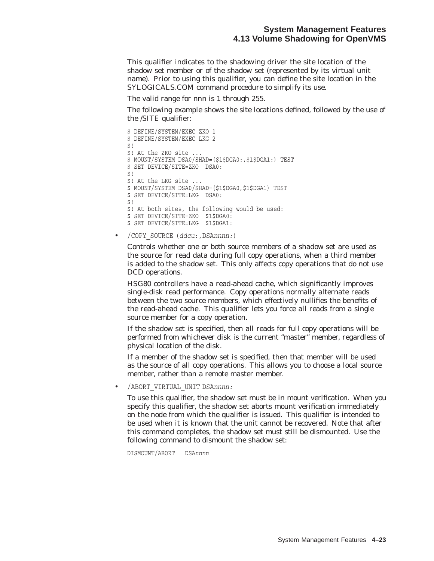This qualifier indicates to the shadowing driver the site location of the shadow set member or of the shadow set (represented by its virtual unit name). Prior to using this qualifier, you can define the site location in the SYLOGICALS.COM command procedure to simplify its use.

The valid range for *nnn* is 1 through 255.

The following example shows the site locations defined, followed by the use of the /SITE qualifier:

```
$ DEFINE/SYSTEM/EXEC ZKO 1
$ DEFINE/SYSTEM/EXEC LKG 2
$!
$! At the ZKO site ...
$ MOUNT/SYSTEM DSA0/SHAD=($1$DGA0:,$1$DGA1:) TEST
$ SET DEVICE/SITE=ZKO DSA0:
$1$! At the LKG site ...
$ MOUNT/SYSTEM DSA0/SHAD=($1$DGA0,$1$DGA1) TEST
$ SET DEVICE/SITE=LKG DSA0:
\zeta !
$! At both sites, the following would be used:
$ SET DEVICE/SITE=ZKO $1$DGA0:
$ SET DEVICE/SITE=LKG $1$DGA1:
```
• /COPY\_SOURCE (*ddcu*:,DSA*nnnn:*)

Controls whether one or both source members of a shadow set are used as the source for read data during full copy operations, when a third member is added to the shadow set. This only affects copy operations that do not use DCD operations.

HSG80 controllers have a read-ahead cache, which significantly improves single-disk read performance. Copy operations normally alternate reads between the two source members, which effectively nullifies the benefits of the read-ahead cache. This qualifier lets you force all reads from a single source member for a copy operation.

If the shadow set is specified, then all reads for full copy operations will be performed from whichever disk is the current ''master'' member, regardless of physical location of the disk.

If a member of the shadow set is specified, then that member will be used as the source of all copy operations. This allows you to choose a local source member, rather than a remote master member.

• /ABORT\_VIRTUAL\_UNIT DSA*nnnn:*

To use this qualifier, the shadow set must be in mount verification. When you specify this qualifier, the shadow set aborts mount verification immediately on the node from which the qualifier is issued. This qualifier is intended to be used when it is known that the unit cannot be recovered. Note that after this command completes, the shadow set must still be dismounted. Use the following command to dismount the shadow set:

DISMOUNT/ABORT DSA*nnnn*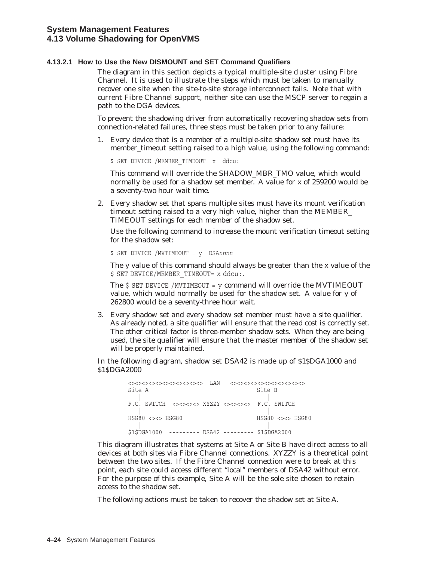#### **4.13.2.1 How to Use the New DISMOUNT and SET Command Qualifiers**

The diagram in this section depicts a typical multiple-site cluster using Fibre Channel. It is used to illustrate the steps which must be taken to manually recover one site when the site-to-site storage interconnect fails. Note that with current Fibre Channel support, neither site can use the MSCP server to regain a path to the DGA devices.

To prevent the shadowing driver from automatically recovering shadow sets from connection-related failures, three steps must be taken prior to any failure:

1. Every device that is a member of a multiple-site shadow set must have its member\_timeout setting raised to a high value, using the following command:

\$ SET DEVICE /MEMBER\_TIMEOUT= x ddcu:

This command will override the SHADOW\_MBR\_TMO value, which would normally be used for a shadow set member. A value for x of 259200 would be a seventy-two hour wait time.

2. Every shadow set that spans multiple sites must have its mount verification timeout setting raised to a very high value, higher than the MEMBER\_ TIMEOUT settings for each member of the shadow set.

Use the following command to increase the mount verification timeout setting for the shadow set:

\$ SET DEVICE /MVTIMEOUT = y DSA*nnnn*

The y value of this command should always be greater than the x value of the \$ SET DEVICE/MEMBER\_TIMEOUT= x ddcu:.

The  $$ SET$  DEVICE /MVTIMEOUT = y command will override the MVTIMEOUT value, which would normally be used for the shadow set. A value for y of 262800 would be a seventy-three hour wait.

3. Every shadow set and every shadow set member must have a site qualifier. As already noted, a site qualifier will ensure that the read cost is correctly set. The other critical factor is three-member shadow sets. When they are being used, the site qualifier will ensure that the master member of the shadow set will be properly maintained.

In the following diagram, shadow set DSA42 is made up of \$1\$DGA1000 and \$1\$DGA2000

> <><><><><><><><><><><> LAN <><><><><><><><><><><> Site A Site B | | F.C. SWITCH <><><>>>><>> XYZZY <><>>>><>>> F.C. SWITCH | | HSG80 <><> HSG80 HSG80 <><> HSG80 | | \$1\$DGA1000 --------- DSA42 --------- \$1\$DGA2000

This diagram illustrates that systems at Site A or Site B have direct access to all devices at both sites via Fibre Channel connections. XYZZY is a theoretical point between the two sites. If the Fibre Channel connection were to break at this point, each site could access different ''local'' members of DSA42 without error. For the purpose of this example, Site A will be the sole site chosen to retain access to the shadow set.

The following actions must be taken to recover the shadow set at Site A.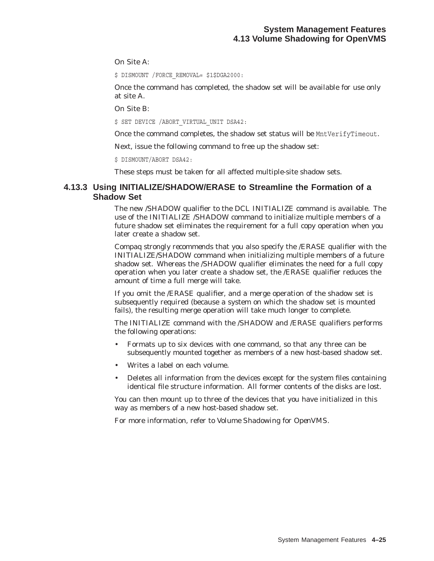On Site A:

\$ DISMOUNT /FORCE\_REMOVAL= \$1\$DGA2000:

Once the command has completed, the shadow set will be available for use only at site A.

On Site B:

\$ SET DEVICE /ABORT VIRTUAL UNIT DSA42:

Once the command completes, the shadow set status will be MntVerifyTimeout.

Next, issue the following command to free up the shadow set:

\$ DISMOUNT/ABORT DSA42:

These steps must be taken for all affected multiple-site shadow sets.

### **4.13.3 Using INITIALIZE/SHADOW/ERASE to Streamline the Formation of a Shadow Set**

The new /SHADOW qualifier to the DCL INITIALIZE command is available. The use of the INITIALIZE /SHADOW command to initialize multiple members of a future shadow set eliminates the requirement for a full copy operation when you later create a shadow set.

Compaq *strongly recommends* that you also specify the /ERASE qualifier with the INITIALIZE/SHADOW command when initializing multiple members of a future shadow set. Whereas the /SHADOW qualifier eliminates the need for a full copy operation when you later create a shadow set, the /ERASE qualifier reduces the amount of time a full merge will take.

If you omit the /ERASE qualifier, and a merge operation of the shadow set is subsequently required (because a system on which the shadow set is mounted fails), the resulting merge operation will take much longer to complete.

The INITIALIZE command with the /SHADOW and /ERASE qualifiers performs the following operations:

- Formats up to six devices with one command, so that any three can be subsequently mounted together as members of a new host-based shadow set.
- Writes a label on each volume.
- Deletes all information from the devices except for the system files containing identical file structure information. All former contents of the disks are lost.

You can then mount up to three of the devices that you have initialized in this way as members of a new host-based shadow set.

For more information, refer to *Volume Shadowing for OpenVMS*.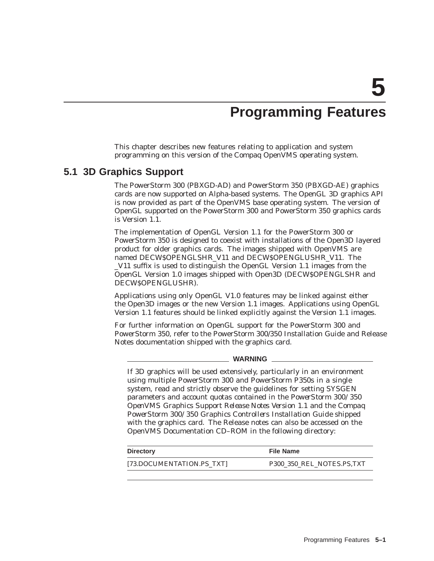# **Programming Features**

This chapter describes new features relating to application and system programming on this version of the Compaq OpenVMS operating system.

# **5.1 3D Graphics Support**

The PowerStorm 300 (PBXGD-AD) and PowerStorm 350 (PBXGD-AE) graphics cards are now supported on Alpha-based systems. The OpenGL 3D graphics API is now provided as part of the OpenVMS base operating system. The version of OpenGL supported on the PowerStorm 300 and PowerStorm 350 graphics cards is Version 1.1.

The implementation of OpenGL Version 1.1 for the PowerStorm 300 or PowerStorm 350 is designed to coexist with installations of the Open3D layered product for older graphics cards. The images shipped with OpenVMS are named DECW\$OPENGLSHR\_V11 and DECW\$OPENGLUSHR\_V11. The \_V11 suffix is used to distinguish the OpenGL Version 1.1 images from the OpenGL Version 1.0 images shipped with Open3D (DECW\$OPENGLSHR and DECW\$OPENGLUSHR).

Applications using only OpenGL V1.0 features may be linked against either the Open3D images or the new Version 1.1 images. Applications using OpenGL Version 1.1 features should be linked explicitly against the Version 1.1 images.

For further information on OpenGL support for the PowerStorm 300 and PowerStorm 350, refer to the PowerStorm 300/350 Installation Guide and Release Notes documentation shipped with the graphics card.

**WARNING**

If 3D graphics will be used extensively, particularly in an environment using multiple PowerStorm 300 and PowerStorm P350s in a single system, read and strictly observe the guidelines for setting SYSGEN parameters and account quotas contained in the *PowerStorm 300/350 OpenVMS Graphics Support Release Notes Version 1.1* and the *Compaq PowerStorm 300/350 Graphics Controllers Installation Guide* shipped with the graphics card. The Release notes can also be accessed on the OpenVMS Documentation CD–ROM in the following directory:

| <b>Directory</b>          | File Name                 |
|---------------------------|---------------------------|
| [73.DOCUMENTATION.PS TXT] | P300 350 REL NOTES.PS.TXT |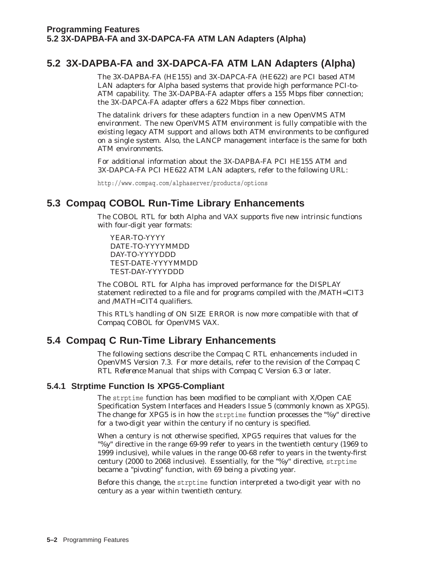# **5.2 3X-DAPBA-FA and 3X-DAPCA-FA ATM LAN Adapters (Alpha)**

The 3X-DAPBA-FA (HE155) and 3X-DAPCA-FA (HE622) are PCI based ATM LAN adapters for Alpha based systems that provide high performance PCI-to-ATM capability. The 3X-DAPBA-FA adapter offers a 155 Mbps fiber connection; the 3X-DAPCA-FA adapter offers a 622 Mbps fiber connection.

The datalink drivers for these adapters function in a new OpenVMS ATM environment. The new OpenVMS ATM environment is fully compatible with the existing legacy ATM support and allows both ATM environments to be configured on a single system. Also, the LANCP management interface is the same for both ATM environments.

For additional information about the 3X-DAPBA-FA PCI HE155 ATM and 3X-DAPCA-FA PCI HE622 ATM LAN adapters, refer to the following URL:

http://www.compaq.com/alphaserver/products/options

# **5.3 Compaq COBOL Run-Time Library Enhancements**

The COBOL RTL for both Alpha and VAX supports five new intrinsic functions with four-digit year formats:

YEAR-TO-YYYY DATE-TO-YYYYMMDD DAY-TO-YYYYDDD TEST-DATE-YYYYMMDD TEST-DAY-YYYYDDD

The COBOL RTL for Alpha has improved performance for the DISPLAY statement redirected to a file and for programs compiled with the /MATH=CIT3 and /MATH=CIT4 qualifiers.

This RTL's handling of ON SIZE ERROR is now more compatible with that of Compaq COBOL for OpenVMS VAX.

# **5.4 Compaq C Run-Time Library Enhancements**

The following sections describe the Compaq C RTL enhancements included in OpenVMS Version 7.3. For more details, refer to the revision of the *Compaq C RTL Reference Manual* that ships with Compaq C Version 6.3 or later.

### **5.4.1 Strptime Function Is XPG5-Compliant**

The strptime function has been modified to be compliant with X/Open CAE Specification System Interfaces and Headers Issue 5 (commonly known as XPG5). The change for XPG5 is in how the strptime function processes the "%y" directive for a two-digit year within the century if no century is specified.

When a century is not otherwise specified, XPG5 requires that values for the "%y" directive in the range 69-99 refer to years in the twentieth century (1969 to 1999 inclusive), while values in the range 00-68 refer to years in the twenty-first century (2000 to 2068 inclusive). Essentially, for the "%y" directive, strptime became a "pivoting" function, with 69 being a pivoting year.

Before this change, the strptime function interpreted a two-digit year with no century as a year within twentieth century.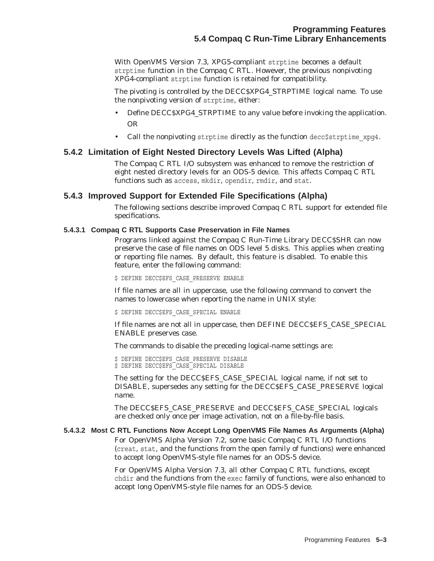With OpenVMS Version 7.3, XPG5-compliant strptime becomes a default strptime function in the Compaq C RTL. However, the previous nonpivoting XPG4-compliant strptime function is retained for compatibility.

The pivoting is controlled by the DECC\$XPG4\_STRPTIME logical name. To use the nonpivoting version of strptime, either:

- Define DECC\$XPG4\_STRPTIME to any value before invoking the application. OR
- Call the nonpivoting strptime directly as the function decc\$strptime\_xpq4.

#### **5.4.2 Limitation of Eight Nested Directory Levels Was Lifted (Alpha)**

The Compaq C RTL I/O subsystem was enhanced to remove the restriction of eight nested directory levels for an ODS-5 device. This affects Compaq C RTL functions such as access, mkdir, opendir, rmdir, and stat.

#### **5.4.3 Improved Support for Extended File Specifications (Alpha)**

The following sections describe improved Compaq C RTL support for extended file specifications.

#### **5.4.3.1 Compaq C RTL Supports Case Preservation in File Names**

Programs linked against the Compaq C Run-Time Library DECC\$SHR can now preserve the case of file names on ODS level 5 disks. This applies when creating or reporting file names. By default, this feature is disabled. To enable this feature, enter the following command:

\$ DEFINE DECC\$EFS\_CASE\_PRESERVE ENABLE

If file names are all in uppercase, use the following command to convert the names to lowercase when reporting the name in UNIX style:

\$ DEFINE DECC\$EFS\_CASE\_SPECIAL ENABLE

If file names are not all in uppercase, then DEFINE DECC\$EFS\_CASE\_SPECIAL ENABLE preserves case.

The commands to disable the preceding logical-name settings are:

\$ DEFINE DECC\$EFS\_CASE\_PRESERVE DISABLE \$ DEFINE DECC\$EFS<sup>-</sup>CASE<sup>-</sup>SPECIAL DISABLE

The setting for the DECC\$EFS\_CASE\_SPECIAL logical name, if not set to DISABLE, supersedes any setting for the DECC\$EFS\_CASE\_PRESERVE logical name.

The DECC\$EFS\_CASE\_PRESERVE and DECC\$EFS\_CASE\_SPECIAL logicals are checked only once per image activation, not on a file-by-file basis.

#### **5.4.3.2 Most C RTL Functions Now Accept Long OpenVMS File Names As Arguments (Alpha)**

For OpenVMS Alpha Version 7.2, some basic Compaq C RTL I/O functions (creat, stat, and the functions from the open family of functions) were enhanced to accept long OpenVMS-style file names for an ODS-5 device.

For OpenVMS Alpha Version 7.3, all other Compaq C RTL functions, except chdir and the functions from the exec family of functions, were also enhanced to accept long OpenVMS-style file names for an ODS-5 device.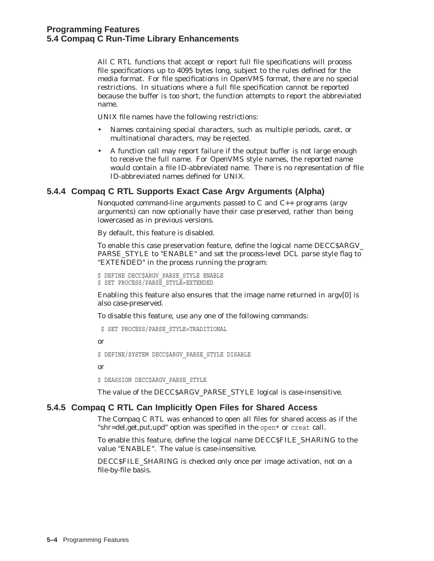All C RTL functions that accept or report full file specifications will process file specifications up to 4095 bytes long, subject to the rules defined for the media format. For file specifications in OpenVMS format, there are no special restrictions. In situations where a full file specification cannot be reported because the buffer is too short, the function attempts to report the abbreviated name.

UNIX file names have the following restrictions:

- Names containing special characters, such as multiple periods, caret, or multinational characters, may be rejected.
- A function call may report failure if the output buffer is not large enough to receive the full name. For OpenVMS style names, the reported name would contain a file ID-abbreviated name. There is no representation of file ID-abbreviated names defined for UNIX.

# **5.4.4 Compaq C RTL Supports Exact Case Argv Arguments (Alpha)**

Nonquoted command-line arguments passed to C and C++ programs (argv arguments) can now optionally have their case preserved, rather than being lowercased as in previous versions.

By default, this feature is disabled.

To enable this case preservation feature, define the logical name DECC\$ARGV\_ PARSE\_STYLE to "ENABLE" and set the process-level DCL parse style flag to "EXTENDED" in the process running the program:

\$ DEFINE DECC\$ARGV PARSE STYLE ENABLE \$ SET PROCESS/PARSE\_STYLE=EXTENDED

Enabling this feature also ensures that the image name returned in argv[0] is also case-preserved.

To disable this feature, use any one of the following commands:

```
$ SET PROCESS/PARSE_STYLE=TRADITIONAL
```
or

 $$$  DEFINE/SYSTEM DECC $$$ ARGV PARSE STYLE DISABLE

or

```
$ DEASSIGN DECC$ARGV_PARSE_STYLE
```
The value of the DECC\$ARGV\_PARSE\_STYLE logical is case-insensitive.

### **5.4.5 Compaq C RTL Can Implicitly Open Files for Shared Access**

The Compaq C RTL was enhanced to open all files for shared access as if the "shr=del,get,put,upd" option was specified in the open\* or creat call.

To enable this feature, define the logical name DECC\$FILE\_SHARING to the value "ENABLE". The value is case-insensitive.

DECC\$FILE\_SHARING is checked only once per image activation, not on a file-by-file basis.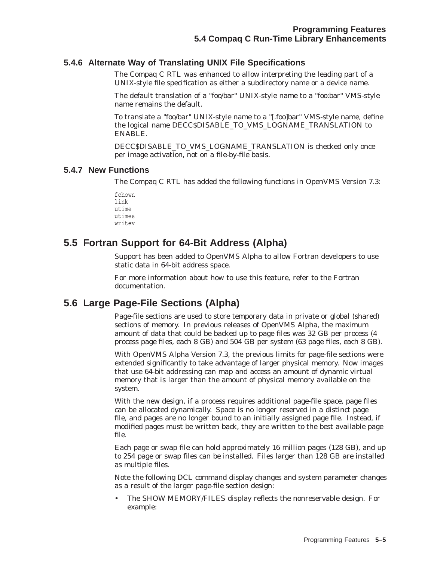### **5.4.6 Alternate Way of Translating UNIX File Specifications**

The Compaq C RTL was enhanced to allow interpreting the leading part of a UNIX-style file specification as either a subdirectory name or a device name.

The default translation of a "foo/bar" UNIX-style name to a "foo:bar" VMS-style name remains the default.

To translate a "foo/bar" UNIX-style name to a "[.foo]bar" VMS-style name, define the logical name DECC\$DISABLE\_TO\_VMS\_LOGNAME\_TRANSLATION to ENABLE.

DECC\$DISABLE\_TO\_VMS\_LOGNAME\_TRANSLATION is checked only once per image activation, not on a file-by-file basis.

#### **5.4.7 New Functions**

The Compaq C RTL has added the following functions in OpenVMS Version 7.3:

fchown link utime utimes writev

# **5.5 Fortran Support for 64-Bit Address (Alpha)**

Support has been added to OpenVMS Alpha to allow Fortran developers to use static data in 64-bit address space.

For more information about how to use this feature, refer to the Fortran documentation.

# **5.6 Large Page-File Sections (Alpha)**

Page-file sections are used to store temporary data in private or global (shared) sections of memory. In previous releases of OpenVMS Alpha, the maximum amount of data that could be backed up to page files was 32 GB per process (4 process page files, each 8 GB) and 504 GB per system (63 page files, each 8 GB).

With OpenVMS Alpha Version 7.3, the previous limits for page-file sections were extended significantly to take advantage of larger physical memory. Now images that use 64-bit addressing can map and access an amount of dynamic virtual memory that is larger than the amount of physical memory available on the system.

With the new design, if a process requires additional page-file space, page files can be allocated dynamically. Space is no longer reserved in a distinct page file, and pages are no longer bound to an initially assigned page file. Instead, if modified pages must be written back, they are written to the best available page file.

Each page or swap file can hold approximately 16 million pages (128 GB), and up to 254 page or swap files can be installed. Files larger than 128 GB are installed as multiple files.

Note the following DCL command display changes and system parameter changes as a result of the larger page-file section design:

• The SHOW MEMORY/FILES display reflects the nonreservable design. For example: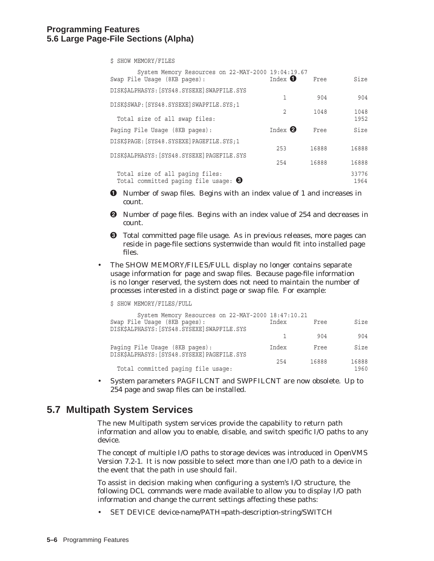### **Programming Features 5.6 Large Page-File Sections (Alpha)**

\$ SHOW MEMORY/FILES

| System Memory Resources on 22-MAY-2000 19:04:19.67<br>Swap File Usage (8KB pages): | Index $\mathbf 0$       | Free  | Size          |
|------------------------------------------------------------------------------------|-------------------------|-------|---------------|
| DISK\$ALPHASYS: [SYS48.SYSEXE] SWAPFILE.SYS                                        |                         |       |               |
| DISK\$SWAP: [SYS48.SYSEXE] SWAPFILE.SYS;1                                          | 1                       | 904   | 904           |
| Total size of all swap files:                                                      | $\mathfrak{D}$          | 1048  | 1048<br>1952  |
| Paging File Usage (8KB pages):                                                     | Index $\mathbf{\Omega}$ | Free  | Size          |
| DISK\$PAGE: [SYS48.SYSEXE] PAGEFILE.SYS; 1                                         |                         |       |               |
|                                                                                    | 253                     | 16888 | 16888         |
| DISK\$ALPHASYS: [SYS48.SYSEXE] PAGEFILE.SYS                                        | 254                     | 16888 | 16888         |
| Total size of all paging files:<br>Total committed paging file usage: $\bigcirc$   |                         |       | 33776<br>1964 |

- ! Number of swap files. Begins with an index value of 1 and increases in count.
- **2** Number of page files. Begins with an index value of 254 and decreases in count.
- $\Theta$  Total committed page file usage. As in previous releases, more pages can reside in page-file sections systemwide than would fit into installed page files.
- The SHOW MEMORY/FILES/FULL display no longer contains separate usage information for page and swap files. Because page-file information is no longer reserved, the system does not need to maintain the number of processes interested in a distinct page or swap file. For example:

| System Memory Resources on 22-MAY-2000 18:47:10.21<br>Swap File Usaqe (8KB pages):<br>DISK\$ALPHASYS: [SYS48.SYSEXE] SWAPFILE.SYS | Index | Free  | Size          |
|-----------------------------------------------------------------------------------------------------------------------------------|-------|-------|---------------|
|                                                                                                                                   |       | 904   | 904           |
| Paging File Usage (8KB pages):<br>DISK\$ALPHASYS: [SYS48.SYSEXE] PAGEFILE.SYS                                                     | Index | Free  | Size          |
| Total committed paging file usage:                                                                                                | 254   | 16888 | 16888<br>1960 |

• System parameters PAGFILCNT and SWPFILCNT are now obsolete. Up to 254 page and swap files can be installed.

# **5.7 Multipath System Services**

\$ SHOW MEMORY/FILES/FULL

The new Multipath system services provide the capability to return path information and allow you to enable, disable, and switch specific I/O paths to any device.

The concept of multiple I/O paths to storage devices was introduced in OpenVMS Version 7.2-1. It is now possible to select more than one I/O path to a device in the event that the path in use should fail.

To assist in decision making when configuring a system's I/O structure, the following DCL commands were made available to allow you to display I/O path information and change the current settings affecting these paths:

• SET DEVICE device-name/PATH=path-description-string/SWITCH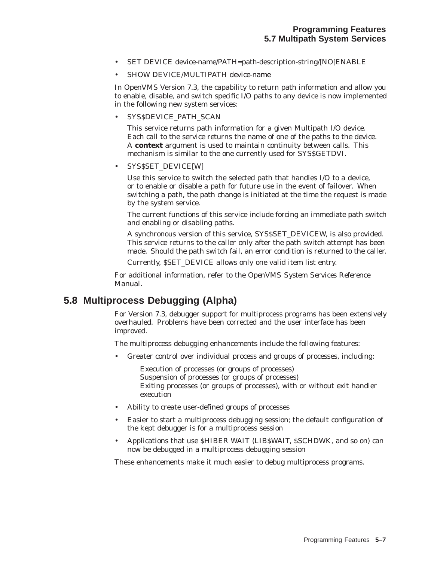- SET DEVICE device-name/PATH=path-description-string/[NO]ENABLE
- SHOW DEVICE/MULTIPATH device-name

In OpenVMS Version 7.3, the capability to return path information and allow you to enable, disable, and switch specific I/O paths to any device is now implemented in the following new system services:

• SYS\$DEVICE\_PATH\_SCAN

This service returns path information for a given Multipath I/O device. Each call to the service returns the name of one of the paths to the device. A **context** argument is used to maintain continuity between calls. This mechanism is similar to the one currently used for SYS\$GETDVI.

• SYS\$SET\_DEVICE[W]

Use this service to switch the selected path that handles I/O to a device, or to enable or disable a path for future use in the event of failover. When switching a path, the path change is initiated at the time the request is made by the system service.

The current functions of this service include forcing an immediate path switch and enabling or disabling paths.

A synchronous version of this service, SYS\$SET\_DEVICEW, is also provided. This service returns to the caller only after the path switch attempt has been made. Should the path switch fail, an error condition is returned to the caller.

Currently, \$SET\_DEVICE allows only one valid item list entry.

For additional information, refer to the *OpenVMS System Services Reference Manual*.

# **5.8 Multiprocess Debugging (Alpha)**

For Version 7.3, debugger support for multiprocess programs has been extensively overhauled. Problems have been corrected and the user interface has been improved.

The multiprocess debugging enhancements include the following features:

• Greater control over individual process and groups of processes, including:

Execution of processes (or groups of processes) Suspension of processes (or groups of processes) Exiting processes (or groups of processes), with or without exit handler execution

- Ability to create user-defined groups of processes
- Easier to start a multiprocess debugging session; the default configuration of the kept debugger is for a multiprocess session
- Applications that use \$HIBER WAIT (LIB\$WAIT, \$SCHDWK, and so on) can now be debugged in a multiprocess debugging session

These enhancements make it much easier to debug multiprocess programs.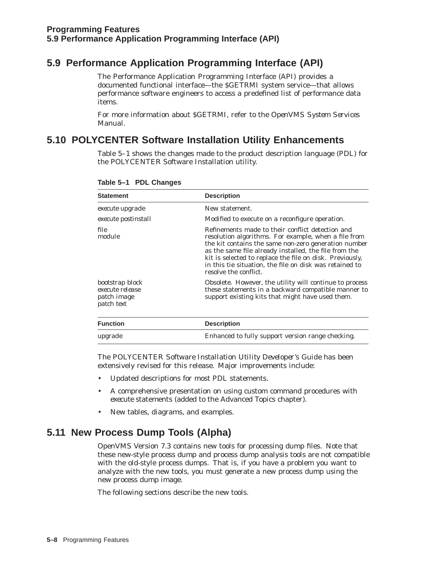# **5.9 Performance Application Programming Interface (API)**

The Performance Application Programming Interface (API) provides a documented functional interface—the \$GETRMI system service—that allows performance software engineers to access a predefined list of performance data items.

For more information about \$GETRMI, refer to the *OpenVMS System Services Manual*.

# **5.10 POLYCENTER Software Installation Utility Enhancements**

Table 5–1 shows the changes made to the product description language (PDL) for the POLYCENTER Software Installation utility.

| <b>Statement</b>                                                | <b>Description</b>                                                                                                                                                                                                                                                                                                                                                        |
|-----------------------------------------------------------------|---------------------------------------------------------------------------------------------------------------------------------------------------------------------------------------------------------------------------------------------------------------------------------------------------------------------------------------------------------------------------|
| execute upgrade                                                 | New statement.                                                                                                                                                                                                                                                                                                                                                            |
| execute postinstall                                             | Modified to execute on a reconfigure operation.                                                                                                                                                                                                                                                                                                                           |
| file<br>module                                                  | Refinements made to their conflict detection and<br>resolution algorithms. For example, when a file from<br>the kit contains the same non-zero generation number<br>as the same file already installed, the file from the<br>kit is selected to replace the file on disk. Previously,<br>in this tie situation, the file on disk was retained to<br>resolve the conflict. |
| bootstrap block<br>execute release<br>patch image<br>patch text | Obsolete. However, the utility will continue to process<br>these statements in a backward compatible manner to<br>support existing kits that might have used them.                                                                                                                                                                                                        |
| <b>Function</b>                                                 | <b>Description</b>                                                                                                                                                                                                                                                                                                                                                        |
| upgrade                                                         | Enhanced to fully support version range checking.                                                                                                                                                                                                                                                                                                                         |

**Table 5–1 PDL Changes**

The *POLYCENTER Software Installation Utility Developer's Guide* has been extensively revised for this release. Major improvements include:

- Updated descriptions for most PDL statements.
- A comprehensive presentation on using custom command procedures with *execute* statements (added to the Advanced Topics chapter).
- New tables, diagrams, and examples.

# **5.11 New Process Dump Tools (Alpha)**

OpenVMS Version 7.3 contains new tools for processing dump files. Note that these new-style process dump and process dump analysis tools are not compatible with the old-style process dumps. That is, if you have a problem you want to analyze with the new tools, you must generate a new process dump using the new process dump image.

The following sections describe the new tools.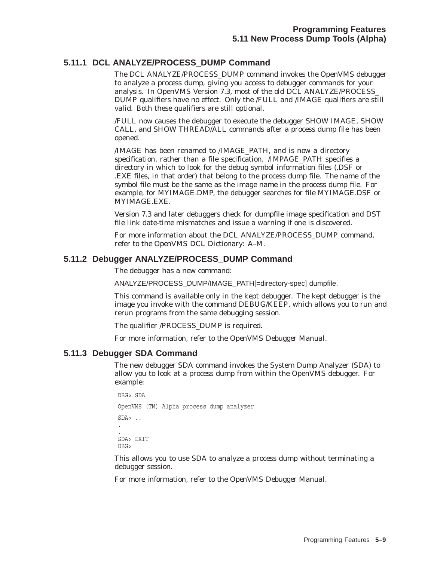### **5.11.1 DCL ANALYZE/PROCESS\_DUMP Command**

The DCL ANALYZE/PROCESS\_DUMP command invokes the OpenVMS debugger to analyze a process dump, giving you access to debugger commands for your analysis. In OpenVMS Version 7.3, most of the old DCL ANALYZE/PROCESS\_ DUMP qualifiers have no effect. Only the /FULL and /IMAGE qualifiers are still valid. Both these qualifiers are still optional.

/FULL now causes the debugger to execute the debugger SHOW IMAGE, SHOW CALL, and SHOW THREAD/ALL commands after a process dump file has been opened.

/IMAGE has been renamed to /IMAGE\_PATH, and is now a directory specification, rather than a file specification. /IMPAGE\_PATH specifies a directory in which to look for the debug symbol information files (.DSF or .EXE files, in that order) that belong to the process dump file. The name of the symbol file *must* be the same as the image name in the process dump file. For example, for MYIMAGE.DMP, the debugger searches for file MYIMAGE.DSF or MYIMAGE.EXE.

Version 7.3 and later debuggers check for dumpfile image specification and DST file link date-time mismatches and issue a warning if one is discovered.

For more information about the DCL ANALYZE/PROCESS\_DUMP command, refer to the *OpenVMS DCL Dictionary: A–M*.

### **5.11.2 Debugger ANALYZE/PROCESS\_DUMP Command**

The debugger has a new command:

ANALYZE/PROCESS\_DUMP/IMAGE\_PATH[=directory-spec] dumpfile.

This command is available only in the kept debugger. The kept debugger is the image you invoke with the command DEBUG/KEEP, which allows you to run and rerun programs from the same debugging session.

The qualifier /PROCESS\_DUMP is required.

For more information, refer to the *OpenVMS Debugger Manual*.

#### **5.11.3 Debugger SDA Command**

The new debugger SDA command invokes the System Dump Analyzer (SDA) to allow you to look at a process dump from within the OpenVMS debugger. For example:

```
DBG> SDA
OpenVMS (TM) Alpha process dump analyzer
SDA> ..
.
.
SDA> EXIT
DBG>
```
This allows you to use SDA to analyze a process dump without terminating a debugger session.

For more information, refer to the *OpenVMS Debugger Manual*.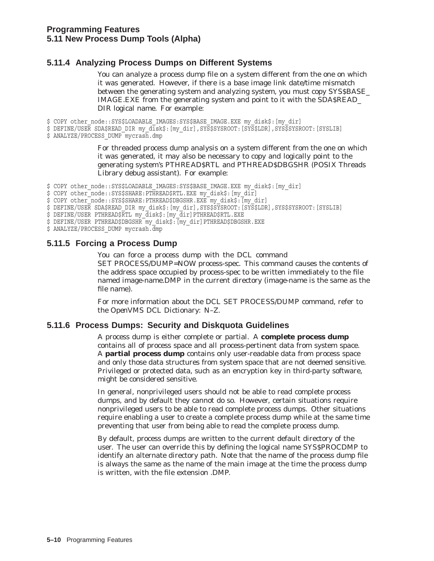### **5.11.4 Analyzing Process Dumps on Different Systems**

You can analyze a process dump file on a system different from the one on which it was generated. However, if there is a base image link date/time mismatch between the generating system and analyzing system, you must copy SYS\$BASE\_ IMAGE.EXE from the generating system and point to it with the SDA\$READ\_ DIR logical name. For example:

\$ COPY other node::SYS\$LOADABLE IMAGES:SYS\$BASE IMAGE.EXE my disk\$: [my dir]

\$ DEFINE/USER SDA\$READ\_DIR my\_disk\$:[my\_dir],SYS\$SYSROOT:[SYS\$LDR],SYS\$SYSROOT:[SYSLIB]

\$ ANALYZE/PROCESS\_DUMP mycrash.dmp

For threaded process dump analysis on a system different from the one on which it was generated, it may also be necessary to copy and logically point to the generating system's PTHREAD\$RTL and PTHREAD\$DBGSHR (POSIX Threads Library debug assistant). For example:

\$ COPY other node::SYS\$LOADABLE IMAGES:SYS\$BASE IMAGE.EXE my disk\$: [my dir]

```
$ COPY other_node::SYS$SHARE:PTHREAD$RTL.EXE my_disk$: [my_dir]
```
\$ COPY other\_node::SYS\$SHARE:PTHREAD\$DBGSHR.EXE my\_disk\$: [my\_dir]

\$ DEFINE/USER SDA\$READ\_DIR my\_disk\$:[my\_dir],SYS\$SYSROOT:[SYS\$LDR],SYS\$SYSROOT:[SYSLIB]

\$ DEFINE/USER PTHREAD\$RTL my\_disk\$:[my\_dir]PTHREAD\$RTL.EXE

\$ DEFINE/USER PTHREAD\$DBGSHR my\_disk\$: [my\_dir]PTHREAD\$DBGSHR.EXE

\$ ANALYZE/PROCESS\_DUMP mycrash.dmp

#### **5.11.5 Forcing a Process Dump**

You can force a process dump with the DCL command SET PROCESS/DUMP=NOW process-spec. This command causes the contents of the address space occupied by process-spec to be written immediately to the file named image-name.DMP in the current directory (image-name is the same as the file name).

For more information about the DCL SET PROCESS/DUMP command, refer to the *OpenVMS DCL Dictionary: N–Z*.

#### **5.11.6 Process Dumps: Security and Diskquota Guidelines**

A process dump is either complete or partial. A **complete process dump** contains all of process space and all process-pertinent data from system space. A **partial process dump** contains only user-readable data from process space and only those data structures from system space that are not deemed sensitive. Privileged or protected data, such as an encryption key in third-party software, might be considered sensitive.

In general, nonprivileged users should not be able to read complete process dumps, and by default they cannot do so. However, certain situations require nonprivileged users to be able to read complete process dumps. Other situations require enabling a user to create a complete process dump while at the same time preventing that user from being able to read the complete process dump.

By default, process dumps are written to the current default directory of the user. The user can override this by defining the logical name SYS\$PROCDMP to identify an alternate directory path. Note that the name of the process dump file is always the same as the name of the main image at the time the process dump is written, with the file extension .DMP.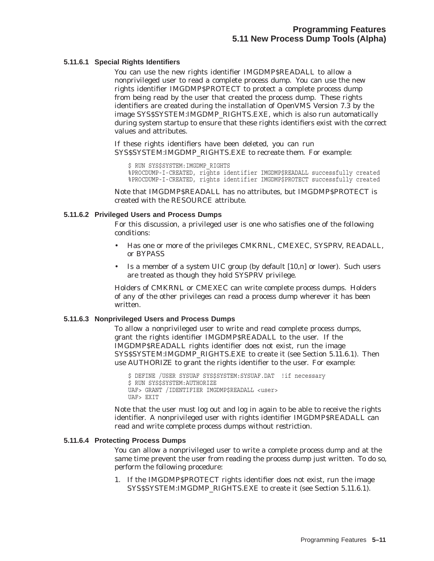#### **5.11.6.1 Special Rights Identifiers**

You can use the new rights identifier IMGDMP\$READALL to allow a nonprivileged user to read a complete process dump. You can use the new rights identifier IMGDMP\$PROTECT to protect a complete process dump from being read by the user that created the process dump. These rights identifiers are created during the installation of OpenVMS Version 7.3 by the image SYS\$SYSTEM:IMGDMP\_RIGHTS.EXE, which is also run automatically during system startup to ensure that these rights identifiers exist with the correct values and attributes.

If these rights identifiers have been deleted, you can run SYS\$SYSTEM:IMGDMP\_RIGHTS.EXE to recreate them. For example:

\$ RUN SYS\$SYSTEM:IMGDMP\_RIGHTS %PROCDUMP-I-CREATED, rights identifier IMGDMP\$READALL successfully created %PROCDUMP-I-CREATED, rights identifier IMGDMP\$PROTECT successfully created

Note that IMGDMP\$READALL has no attributes, but IMGDMP\$PROTECT is created with the RESOURCE attribute.

#### **5.11.6.2 Privileged Users and Process Dumps**

For this discussion, a privileged user is one who satisfies one of the following conditions:

- Has one or more of the privileges CMKRNL, CMEXEC, SYSPRV, READALL, or BYPASS
- Is a member of a system UIC group (by default [10,n] or lower). Such users are treated as though they hold SYSPRV privilege.

Holders of CMKRNL or CMEXEC can write complete process dumps. Holders of any of the other privileges can read a process dump wherever it has been written.

#### **5.11.6.3 Nonprivileged Users and Process Dumps**

To allow a nonprivileged user to write and read complete process dumps, grant the rights identifier IMGDMP\$READALL to the user. If the IMGDMP\$READALL rights identifier does not exist, run the image SYS\$SYSTEM:IMGDMP\_RIGHTS.EXE to create it (see Section 5.11.6.1). Then use AUTHORIZE to grant the rights identifier to the user. For example:

\$ DEFINE /USER SYSUAF SYS\$SYSTEM:SYSUAF.DAT !if necessary \$ RUN SYS\$SYSTEM:AUTHORIZE UAF> GRANT /IDENTIFIER IMGDMP\$READALL <user> UAF> EXIT

Note that the user must log out and log in again to be able to receive the rights identifier. A nonprivileged user with rights identifier IMGDMP\$READALL can read and write complete process dumps without restriction.

#### **5.11.6.4 Protecting Process Dumps**

You can allow a nonprivileged user to write a complete process dump and at the same time prevent the user from reading the process dump just written. To do so, perform the following procedure:

1. If the IMGDMP\$PROTECT rights identifier does not exist, run the image SYS\$SYSTEM:IMGDMP\_RIGHTS.EXE to create it (see Section 5.11.6.1).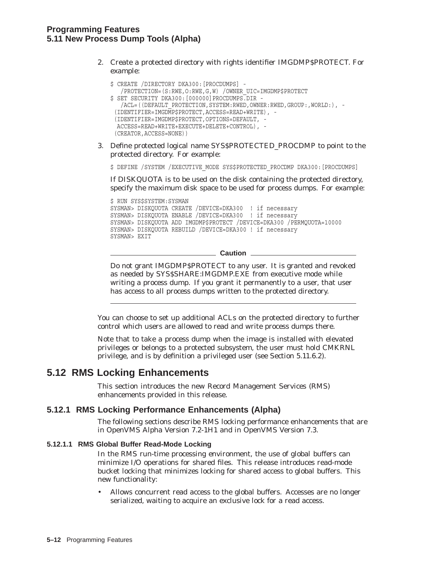2. Create a protected directory with rights identifier IMGDMP\$PROTECT. For example:

```
$ CREATE /DIRECTORY DKA300:[PROCDUMPS] -
   /PROTECTION=(S:RWE,O:RWE,G,W) /OWNER_UIC=IMGDMP$PROTECT
$ SET SECURITY DKA300:[000000]PROCDUMPS.DIR -
  /ACL=((DEFAULT_PROTECTION, SYSTEM:RWED, OWNER:RWED, GROUP:, WORLD:), -
 (IDENTIFIER=IMGDMP$PROTECT,ACCESS=READ+WRITE), -
 (IDENTIFIER=IMGDMP$PROTECT,OPTIONS=DEFAULT, -
 ACCESS=READ+WRITE+EXECUTE+DELETE+CONTROL), -
 (CREATOR,ACCESS=NONE))
```
3. Define protected logical name SYS\$PROTECTED\_PROCDMP to point to the protected directory. For example:

\$ DEFINE /SYSTEM /EXECUTIVE MODE SYS\$PROTECTED PROCDMP DKA300: [PROCDUMPS]

If DISKQUOTA is to be used on the disk containing the protected directory, specify the maximum disk space to be used for process dumps. For example:

\$ RUN SYS\$SYSTEM:SYSMAN SYSMAN> DISKQUOTA CREATE /DEVICE=DKA300 ! if necessary SYSMAN> DISKQUOTA ENABLE /DEVICE=DKA300 ! if necessary SYSMAN> DISKQUOTA ADD IMGDMP\$PROTECT /DEVICE=DKA300 /PERMQUOTA=10000 SYSMAN> DISKQUOTA REBUILD /DEVICE=DKA300 ! if necessary SYSMAN> EXIT

**Caution**

Do not grant IMGDMP\$PROTECT to any user. It is granted and revoked as needed by SYS\$SHARE:IMGDMP.EXE from executive mode while writing a process dump. If you grant it permanently to a user, that user has access to all process dumps written to the protected directory.

You can choose to set up additional ACLs on the protected directory to further control which users are allowed to read and write process dumps there.

Note that to take a process dump when the image is installed with elevated privileges or belongs to a protected subsystem, the user must hold CMKRNL privilege, and is by definition a privileged user (see Section 5.11.6.2).

# **5.12 RMS Locking Enhancements**

This section introduces the new Record Management Services (RMS) enhancements provided in this release.

#### **5.12.1 RMS Locking Performance Enhancements (Alpha)**

The following sections describe RMS locking performance enhancements that are in OpenVMS Alpha Version 7.2-1H1 and in OpenVMS Version 7.3.

#### **5.12.1.1 RMS Global Buffer Read-Mode Locking**

In the RMS run-time processing environment, the use of global buffers can minimize I/O operations for shared files. This release introduces read-mode bucket locking that minimizes locking for shared access to global buffers. This new functionality:

• Allows concurrent read access to the global buffers. Accesses are no longer serialized, waiting to acquire an exclusive lock for a read access.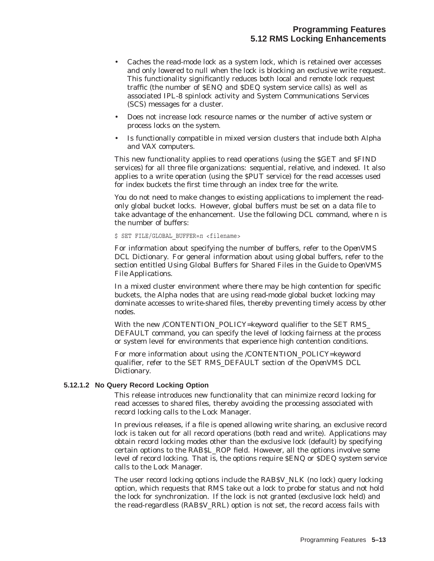- Caches the read-mode lock as a system lock, which is retained over accesses and only lowered to null when the lock is blocking an exclusive write request. This functionality significantly reduces both local and remote lock request traffic (the number of \$ENQ and \$DEQ system service calls) as well as associated IPL-8 spinlock activity and System Communications Services (SCS) messages for a cluster.
- Does not increase lock resource names or the number of active system or process locks on the system.
- Is functionally compatible in mixed version clusters that include both Alpha and VAX computers.

This new functionality applies to read operations (using the \$GET and \$FIND services) for all three file organizations: sequential, relative, and indexed. It also applies to a write operation (using the \$PUT service) for the read accesses used for index buckets the first time through an index tree for the write.

You do not need to make changes to existing applications to implement the readonly global bucket locks. However, global buffers must be set on a data file to take advantage of the enhancement. Use the following DCL command, where *n* is the number of buffers:

\$ SET FILE/GLOBAL\_BUFFER=*n* <filename>

For information about specifying the number of buffers, refer to the *OpenVMS DCL Dictionary*. For general information about using global buffers, refer to the section entitled Using Global Buffers for Shared Files in the *Guide to OpenVMS File Applications*.

In a mixed cluster environment where there may be high contention for specific buckets, the Alpha nodes that are using read-mode global bucket locking may dominate accesses to write-shared files, thereby preventing timely access by other nodes.

With the new /CONTENTION\_POLICY=*keyword* qualifier to the SET RMS\_ DEFAULT command, you can specify the level of locking fairness at the process or system level for environments that experience high contention conditions.

For more information about using the /CONTENTION\_POLICY=*keyword* qualifier, refer to the SET RMS\_DEFAULT section of the *OpenVMS DCL Dictionary*.

#### **5.12.1.2 No Query Record Locking Option**

This release introduces new functionality that can minimize record locking for read accesses to shared files, thereby avoiding the processing associated with record locking calls to the Lock Manager.

In previous releases, if a file is opened allowing write sharing, an exclusive record lock is taken out for all record operations (both read and write). Applications may obtain record locking modes other than the exclusive lock (default) by specifying certain options to the RAB\$L\_ROP field. However, all the options involve some level of record locking. That is, the options require \$ENQ or \$DEQ system service calls to the Lock Manager.

The user record locking options include the RAB\$V\_NLK (no lock) query locking option, which requests that RMS take out a lock to probe for status and not hold the lock for synchronization. If the lock is not granted (exclusive lock held) and the read-regardless (RAB\$V\_RRL) option is not set, the record access fails with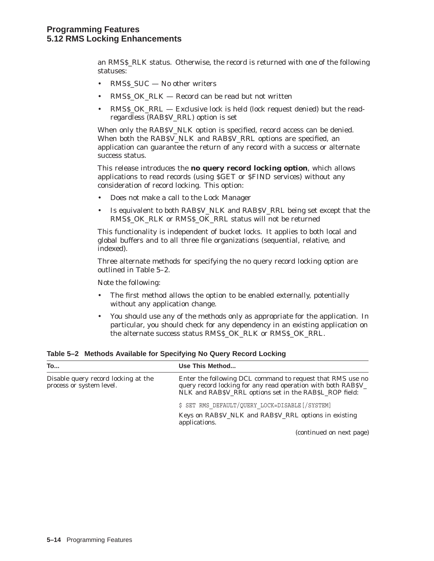an RMS\$\_RLK status. Otherwise, the record is returned with one of the following statuses:

- RMS\$ SUC No other writers
- RMS\$ OK\_RLK Record can be read but not written
- RMS\$\_OK\_RRL Exclusive lock is held (lock request denied) but the readregardless (RAB\$V\_RRL) option is set

When only the RAB\$V\_NLK option is specified, record access can be denied. When both the RAB\$V\_NLK and RAB\$V\_RRL options are specified, an application can guarantee the return of any record with a success or alternate success status.

This release introduces the **no query record locking option**, which allows applications to read records (using \$GET or \$FIND services) without any consideration of record locking. This option:

- Does not make a call to the Lock Manager
- Is equivalent to both RAB\$V\_NLK and RAB\$V\_RRL being set except that the RMS\$\_OK\_RLK or RMS\$\_OK\_RRL status will not be returned

This functionality is independent of bucket locks. It applies to both local and global buffers and to all three file organizations (sequential, relative, and indexed).

Three alternate methods for specifying the no query record locking option are outlined in Table 5–2.

Note the following:

- The first method allows the option to be enabled externally, potentially without any application change.
- You should use any of the methods only as appropriate for the application. In particular, you should check for any dependency in an existing application on the alternate success status RMS\$\_OK\_RLK or RMS\$\_OK\_RRL.

**Table 5–2 Methods Available for Specifying No Query Record Locking**

| <b>To</b>                                                       | Use This Method                                                                                                                                                                        |
|-----------------------------------------------------------------|----------------------------------------------------------------------------------------------------------------------------------------------------------------------------------------|
| Disable query record locking at the<br>process or system level. | Enter the following DCL command to request that RMS use no<br>query record locking for any read operation with both RAB\$V_<br>NLK and RAB\$V_RRL options set in the RAB\$L_ROP field: |
|                                                                 | \$ SET RMS DEFAULT/QUERY LOCK=DISABLE [/SYSTEM]                                                                                                                                        |
|                                                                 | Keys on RAB\$V_NLK and RAB\$V_RRL options in existing<br>applications.                                                                                                                 |
|                                                                 | (continued on next page)                                                                                                                                                               |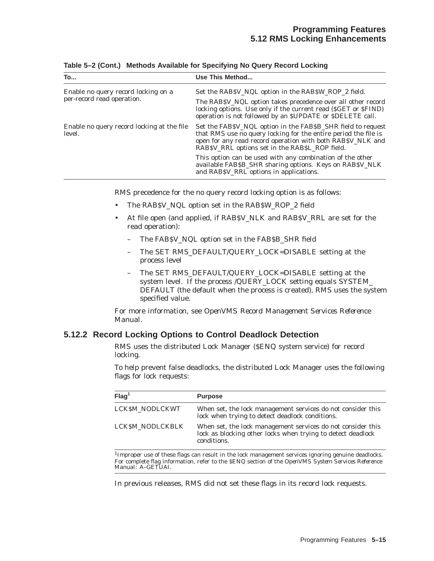| <b>To</b>                                                         | Use This Method                                                                                                                                                                                                                                     |
|-------------------------------------------------------------------|-----------------------------------------------------------------------------------------------------------------------------------------------------------------------------------------------------------------------------------------------------|
| Enable no query record locking on a<br>per-record read operation. | Set the RAB\$V_NQL option in the RAB\$W_ROP_2 field.<br>The RAB\$V_NQL option takes precedence over all other record<br>locking options. Use only if the current read (\$GET or \$FIND)<br>operation is not followed by an SUPDATE or SDELETE call. |
| Enable no query record locking at the file<br>level.              | Set the FABSV_NQL option in the FABSB_SHR field to request<br>that RMS use no query locking for the entire period the file is<br>open for any read record operation with both RAB\$V_NLK and<br>RABSV_RRL options set in the RABSL_ROP field.       |
|                                                                   | This option can be used with any combination of the other<br>available FAB\$B_SHR sharing options. Keys on RAB\$V_NLK<br>and RABSV_RRL options in applications.                                                                                     |

**Table 5–2 (Cont.) Methods Available for Specifying No Query Record Locking**

RMS precedence for the no query record locking option is as follows:

- The RAB\$V\_NQL option set in the RAB\$W\_ROP\_2 field
- At file open (and applied, if RAB\$V\_NLK and RAB\$V\_RRL are set for the read operation):
	- The FAB\$V\_NQL option set in the FAB\$B\_SHR field
	- The SET RMS\_DEFAULT/QUERY\_LOCK=DISABLE setting at the process level
	- The SET RMS\_DEFAULT/QUERY\_LOCK=DISABLE setting at the system level. If the process /QUERY\_LOCK setting equals SYSTEM\_ DEFAULT (the default when the process is created), RMS uses the system specified value.

For more information, see *OpenVMS Record Management Services Reference Manual*.

#### **5.12.2 Record Locking Options to Control Deadlock Detection**

RMS uses the distributed Lock Manager (\$ENQ system service) for record locking.

To help prevent false deadlocks, the distributed Lock Manager uses the following flags for lock requests:

| Flag <sup>1</sup> | <b>Purpose</b>                                                                                                                            |
|-------------------|-------------------------------------------------------------------------------------------------------------------------------------------|
| LCKSM NODLCKWT    | When set, the lock management services do not consider this<br>lock when trying to detect deadlock conditions.                            |
| LCKSM NODLCKBLK   | When set, the lock management services do not consider this<br>lock as blocking other locks when trying to detect deadlock<br>conditions. |

1Improper use of these flags can result in the lock management services ignoring genuine deadlocks. For complete flag information, refer to the \$ENQ section of the *OpenVMS System Services Reference Manual: A–GETUAI*.

In previous releases, RMS did not set these flags in its record lock requests.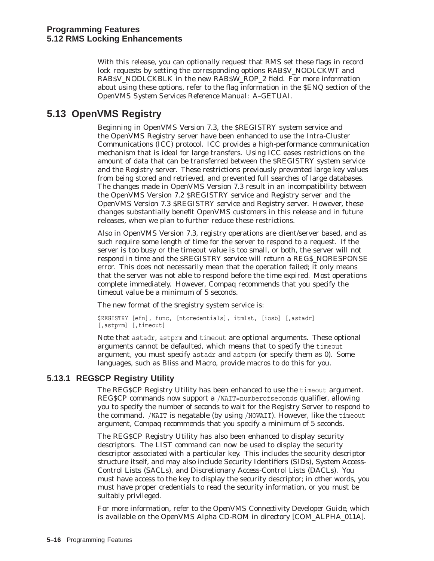With this release, you can optionally request that RMS set these flags in record lock requests by setting the corresponding options RAB\$V\_NODLCKWT and RAB\$V\_NODLCKBLK in the new RAB\$W\_ROP\_2 field. For more information about using these options, refer to the flag information in the \$ENQ section of the *OpenVMS System Services Reference Manual: A–GETUAI*.

## **5.13 OpenVMS Registry**

Beginning in OpenVMS Version 7.3, the \$REGISTRY system service and the OpenVMS Registry server have been enhanced to use the Intra-Cluster Communications (ICC) protocol. ICC provides a high-performance communication mechanism that is ideal for large transfers. Using ICC eases restrictions on the amount of data that can be transferred between the \$REGISTRY system service and the Registry server. These restrictions previously prevented large key values from being stored and retrieved, and prevented full searches of large databases. The changes made in OpenVMS Version 7.3 result in an incompatibility between the OpenVMS Version 7.2 \$REGISTRY service and Registry server and the OpenVMS Version 7.3 \$REGISTRY service and Registry server. However, these changes substantially benefit OpenVMS customers in this release and in future releases, when we plan to further reduce these restrictions.

Also in OpenVMS Version 7.3, registry operations are client/server based, and as such require some length of time for the server to respond to a request. If the server is too busy or the timeout value is too small, or both, the server will not respond in time and the \$REGISTRY service will return a REG\$\_NORESPONSE error. This does not necessarily mean that the operation failed; it only means that the server was not able to respond before the time expired. Most operations complete immediately. However, Compaq recommends that you specify the timeout value be a minimum of 5 seconds.

The new format of the \$registry system service is:

\$REGISTRY [efn], func, [ntcredentials], itmlst, [iosb] [,astadr] [, astprm] [, timeout]

Note that astadr, astprm and timeout are optional arguments. These optional arguments cannot be defaulted, which means that to specify the timeout argument, you must specify astadr and astprm (or specify them as 0). Some languages, such as Bliss and Macro, provide macros to do this for you.

## **5.13.1 REG\$CP Registry Utility**

The REG\$CP Registry Utility has been enhanced to use the timeout argument. REG\$CP commands now support a /WAIT=numberofseconds qualifier, allowing you to specify the number of seconds to wait for the Registry Server to respond to the command. /WAIT is negatable (by using /NOWAIT). However, like the timeout argument, Compaq recommends that you specify a minimum of 5 seconds.

The REG\$CP Registry Utility has also been enhanced to display security descriptors. The LIST command can now be used to display the security descriptor associated with a particular key. This includes the security descriptor structure itself, and may also include Security Identifiers (SIDs), System Access-Control Lists (SACLs), and Discretionary Access-Control Lists (DACLs). You must have access to the key to display the security descriptor; in other words, you must have proper credentials to read the security information, or you must be suitably privileged.

For more information, refer to the *OpenVMS Connectivity Developer Guide*, which is available on the OpenVMS Alpha CD-ROM in directory [COM\_ALPHA\_011A].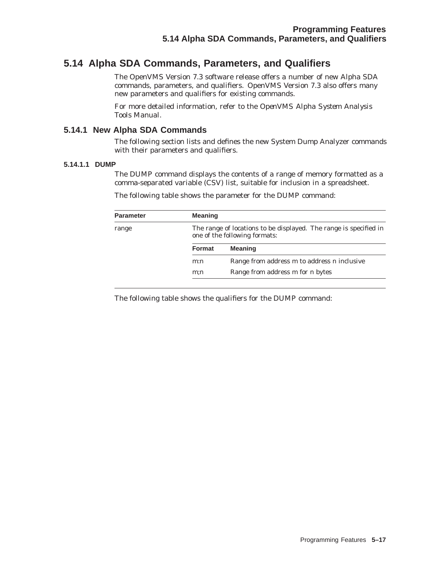## **5.14 Alpha SDA Commands, Parameters, and Qualifiers**

The OpenVMS Version 7.3 software release offers a number of new Alpha SDA commands, parameters, and qualifiers. OpenVMS Version 7.3 also offers many new parameters and qualifiers for existing commands.

For more detailed information, refer to the *OpenVMS Alpha System Analysis Tools Manual*.

#### **5.14.1 New Alpha SDA Commands**

The following section lists and defines the new System Dump Analyzer commands with their parameters and qualifiers.

#### **5.14.1.1 DUMP**

The DUMP command displays the contents of a range of memory formatted as a comma-separated variable (CSV) list, suitable for inclusion in a spreadsheet.

| <b>Meaning</b> |                                                                                                    |  |
|----------------|----------------------------------------------------------------------------------------------------|--|
|                | The range of locations to be displayed. The range is specified in<br>one of the following formats: |  |
| <b>Format</b>  | <b>Meaning</b>                                                                                     |  |
| m:n            | Range from address m to address n inclusive                                                        |  |
| m:n            | Range from address m for n bytes                                                                   |  |
|                |                                                                                                    |  |

The following table shows the parameter for the DUMP command:

The following table shows the qualifiers for the DUMP command: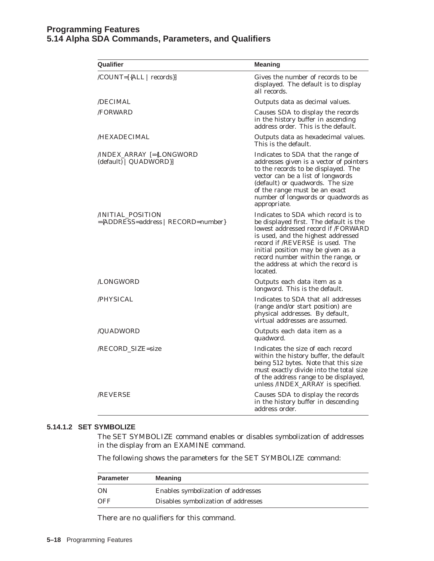#### **Programming Features 5.14 Alpha SDA Commands, Parameters, and Qualifiers**

| Qualifier                                               | Meaning                                                                                                                                                                                                                                                                                                                     |
|---------------------------------------------------------|-----------------------------------------------------------------------------------------------------------------------------------------------------------------------------------------------------------------------------------------------------------------------------------------------------------------------------|
| /COUNT=[{ALL   records}]                                | Gives the number of records to be<br>displayed. The default is to display<br>all records.                                                                                                                                                                                                                                   |
| /DECIMAL                                                | Outputs data as decimal values.                                                                                                                                                                                                                                                                                             |
| /FORWARD                                                | Causes SDA to display the records<br>in the history buffer in ascending<br>address order. This is the default.                                                                                                                                                                                                              |
| /HEXADECIMAL                                            | Outputs data as hexadecimal values.<br>This is the default.                                                                                                                                                                                                                                                                 |
| /INDEX_ARRAY [={LONGWORD<br>(default)   QUADWORD}]      | Indicates to SDA that the range of<br>addresses given is a vector of pointers<br>to the records to be displayed. The<br>vector can be a list of longwords<br>(default) or quadwords. The size<br>of the range must be an exact<br>number of longwords or quadwords as<br>appropriate.                                       |
| /INITIAL_POSITION<br>={ADDRESS=address   RECORD=number} | Indicates to SDA which record is to<br>be displayed first. The default is the<br>lowest addressed record if /FORWARD<br>is used, and the highest addressed<br>record if /REVERSE is used. The<br>initial position may be given as a<br>record number within the range, or<br>the address at which the record is<br>located. |
| /LONGWORD                                               | Outputs each data item as a<br>longword. This is the default.                                                                                                                                                                                                                                                               |
| /PHYSICAL                                               | Indicates to SDA that all addresses<br>(range and/or start position) are<br>physical addresses. By default,<br>virtual addresses are assumed.                                                                                                                                                                               |
| /QUADWORD                                               | Outputs each data item as a<br>quadword.                                                                                                                                                                                                                                                                                    |
| <b>/RECORD_SIZE=size</b>                                | Indicates the size of each record<br>within the history buffer, the default<br>being 512 bytes. Note that this size<br>must exactly divide into the total size<br>of the address range to be displayed,<br>unless /INDEX_ARRAY is specified.                                                                                |
| <b>REVERSE</b>                                          | Causes SDA to display the records<br>in the history buffer in descending<br>address order.                                                                                                                                                                                                                                  |

#### **5.14.1.2 SET SYMBOLIZE**

The SET SYMBOLIZE command enables or disables symbolization of addresses in the display from an EXAMINE command.

The following shows the parameters for the SET SYMBOLIZE command:

| <b>Parameter</b> | <b>Meaning</b>                      |
|------------------|-------------------------------------|
| - ON             | Enables symbolization of addresses  |
| OFF              | Disables symbolization of addresses |

There are no qualifiers for this command.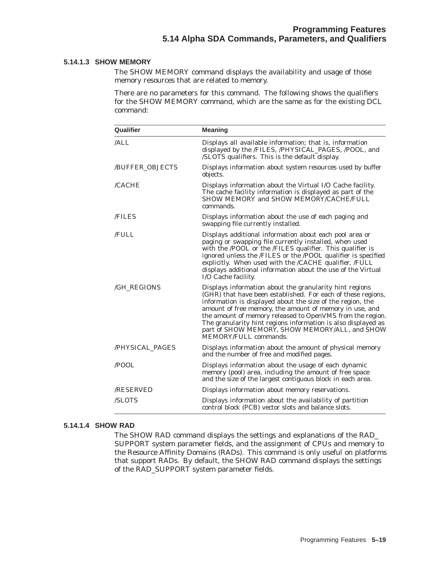#### **5.14.1.3 SHOW MEMORY**

The SHOW MEMORY command displays the availability and usage of those memory resources that are related to memory.

There are no parameters for this command. The following shows the qualifiers for the SHOW MEMORY command, which are the same as for the existing DCL command:

| Qualifier              | <b>Meaning</b>                                                                                                                                                                                                                                                                                                                                                                                                                                            |
|------------------------|-----------------------------------------------------------------------------------------------------------------------------------------------------------------------------------------------------------------------------------------------------------------------------------------------------------------------------------------------------------------------------------------------------------------------------------------------------------|
| /ALL                   | Displays all available information; that is, information<br>displayed by the /FILES, /PHYSICAL_PAGES, /POOL, and<br>/SLOTS qualifiers. This is the default display.                                                                                                                                                                                                                                                                                       |
| <b>/BUFFER OBJECTS</b> | Displays information about system resources used by buffer<br>objects.                                                                                                                                                                                                                                                                                                                                                                                    |
| /CACHE                 | Displays information about the Virtual I/O Cache facility.<br>The cache facility information is displayed as part of the<br>SHOW MEMORY and SHOW MEMORY/CACHE/FULL<br>commands.                                                                                                                                                                                                                                                                           |
| <b>/FILES</b>          | Displays information about the use of each paging and<br>swapping file currently installed.                                                                                                                                                                                                                                                                                                                                                               |
| /FULL                  | Displays additional information about each pool area or<br>paging or swapping file currently installed, when used<br>with the /POOL or the /FILES qualifier. This qualifier is<br>ignored unless the /FILES or the /POOL qualifier is specified<br>explicitly. When used with the /CACHE qualifier, /FULL<br>displays additional information about the use of the Virtual<br>I/O Cache facility.                                                          |
| <b>/GH REGIONS</b>     | Displays information about the granularity hint regions<br>(GHR) that have been established. For each of these regions,<br>information is displayed about the size of the region, the<br>amount of free memory, the amount of memory in use, and<br>the amount of memory released to OpenVMS from the region.<br>The granularity hint regions information is also displayed as<br>part of SHOW MEMORY, SHOW MEMORY/ALL, and SHOW<br>MEMORY/FULL commands. |
| /PHYSICAL PAGES        | Displays information about the amount of physical memory<br>and the number of free and modified pages.                                                                                                                                                                                                                                                                                                                                                    |
| /POOL                  | Displays information about the usage of each dynamic<br>memory (pool) area, including the amount of free space<br>and the size of the largest contiguous block in each area.                                                                                                                                                                                                                                                                              |
| <b>RESERVED</b>        | Displays information about memory reservations.                                                                                                                                                                                                                                                                                                                                                                                                           |
| /SLOTS                 | Displays information about the availability of partition<br>control block (PCB) vector slots and balance slots.                                                                                                                                                                                                                                                                                                                                           |

#### **5.14.1.4 SHOW RAD**

The SHOW RAD command displays the settings and explanations of the RAD\_ SUPPORT system parameter fields, and the assignment of CPUs and memory to the Resource Affinity Domains (RADs). This command is only useful on platforms that support RADs. By default, the SHOW RAD command displays the settings of the RAD\_SUPPORT system parameter fields.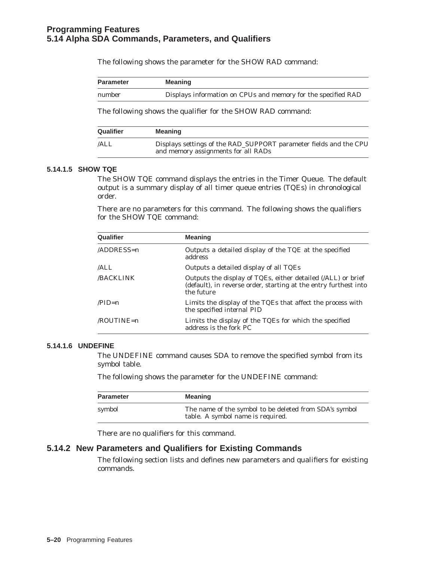#### **Programming Features 5.14 Alpha SDA Commands, Parameters, and Qualifiers**

The following shows the parameter for the SHOW RAD command:

| <b>Parameter</b> | <b>Meaning</b>                                                |
|------------------|---------------------------------------------------------------|
| number           | Displays information on CPUs and memory for the specified RAD |

The following shows the qualifier for the SHOW RAD command:

| Qualifier | <b>Meaning</b>                                                                                           |
|-----------|----------------------------------------------------------------------------------------------------------|
| /ALL      | Displays settings of the RAD_SUPPORT parameter fields and the CPU<br>and memory assignments for all RADs |

#### **5.14.1.5 SHOW TQE**

The SHOW TQE command displays the entries in the Timer Queue. The default output is a summary display of all timer queue entries (TQEs) in chronological order.

There are no parameters for this command. The following shows the qualifiers for the SHOW TQE command:

| <b>Meaning</b>                                                                                                                                 |
|------------------------------------------------------------------------------------------------------------------------------------------------|
| Outputs a detailed display of the TQE at the specified<br>address                                                                              |
| Outputs a detailed display of all TQEs                                                                                                         |
| Outputs the display of TQEs, either detailed (/ALL) or brief<br>(default), in reverse order, starting at the entry furthest into<br>the future |
| Limits the display of the TQEs that affect the process with<br>the specified <i>internal</i> PID                                               |
| Limits the display of the TQEs for which the specified<br>address is the fork PC                                                               |
|                                                                                                                                                |

#### **5.14.1.6 UNDEFINE**

The UNDEFINE command causes SDA to remove the specified symbol from its symbol table.

The following shows the parameter for the UNDEFINE command:

| <b>Parameter</b> | <b>Meaning</b>                                                                              |
|------------------|---------------------------------------------------------------------------------------------|
| symbol           | The name of the symbol to be deleted from SDA's symbol<br>table. A symbol name is required. |

There are no qualifiers for this command.

#### **5.14.2 New Parameters and Qualifiers for Existing Commands**

The following section lists and defines new parameters and qualifiers for existing commands.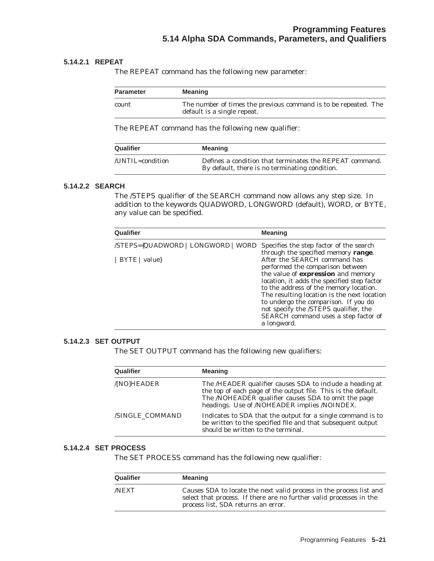#### **5.14.2.1 REPEAT**

The REPEAT command has the following new parameter:

| <b>Parameter</b> | <b>Meaning</b>                                                                                 |
|------------------|------------------------------------------------------------------------------------------------|
| count            | The number of times the previous command is to be repeated. The<br>default is a single repeat. |

The REPEAT command has the following new qualifier:

| Qualifier        | <b>Meaning</b>                                                                                            |
|------------------|-----------------------------------------------------------------------------------------------------------|
| /UNTIL=condition | Defines a condition that terminates the REPEAT command.<br>By default, there is no terminating condition. |

#### **5.14.2.2 SEARCH**

The /STEPS qualifier of the SEARCH command now allows any step size. In addition to the keywords QUADWORD, LONGWORD (default), WORD, or BYTE, any value can be specified.

| Qualifier                          | <b>Meaning</b>                                                                                          |
|------------------------------------|---------------------------------------------------------------------------------------------------------|
| /STEPS={QUADWORD   LONGWORD   WORD | Specifies the step factor of the search                                                                 |
| BYTE   value                       | through the specified memory range.<br>After the SEARCH command has<br>performed the comparison between |
|                                    | the value of expression and memory                                                                      |
|                                    | location, it adds the specified step factor<br>to the address of the memory location.                   |
|                                    | The resulting location is the next location                                                             |
|                                    | to undergo the comparison. If you do<br>not specify the /STEPS qualifier, the                           |
|                                    | SEARCH command uses a step factor of<br>a longword.                                                     |

#### **5.14.2.3 SET OUTPUT**

The SET OUTPUT command has the following new qualifiers:

| Qualifier              | <b>Meaning</b>                                                                                                                                                                                                                   |
|------------------------|----------------------------------------------------------------------------------------------------------------------------------------------------------------------------------------------------------------------------------|
| /[NO]HEADER            | The /HEADER qualifier causes SDA to include a heading at<br>the top of each page of the output file. This is the default.<br>The /NOHEADER qualifier causes SDA to omit the page<br>headings. Use of /NOHEADER implies /NOINDEX. |
| <b>/SINGLE COMMAND</b> | Indicates to SDA that the output for a single command is to<br>be written to the specified file and that subsequent output<br>should be written to the terminal.                                                                 |

#### **5.14.2.4 SET PROCESS**

The SET PROCESS command has the following new qualifier:

| Qualifier   | <b>Meaning</b>                                                                                                                                                                    |
|-------------|-----------------------------------------------------------------------------------------------------------------------------------------------------------------------------------|
| <b>NEXT</b> | Causes SDA to locate the next valid process in the process list and<br>select that process. If there are no further valid processes in the<br>process list, SDA returns an error. |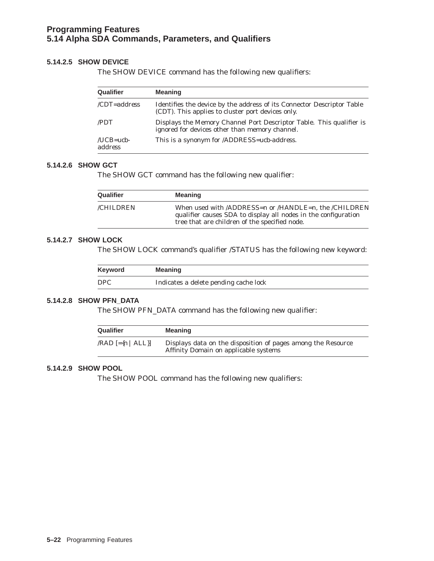#### **5.14.2.5 SHOW DEVICE**

The SHOW DEVICE command has the following new qualifiers:

| Qualifier               | <b>Meaning</b>                                                                                                              |
|-------------------------|-----------------------------------------------------------------------------------------------------------------------------|
| $/CDT = address$        | Identifies the device by the address of its Connector Descriptor Table<br>(CDT). This applies to cluster port devices only. |
| /PDT                    | Displays the Memory Channel Port Descriptor Table. This qualifier is<br>ignored for devices other than memory channel.      |
| $/UCB = ucb$<br>address | This is a synonym for /ADDRESS=ucb-address.                                                                                 |

#### **5.14.2.6 SHOW GCT**

The SHOW GCT command has the following new qualifier:

| Qualifier | <b>Meaning</b>                                                                                                                                                                                      |
|-----------|-----------------------------------------------------------------------------------------------------------------------------------------------------------------------------------------------------|
| /CHILDREN | When used with $\langle$ ADDRESS=n or $\langle$ HANDLE=n, the $\langle$ CHILDREN<br>qualifier causes SDA to display all nodes in the configuration<br>tree that are children of the specified node. |

#### **5.14.2.7 SHOW LOCK**

The SHOW LOCK command's qualifier /STATUS has the following new keyword:

| Keyword    | <b>Meaning</b>                        |
|------------|---------------------------------------|
| <b>DPC</b> | Indicates a delete pending cache lock |

#### **5.14.2.8 SHOW PFN\_DATA**

The SHOW PFN\_DATA command has the following new qualifier:

| Qualifier           | Meaning                                                                                               |
|---------------------|-------------------------------------------------------------------------------------------------------|
| $/RAD$ [={n   ALL}] | Displays data on the disposition of pages among the Resource<br>Affinity Domain on applicable systems |

#### **5.14.2.9 SHOW POOL**

The SHOW POOL command has the following new qualifiers: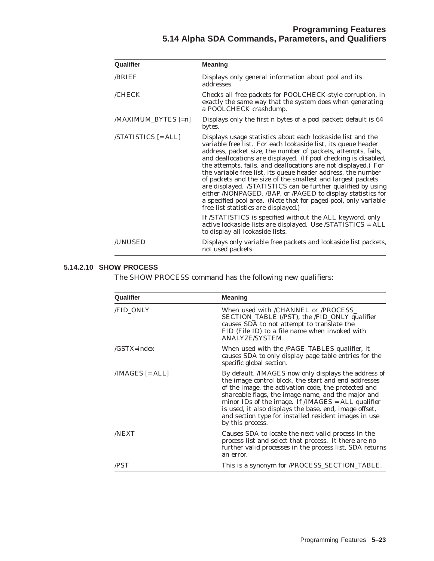#### **Programming Features 5.14 Alpha SDA Commands, Parameters, and Qualifiers**

| Qualifier              | <b>Meaning</b>                                                                                                                                                                                                                                                                                                                                                                                                                                                                                                                                                                                                                                                                                              |
|------------------------|-------------------------------------------------------------------------------------------------------------------------------------------------------------------------------------------------------------------------------------------------------------------------------------------------------------------------------------------------------------------------------------------------------------------------------------------------------------------------------------------------------------------------------------------------------------------------------------------------------------------------------------------------------------------------------------------------------------|
| /BRIEF                 | Displays only general information about pool and its<br>addresses.                                                                                                                                                                                                                                                                                                                                                                                                                                                                                                                                                                                                                                          |
| /CHECK                 | Checks all free packets for POOLCHECK-style corruption, in<br>exactly the same way that the system does when generating<br>a POOLCHECK crashdump.                                                                                                                                                                                                                                                                                                                                                                                                                                                                                                                                                           |
| $MAXIMUM$ BYTES $[-n]$ | Displays only the first <i>n</i> bytes of a pool packet; default is 64<br>bytes.                                                                                                                                                                                                                                                                                                                                                                                                                                                                                                                                                                                                                            |
| $/STATISTICS$ $= ALL$  | Displays usage statistics about each lookaside list and the<br>variable free list. For each lookaside list, its queue header<br>address, packet size, the number of packets, attempts, fails,<br>and deallocations are displayed. (If pool checking is disabled,<br>the attempts, fails, and deallocations are not displayed.) For<br>the variable free list, its queue header address, the number<br>of packets and the size of the smallest and largest packets<br>are displayed. /STATISTICS can be further qualified by using<br>either /NONPAGED, /BAP, or /PAGED to display statistics for<br>a specified pool area. (Note that for paged pool, only variable<br>free list statistics are displayed.) |
|                        | If /STATISTICS is specified without the ALL keyword, only<br>active lookaside lists are displayed. Use /STATISTICS = ALL<br>to display all lookaside lists.                                                                                                                                                                                                                                                                                                                                                                                                                                                                                                                                                 |
| /UNUSED                | Displays only variable free packets and lookaside list packets,<br>not used packets.                                                                                                                                                                                                                                                                                                                                                                                                                                                                                                                                                                                                                        |

#### **5.14.2.10 SHOW PROCESS**

The SHOW PROCESS command has the following new qualifiers:

| Qualifier         | <b>Meaning</b>                                                                                                                                                                                                                                                                                                                                                                                                                  |
|-------------------|---------------------------------------------------------------------------------------------------------------------------------------------------------------------------------------------------------------------------------------------------------------------------------------------------------------------------------------------------------------------------------------------------------------------------------|
| /FID_ONLY         | When used with /CHANNEL or /PROCESS<br>SECTION_TABLE (/PST), the /FID_ONLY qualifier<br>causes SDA to not attempt to translate the<br>FID (File ID) to a file name when invoked with<br>ANALYZE/SYSTEM.                                                                                                                                                                                                                         |
| $/$ GSTX=index    | When used with the /PAGE_TABLES qualifier, it<br>causes SDA to only display page table entries for the<br>specific global section.                                                                                                                                                                                                                                                                                              |
| $/IMAGES$ $= ALL$ | By default, <i>IMAGES</i> now only displays the address of<br>the image control block, the start and end addresses<br>of the image, the activation code, the protected and<br>shareable flags, the image name, and the major and<br>minor IDs of the image. If $/IMAGES = ALL$ qualifier<br>is used, it also displays the base, end, image offset,<br>and section type for installed resident images in use<br>by this process. |
| <b>NEXT</b>       | Causes SDA to locate the next valid process in the<br>process list and select that process. It there are no<br>further valid processes in the process list, SDA returns<br>an error.                                                                                                                                                                                                                                            |
| /PST              | This is a synonym for /PROCESS_SECTION_TABLE.                                                                                                                                                                                                                                                                                                                                                                                   |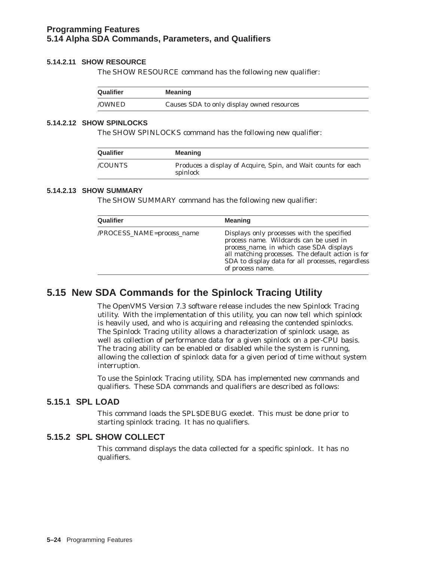#### **5.14.2.11 SHOW RESOURCE**

The SHOW RESOURCE command has the following new qualifier:

| Qualifier | <b>Meaning</b>                             |
|-----------|--------------------------------------------|
| /OWNED    | Causes SDA to only display owned resources |

#### **5.14.2.12 SHOW SPINLOCKS**

The SHOW SPINLOCKS command has the following new qualifier:

| Qualifier | <b>Meaning</b>                                                            |  |
|-----------|---------------------------------------------------------------------------|--|
| /COUNTS   | Produces a display of Acquire, Spin, and Wait counts for each<br>spinlock |  |

#### **5.14.2.13 SHOW SUMMARY**

The SHOW SUMMARY command has the following new qualifier:

| <b>Qualifier</b>           | <b>Meaning</b>                                                                                                                                                                                                                                                 |
|----------------------------|----------------------------------------------------------------------------------------------------------------------------------------------------------------------------------------------------------------------------------------------------------------|
| /PROCESS_NAME=process_name | Displays only processes with the specified<br>process name. Wildcards can be used in<br>process_name, in which case SDA displays<br>all matching processes. The default action is for<br>SDA to display data for all processes, regardless<br>of process name. |

## **5.15 New SDA Commands for the Spinlock Tracing Utility**

The OpenVMS Version 7.3 software release includes the new Spinlock Tracing utility. With the implementation of this utility, you can now tell which spinlock is heavily used, and who is acquiring and releasing the contended spinlocks. The Spinlock Tracing utility allows a characterization of spinlock usage, as well as collection of performance data for a given spinlock on a per-CPU basis. The tracing ability can be enabled or disabled while the system is running, allowing the collection of spinlock data for a given period of time without system interruption.

To use the Spinlock Tracing utility, SDA has implemented new commands and qualifiers. These SDA commands and qualifiers are described as follows:

#### **5.15.1 SPL LOAD**

This command loads the SPL\$DEBUG execlet. This must be done prior to starting spinlock tracing. It has no qualifiers.

## **5.15.2 SPL SHOW COLLECT**

This command displays the data collected for a specific spinlock. It has no qualifiers.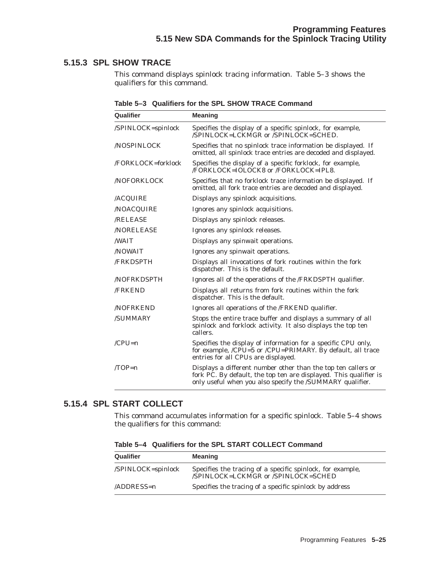#### **5.15.3 SPL SHOW TRACE**

This command displays spinlock tracing information. Table 5–3 shows the qualifiers for this command.

| Qualifier          | <b>Meaning</b>                                                                                                                                                                                  |  |
|--------------------|-------------------------------------------------------------------------------------------------------------------------------------------------------------------------------------------------|--|
| /SPINLOCK=spinlock | Specifies the display of a specific spinlock, for example,<br>/SPINLOCK=LCKMGR or /SPINLOCK=SCHED.                                                                                              |  |
| /NOSPINLOCK        | Specifies that no spinlock trace information be displayed. If<br>omitted, all spinlock trace entries are decoded and displayed.                                                                 |  |
| /FORKLOCK=forklock | Specifies the display of a specific forklock, for example,<br>/FORKLOCK=IOLOCK8 or /FORKLOCK=IPL8.                                                                                              |  |
| <b>NOFORKLOCK</b>  | Specifies that no forklock trace information be displayed. If<br>omitted, all fork trace entries are decoded and displayed.                                                                     |  |
| /ACQUIRE           | Displays any spinlock acquisitions.                                                                                                                                                             |  |
| /NOACQUIRE         | Ignores any spinlock acquisitions.                                                                                                                                                              |  |
| <b>RELEASE</b>     | Displays any spinlock releases.                                                                                                                                                                 |  |
| <b>NORELEASE</b>   | Ignores any spinlock releases.                                                                                                                                                                  |  |
| <b>WAIT</b>        | Displays any spinwait operations.                                                                                                                                                               |  |
| /NOWAIT            | Ignores any spinwait operations.                                                                                                                                                                |  |
| <b>/FRKDSPTH</b>   | Displays all invocations of fork routines within the fork<br>dispatcher. This is the default.                                                                                                   |  |
| <b>NOFRKDSPTH</b>  | Ignores all of the operations of the /FRKDSPTH qualifier.                                                                                                                                       |  |
| <b>/FRKEND</b>     | Displays all returns from fork routines within the fork<br>dispatcher. This is the default.                                                                                                     |  |
| <b>NOFRKEND</b>    | Ignores all operations of the /FRKEND qualifier.                                                                                                                                                |  |
| /SUMMARY           | Stops the entire trace buffer and displays a summary of all<br>spinlock and forklock activity. It also displays the top ten<br>callers.                                                         |  |
| / $CPU=n$          | Specifies the display of information for a specific CPU only,<br>for example, /CPU=5 or /CPU=PRIMARY. By default, all trace<br>entries for all CPUs are displayed.                              |  |
| $/TOP=n$           | Displays a different number other than the top ten callers or<br>fork PC. By default, the top ten are displayed. This qualifier is<br>only useful when you also specify the /SUMMARY qualifier. |  |

**Table 5–3 Qualifiers for the SPL SHOW TRACE Command**

#### **5.15.4 SPL START COLLECT**

This command accumulates information for a specific spinlock. Table 5–4 shows the qualifiers for this command:

**Table 5–4 Qualifiers for the SPL START COLLECT Command**

| Qualifier          | <b>Meaning</b>                                                                                    |
|--------------------|---------------------------------------------------------------------------------------------------|
| /SPINLOCK=spinlock | Specifies the tracing of a specific spinlock, for example,<br>/SPINLOCK=LCKMGR or /SPINLOCK=SCHED |
| $ADDRESS=n$        | Specifies the tracing of a specific spinlock by address                                           |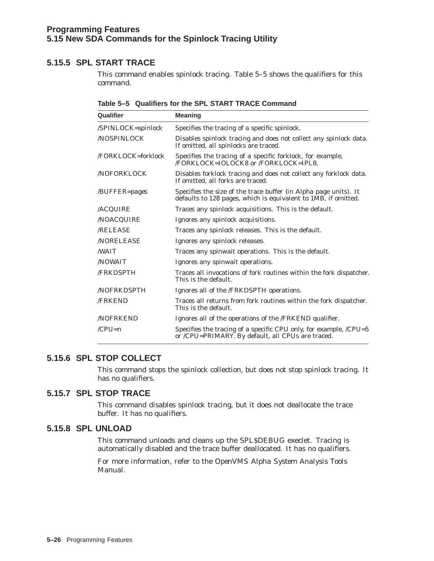#### **5.15.5 SPL START TRACE**

This command enables spinlock tracing. Table 5–5 shows the qualifiers for this command.

| Qualifier          | <b>Meaning</b>                                                                                                                     |  |
|--------------------|------------------------------------------------------------------------------------------------------------------------------------|--|
| /SPINLOCK=spinlock | Specifies the tracing of a specific spinlock.                                                                                      |  |
| <b>NOSPINLOCK</b>  | Disables spinlock tracing and does not collect any spinlock data.<br>If omitted, all spinlocks are traced.                         |  |
| /FORKLOCK=forklock | Specifies the tracing of a specific forklock, for example,<br>/FORKLOCK=IOLOCK8 or /FORKLOCK=IPL8.                                 |  |
| <b>NOFORKLOCK</b>  | Disables forklock tracing and does not collect any forklock data.<br>If omitted, all forks are traced.                             |  |
| /BUFFER=pages      | Specifies the size of the trace buffer (in Alpha page units). It<br>defaults to 128 pages, which is equivalent to 1MB, if omitted. |  |
| <b>ACQUIRE</b>     | Traces any spinlock acquisitions. This is the default.                                                                             |  |
| /NOACQUIRE         | Ignores any spinlock acquisitions.                                                                                                 |  |
| <b>/RELEASE</b>    | Traces any spinlock releases. This is the default.                                                                                 |  |
| <b>NORELEASE</b>   | Ignores any spinlock releases.                                                                                                     |  |
| <b>WAIT</b>        | Traces any spinwait operations. This is the default.                                                                               |  |
| /NOWAIT            | Ignores any spinwait operations.                                                                                                   |  |
| <b>/FRKDSPTH</b>   | Traces all invocations of fork routines within the fork dispatcher.<br>This is the default.                                        |  |
| <b>NOFRKDSPTH</b>  | Ignores all of the /FRKDSPTH operations.                                                                                           |  |
| <b>/FRKEND</b>     | Traces all returns from fork routines within the fork dispatcher.<br>This is the default.                                          |  |
| <b>NOFRKEND</b>    | Ignores all of the operations of the /FRKEND qualifier.                                                                            |  |
| $/CPU=n$           | Specifies the tracing of a specific CPU only, for example, /CPU=5<br>or /CPU=PRIMARY. By default, all CPUs are traced.             |  |

**Table 5–5 Qualifiers for the SPL START TRACE Command**

#### **5.15.6 SPL STOP COLLECT**

This command stops the spinlock collection, but does not stop spinlock tracing. It has no qualifiers.

#### **5.15.7 SPL STOP TRACE**

This command disables spinlock tracing, but it does not deallocate the trace buffer. It has no qualifiers.

#### **5.15.8 SPL UNLOAD**

This command unloads and cleans up the SPL\$DEBUG execlet. Tracing is automatically disabled and the trace buffer deallocated. It has no qualifiers.

For more information, refer to the *OpenVMS Alpha System Analysis Tools Manual*.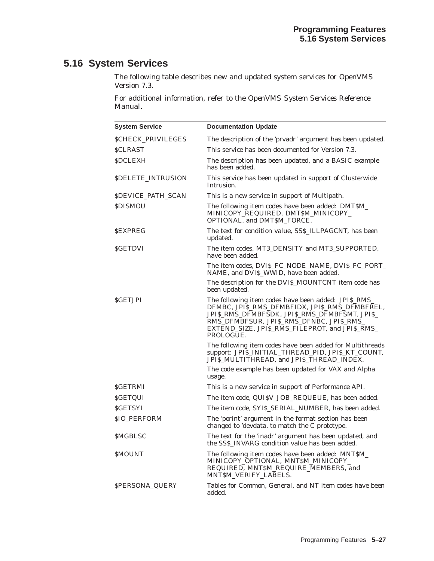## **5.16 System Services**

The following table describes new and updated system services for OpenVMS Version 7.3.

For additional information, refer to the *OpenVMS System Services Reference Manual*.

| <b>System Service</b>     | <b>Documentation Update</b>                                                                                                                                                                                                                                         |  |
|---------------------------|---------------------------------------------------------------------------------------------------------------------------------------------------------------------------------------------------------------------------------------------------------------------|--|
| <b>\$CHECK_PRIVILEGES</b> | The description of the 'prvadr' argument has been updated.                                                                                                                                                                                                          |  |
| <b>SCLRAST</b>            | This service has been documented for Version 7.3.                                                                                                                                                                                                                   |  |
| <b>SDCLEXH</b>            | The description has been updated, and a BASIC example<br>has been added.                                                                                                                                                                                            |  |
| <b>SDELETE_INTRUSION</b>  | This service has been updated in support of Clusterwide<br>Intrusion.                                                                                                                                                                                               |  |
| <b>SDEVICE_PATH_SCAN</b>  | This is a new service in support of Multipath.                                                                                                                                                                                                                      |  |
| SDISMOU                   | The following item codes have been added: DMT\$M_<br>MINICOPY_REQUIRED, DMT\$M_MINICOPY_<br>OPTIONAL, and DMT\$M_FORCE.                                                                                                                                             |  |
| <b>SEXPREG</b>            | The text for condition value, SS\$_ILLPAGCNT, has been<br>updated.                                                                                                                                                                                                  |  |
| <b>SGETDVI</b>            | The item codes, MT3_DENSITY and MT3_SUPPORTED,<br>have been added.                                                                                                                                                                                                  |  |
|                           | The item codes, DVI\$_FC_NODE_NAME, DVI\$_FC_PORT_<br>NAME, and DVIS_WWID, have been added.                                                                                                                                                                         |  |
|                           | The description for the DVI\$_MOUNTCNT item code has<br>been updated.                                                                                                                                                                                               |  |
| <b>SGETJPI</b>            | The following item codes have been added: JPI\$_RMS_<br>DFMBC, JPIS_RMS_DFMBFIDX, JPIS_RMS_DFMBFREL,<br>JPI\$_RMS_DFMBFSDK, JPI\$_RMS_DFMBFSMT, JPI\$_<br>RMS_DFMBFSUR, JPI\$_RMS_DFNBC, JPI\$_RMS_<br>EXTEND_SIZE, JPI\$_RMS_FILEPROT, and JPI\$_RMS_<br>PROLOGUE. |  |
|                           | The following item codes have been added for Multithreads<br>support: JPI\$_INITIAL_THREAD_PID, JPI\$_KT_COUNT,<br>JPI\$_MULTITHREAD, and JPI\$_THREAD_INDEX.                                                                                                       |  |
|                           | The code example has been updated for VAX and Alpha<br>usage.                                                                                                                                                                                                       |  |
| <b>SGETRMI</b>            | This is a new service in support of Performance API.                                                                                                                                                                                                                |  |
| <b>SGETQUI</b>            | The item code, QUI\$V_JOB_REQUEUE, has been added.                                                                                                                                                                                                                  |  |
| <b>SGETSYI</b>            | The item code, SYI\$_SERIAL_NUMBER, has been added.                                                                                                                                                                                                                 |  |
| <b>\$IO_PERFORM</b>       | The 'porint' argument in the format section has been<br>changed to 'devdata, to match the C prototype.                                                                                                                                                              |  |
| <b>SMGBLSC</b>            | The text for the 'inadr' argument has been updated, and<br>the SS\$_INVARG condition value has been added.                                                                                                                                                          |  |
| <b>SMOUNT</b>             | The following item codes have been added: MNT\$M_<br>MINICOPY_OPTIONAL, MNT\$M_MINICOPY_<br>REQUIRED, MNT\$M_REQUIRE_MEMBERS, and<br>MNT\$M_VERIFY_LABELS.                                                                                                          |  |
| \$PERSONA_QUERY           | Tables for Common, General, and NT item codes have been<br>added.                                                                                                                                                                                                   |  |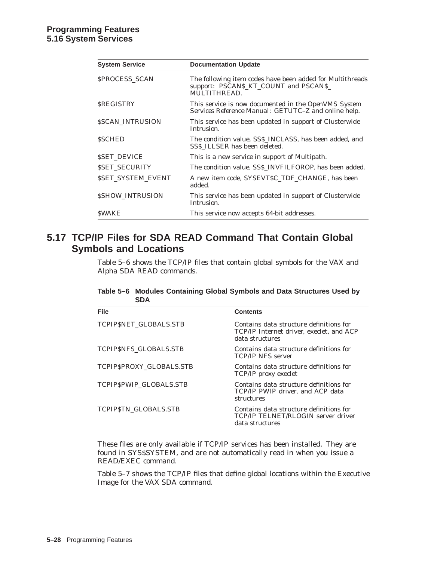| <b>System Service</b>    | <b>Documentation Update</b>                                                                                                |  |
|--------------------------|----------------------------------------------------------------------------------------------------------------------------|--|
| \$PROCESS_SCAN           | The following item codes have been added for Multithreads<br>support: PSCAN\$_KT_COUNT and PSCAN\$_<br>MULTITHREAD.        |  |
| <b>SREGISTRY</b>         | This service is now documented in the <i>OpenVMS System</i><br><i>Services Reference Manual: GETUTC-Z</i> and online help. |  |
| \$SCAN_INTRUSION         | This service has been updated in support of Clusterwide<br>Intrusion.                                                      |  |
| <b>SSCHED</b>            | The condition value, SS\$ INCLASS, has been added, and<br>SS\$_ILLSER has been deleted.                                    |  |
| <b>SSET DEVICE</b>       | This is a new service in support of Multipath.                                                                             |  |
| <b>SSET SECURITY</b>     | The condition value, SS\$ INVFILFOROP, has been added.                                                                     |  |
| <b>SSET SYSTEM EVENT</b> | A new item code, SYSEVTSC TDF CHANGE, has been<br>added.                                                                   |  |
| <b>SSHOW INTRUSION</b>   | This service has been updated in support of Clusterwide<br>Intrusion.                                                      |  |
| <b>SWAKE</b>             | This service now accepts 64-bit addresses.                                                                                 |  |

## **5.17 TCP/IP Files for SDA READ Command That Contain Global Symbols and Locations**

Table 5–6 shows the TCP/IP files that contain global symbols for the VAX and Alpha SDA READ commands.

| Table 5-6 Modules Containing Global Symbols and Data Structures Used by |
|-------------------------------------------------------------------------|
| <b>SDA</b>                                                              |

| <b>File</b>                   | <b>Contents</b>                                                                                        |
|-------------------------------|--------------------------------------------------------------------------------------------------------|
| TCPIP\$NET GLOBALS.STB        | Contains data structure definitions for<br>TCP/IP Internet driver, execlet, and ACP<br>data structures |
| <b>TCPIPSNFS GLOBALS.STB</b>  | Contains data structure definitions for<br><b>TCP/IP NFS server</b>                                    |
| TCPIPSPROXY GLOBALS.STB       | Contains data structure definitions for<br>TCP/IP proxy execlet                                        |
| <b>TCPIPSPWIP GLOBALS.STB</b> | Contains data structure definitions for<br>TCP/IP PWIP driver, and ACP data<br>structures              |
| <b>TCPIPSTN GLOBALS.STB</b>   | Contains data structure definitions for<br>TCP/IP TELNET/RLOGIN server driver<br>data structures       |

These files are only available if TCP/IP services has been installed. They are found in SYS\$SYSTEM, and are not automatically read in when you issue a READ/EXEC command.

Table 5–7 shows the TCP/IP files that define global locations within the Executive Image for the VAX SDA command.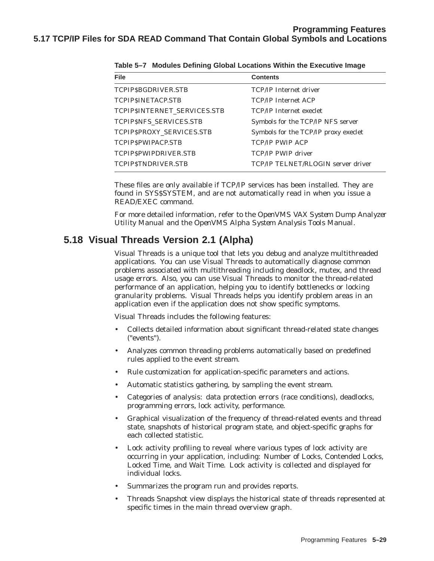| <b>File</b>                     | <b>Contents</b>                      |
|---------------------------------|--------------------------------------|
| TCPIPSBGDRIVER.STB              | <b>TCP/IP</b> Internet driver        |
| <b>TCPIPSINETACP.STB</b>        | <b>TCP/IP Internet ACP</b>           |
| TCPIP\$INTERNET SERVICES.STB    | <b>TCP/IP</b> Internet execlet       |
| <b>TCPIPSNFS SERVICES.STB</b>   | Symbols for the TCP/IP NFS server    |
| <b>TCPIPSPROXY SERVICES.STB</b> | Symbols for the TCP/IP proxy execlet |
| <b>TCPIPSPWIPACP.STB</b>        | <b>TCP/IP PWIP ACP</b>               |
| TCPIPSPWIPDRIVER.STB            | <b>TCP/IP PWIP driver</b>            |
| <b>TCPIPSTNDRIVER.STB</b>       | TCP/IP TELNET/RLOGIN server driver   |

**Table 5–7 Modules Defining Global Locations Within the Executive Image**

These files are only available if TCP/IP services has been installed. They are found in SYS\$SYSTEM, and are not automatically read in when you issue a READ/EXEC command.

For more detailed information, refer to the *OpenVMS VAX System Dump Analyzer Utility Manual* and the *OpenVMS Alpha System Analysis Tools Manual*.

## **5.18 Visual Threads Version 2.1 (Alpha)**

Visual Threads is a unique tool that lets you debug and analyze multithreaded applications. You can use Visual Threads to automatically diagnose common problems associated with multithreading including deadlock, mutex, and thread usage errors. Also, you can use Visual Threads to monitor the thread-related performance of an application, helping you to identify bottlenecks or locking granularity problems. Visual Threads helps you identify problem areas in an application even if the application does not show specific symptoms.

Visual Threads includes the following features:

- Collects detailed information about significant thread-related state changes ("events").
- Analyzes common threading problems automatically based on predefined rules applied to the event stream.
- Rule customization for application-specific parameters and actions.
- Automatic statistics gathering, by sampling the event stream.
- Categories of analysis: data protection errors (race conditions), deadlocks, programming errors, lock activity, performance.
- Graphical visualization of the frequency of thread-related events and thread state, snapshots of historical program state, and object-specific graphs for each collected statistic.
- Lock activity profiling to reveal where various types of lock activity are occurring in your application, including: Number of Locks, Contended Locks, Locked Time, and Wait Time. Lock activity is collected and displayed for individual locks.
- Summarizes the program run and provides reports.
- Threads Snapshot view displays the historical state of threads represented at specific times in the main thread overview graph.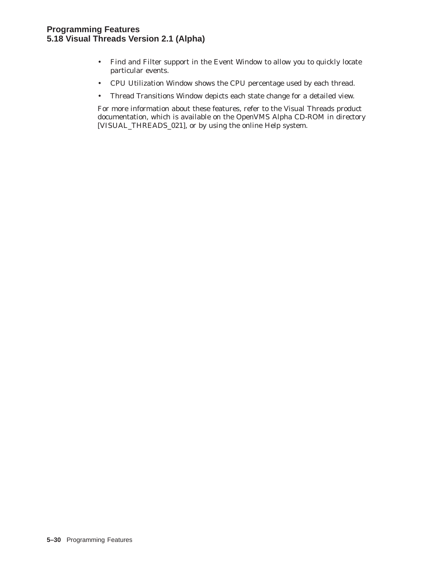- Find and Filter support in the Event Window to allow you to quickly locate particular events.
- CPU Utilization Window shows the CPU percentage used by each thread.
- Thread Transitions Window depicts each state change for a detailed view.

For more information about these features, refer to the Visual Threads product documentation, which is available on the OpenVMS Alpha CD-ROM in directory [VISUAL\_THREADS\_021], or by using the online Help system.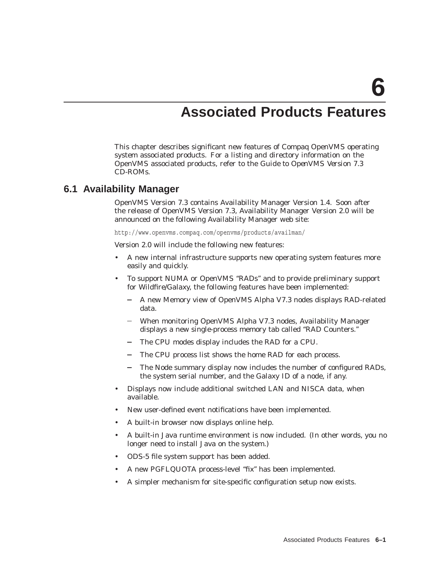## **Associated Products Features**

This chapter describes significant new features of Compaq OpenVMS operating system associated products. For a listing and directory information on the OpenVMS associated products, refer to the *Guide to OpenVMS Version 7.3 CD-ROMs*.

#### **6.1 Availability Manager**

OpenVMS Version 7.3 contains Availability Manager Version 1.4. Soon after the release of OpenVMS Version 7.3, Availability Manager Version 2.0 will be announced on the following Availability Manager web site:

http://www.openvms.compaq.com/openvms/products/availman/

Version 2.0 will include the following new features:

- A new internal infrastructure supports new operating system features more easily and quickly.
- To support NUMA or OpenVMS ''RADs'' and to provide preliminary support for Wildfire/Galaxy, the following features have been implemented:
	- A new Memory view of OpenVMS Alpha V7.3 nodes displays RAD-related data.
	- When monitoring OpenVMS Alpha V7.3 nodes, Availability Manager displays a new single-process memory tab called ''RAD Counters.''
	- The CPU modes display includes the RAD for a CPU.
	- The CPU process list shows the home RAD for each process.
	- The Node summary display now includes the number of configured RADs, the system serial number, and the Galaxy ID of a node, if any.
- Displays now include additional switched LAN and NISCA data, when available.
- New user-defined event notifications have been implemented.
- A built-in browser now displays online help.
- A built-in Java runtime environment is now included. (In other words, you no longer need to install Java on the system.)
- ODS-5 file system support has been added.
- A new PGFLQUOTA process-level ''fix'' has been implemented.
- A simpler mechanism for site-specific configuration setup now exists.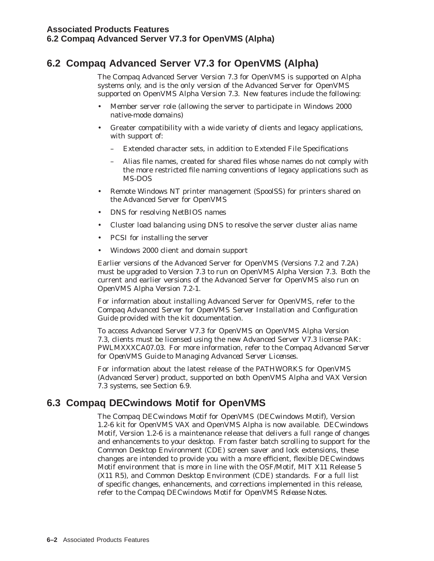## **6.2 Compaq Advanced Server V7.3 for OpenVMS (Alpha)**

The Compaq Advanced Server Version 7.3 for OpenVMS is supported on Alpha systems only, and is the only version of the Advanced Server for OpenVMS supported on OpenVMS Alpha Version 7.3. New features include the following:

- Member server role (allowing the server to participate in Windows 2000 native-mode domains)
- Greater compatibility with a wide variety of clients and legacy applications, with support of:
	- Extended character sets, in addition to Extended File Specifications
	- Alias file names, created for shared files whose names do not comply with the more restricted file naming conventions of legacy applications such as MS-DOS
- Remote Windows NT printer management (SpoolSS) for printers shared on the Advanced Server for OpenVMS
- DNS for resolving NetBIOS names
- Cluster load balancing using DNS to resolve the server cluster alias name
- PCSI for installing the server
- Windows 2000 client and domain support

Earlier versions of the Advanced Server for OpenVMS (Versions 7.2 and 7.2A) must be upgraded to Version 7.3 to run on OpenVMS Alpha Version 7.3. Both the current and earlier versions of the Advanced Server for OpenVMS also run on OpenVMS Alpha Version 7.2-1.

For information about installing Advanced Server for OpenVMS, refer to the *Compaq Advanced Server for OpenVMS Server Installation and Configuration Guide* provided with the kit documentation.

To access Advanced Server V7.3 for OpenVMS on OpenVMS Alpha Version 7.3, clients must be licensed using the new Advanced Server V7.3 license PAK: PWLMXXXCA07.03. For more information, refer to the *Compaq Advanced Server for OpenVMS Guide to Managing Advanced Server Licenses*.

For information about the latest release of the PATHWORKS for OpenVMS (Advanced Server) product, supported on both OpenVMS Alpha and VAX Version 7.3 systems, see Section 6.9.

## **6.3 Compaq DECwindows Motif for OpenVMS**

The *Compaq DECwindows Motif for OpenVMS* (DECwindows Motif), Version 1.2-6 kit for OpenVMS VAX and OpenVMS Alpha is now available. DECwindows Motif, Version 1.2-6 is a maintenance release that delivers a full range of changes and enhancements to your desktop. From faster batch scrolling to support for the Common Desktop Environment (CDE) screen saver and lock extensions, these changes are intended to provide you with a more efficient, flexible DECwindows Motif environment that is more in line with the OSF/Motif, MIT X11 Release 5 (X11 R5), and Common Desktop Environment (CDE) standards. For a full list of specific changes, enhancements, and corrections implemented in this release, refer to the *Compaq DECwindows Motif for OpenVMS Release Notes*.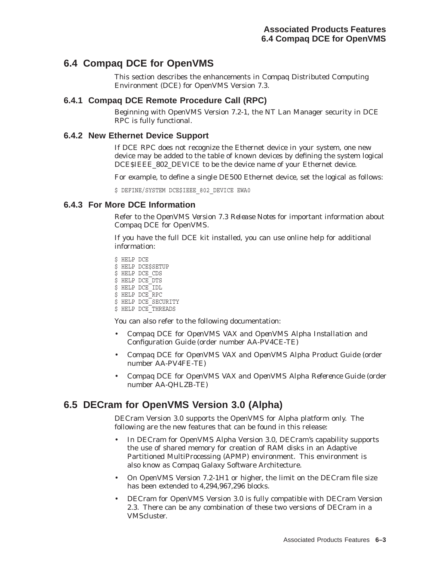## **6.4 Compaq DCE for OpenVMS**

This section describes the enhancements in Compaq Distributed Computing Environment (DCE) for OpenVMS Version 7.3.

#### **6.4.1 Compaq DCE Remote Procedure Call (RPC)**

Beginning with OpenVMS Version 7.2-1, the NT Lan Manager security in DCE RPC is fully functional.

#### **6.4.2 New Ethernet Device Support**

If DCE RPC does not recognize the Ethernet device in your system, one new device may be added to the table of known devices by defining the system logical DCE\$IEEE\_802\_DEVICE to be the device name of your Ethernet device.

For example, to define a single DE500 Ethernet device, set the logical as follows:

\$ DEFINE/SYSTEM DCE\$IEEE 802\_DEVICE EWA0

#### **6.4.3 For More DCE Information**

Refer to the *OpenVMS Version 7.3 Release Notes* for important information about Compaq DCE for OpenVMS.

If you have the full DCE kit installed, you can use online help for additional information:

\$ HELP DCE \$ HELP DCE\$SETUP \$ HELP DCE\_CDS \$ HELP DCE\_DTS \$ HELP DCE\_IDL \$ HELP DCE\_RPC \$ HELP DCE SECURITY \$ HELP DCE<sup>T</sup>THREADS

You can also refer to the following documentation:

- *Compaq DCE for OpenVMS VAX and OpenVMS Alpha Installation and Configuration Guide* (order number AA-PV4CE-TE)
- *Compaq DCE for OpenVMS VAX and OpenVMS Alpha Product Guide* (order number AA-PV4FE-TE)
- *Compaq DCE for OpenVMS VAX and OpenVMS Alpha Reference Guide* (order number AA-QHLZB-TE)

## **6.5 DECram for OpenVMS Version 3.0 (Alpha)**

DECram Version 3.0 supports the OpenVMS for Alpha platform only. The following are the new features that can be found in this release:

- In DECram for OpenVMS Alpha Version 3.0, DECram's capability supports the use of shared memory for creation of RAM disks in an Adaptive Partitioned MultiProcessing (APMP) environment. This environment is also know as Compaq Galaxy Software Architecture.
- On OpenVMS Version 7.2-1H1 or higher, the limit on the DECram file size has been extended to 4,294,967,296 blocks.
- DECram for OpenVMS Version 3.0 is fully compatible with DECram Version 2.3. There can be any combination of these two versions of DECram in a VMScluster.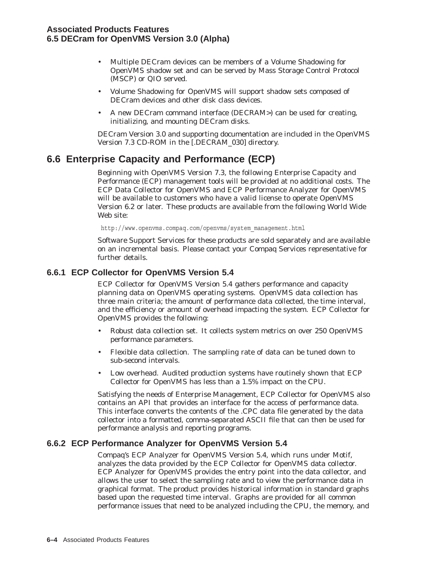- Multiple DECram devices can be members of a Volume Shadowing for OpenVMS shadow set and can be served by Mass Storage Control Protocol (MSCP) or QIO served.
- Volume Shadowing for OpenVMS will support shadow sets composed of DECram devices and other disk class devices.
- A new DECram command interface (DECRAM>) can be used for creating, initializing, and mounting DECram disks.

DECram Version 3.0 and supporting documentation are included in the OpenVMS Version 7.3 CD-ROM in the [.DECRAM\_030] directory.

## **6.6 Enterprise Capacity and Performance (ECP)**

Beginning with OpenVMS Version 7.3, the following Enterprise Capacity and Performance (ECP) management tools will be provided at no additional costs. The ECP Data Collector for OpenVMS and ECP Performance Analyzer for OpenVMS will be available to customers who have a valid license to operate OpenVMS Version 6.2 or later. These products are available from the following World Wide Web site:

http://www.openvms.compaq.com/openvms/system\_management.html

Software Support Services for these products are sold separately and are available on an incremental basis. Please contact your Compaq Services representative for further details.

#### **6.6.1 ECP Collector for OpenVMS Version 5.4**

ECP Collector for OpenVMS Version 5.4 gathers performance and capacity planning data on OpenVMS operating systems. OpenVMS data collection has three main criteria; the amount of performance data collected, the time interval, and the efficiency or amount of overhead impacting the system. ECP Collector for OpenVMS provides the following:

- Robust data collection set. It collects system metrics on over 250 OpenVMS performance parameters.
- Flexible data collection. The sampling rate of data can be tuned down to sub-second intervals.
- Low overhead. Audited production systems have routinely shown that ECP Collector for OpenVMS has less than a 1.5% impact on the CPU.

Satisfying the needs of Enterprise Management, ECP Collector for OpenVMS also contains an API that provides an interface for the access of performance data. This interface converts the contents of the .CPC data file generated by the data collector into a formatted, comma-separated ASCII file that can then be used for performance analysis and reporting programs.

#### **6.6.2 ECP Performance Analyzer for OpenVMS Version 5.4**

Compaq's ECP Analyzer for OpenVMS Version 5.4, which runs under Motif, analyzes the data provided by the ECP Collector for OpenVMS data collector. ECP Analyzer for OpenVMS provides the entry point into the data collector, and allows the user to select the sampling rate and to view the performance data in graphical format. The product provides historical information in standard graphs based upon the requested time interval. Graphs are provided for all common performance issues that need to be analyzed including the CPU, the memory, and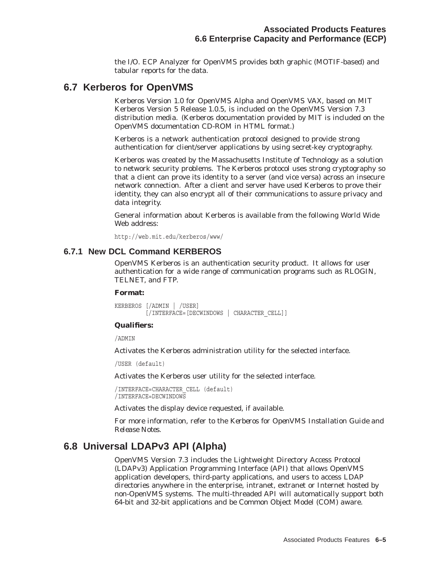the I/O. ECP Analyzer for OpenVMS provides both graphic (MOTIF-based) and tabular reports for the data.

### **6.7 Kerberos for OpenVMS**

Kerberos Version 1.0 for OpenVMS Alpha and OpenVMS VAX, based on MIT Kerberos Version 5 Release 1.0.5, is included on the OpenVMS Version 7.3 distribution media. (Kerberos documentation provided by MIT is included on the OpenVMS documentation CD-ROM in HTML format.)

Kerberos is a network authentication protocol designed to provide strong authentication for client/server applications by using secret-key cryptography.

Kerberos was created by the Massachusetts Institute of Technology as a solution to network security problems. The Kerberos protocol uses strong cryptography so that a client can prove its identity to a server (and vice versa) across an insecure network connection. After a client and server have used Kerberos to prove their identity, they can also encrypt all of their communications to assure privacy and data integrity.

General information about Kerberos is available from the following World Wide Web address:

http://web.mit.edu/kerberos/www/

#### **6.7.1 New DCL Command KERBEROS**

OpenVMS Kerberos is an authentication security product. It allows for user authentication for a wide range of communication programs such as RLOGIN, TELNET, and FTP.

#### **Format:**

KERBEROS [/ADMIN | /USER] [/INTERFACE=[DECWINDOWS | CHARACTER\_CELL]]

#### **Qualifiers:**

/ADMIN

Activates the Kerberos administration utility for the selected interface.

/USER (default)

Activates the Kerberos user utility for the selected interface.

```
/INTERFACE=CHARACTER_CELL (default)
/INTERFACE=DECWINDOWS
```
Activates the display device requested, if available.

For more information, refer to the *Kerberos for OpenVMS Installation Guide and Release Notes*.

#### **6.8 Universal LDAPv3 API (Alpha)**

OpenVMS Version 7.3 includes the Lightweight Directory Access Protocol (LDAPv3) Application Programming Interface (API) that allows OpenVMS application developers, third-party applications, and users to access LDAP directories anywhere in the enterprise, intranet, extranet or Internet hosted by non-OpenVMS systems. The multi-threaded API will automatically support both 64-bit and 32-bit applications and be Common Object Model (COM) aware.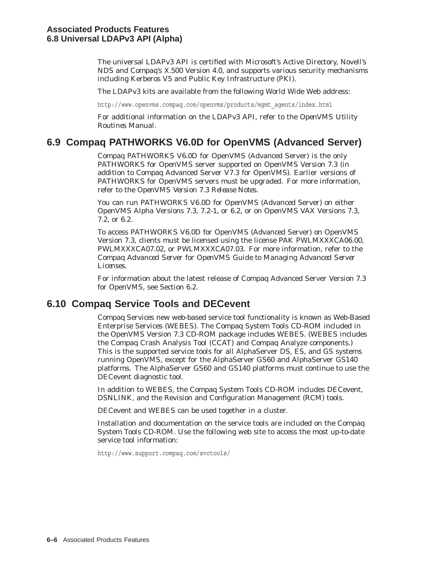The universal LDAPv3 API is certified with Microsoft's Active Directory, Novell's NDS and Compaq's X.500 Version 4.0, and supports various security mechanisms including Kerberos V5 and Public Key Infrastructure (PKI).

The LDAPv3 kits are available from the following World Wide Web address:

http://www.openvms.compaq.com/openvms/products/mgmt\_agents/index.html

For additional information on the LDAPv3 API, refer to the *OpenVMS Utility Routines Manual*.

## **6.9 Compaq PATHWORKS V6.0D for OpenVMS (Advanced Server)**

Compaq PATHWORKS V6.0D for OpenVMS (Advanced Server) is the only PATHWORKS for OpenVMS server supported on OpenVMS Version 7.3 (in addition to Compaq Advanced Server V7.3 for OpenVMS). Earlier versions of PATHWORKS for OpenVMS servers must be upgraded. For more information, refer to the *OpenVMS Version 7.3 Release Notes.*

You can run PATHWORKS V6.0D for OpenVMS (Advanced Server) on either OpenVMS Alpha Versions 7.3, 7.2-1, or 6.2, or on OpenVMS VAX Versions 7.3, 7.2, or 6.2.

To access PATHWORKS V6.0D for OpenVMS (Advanced Server) on OpenVMS Version 7.3, clients must be licensed using the license PAK PWLMXXXCA06.00, PWLMXXXCA07.02, or PWLMXXXCA07.03. For more information, refer to the *Compaq Advanced Server for OpenVMS Guide to Managing Advanced Server Licenses*.

For information about the latest release of Compaq Advanced Server Version 7.3 for OpenVMS, see Section 6.2.

## **6.10 Compaq Service Tools and DECevent**

Compaq Services new web-based service tool functionality is known as Web-Based Enterprise Services (WEBES). The Compaq System Tools CD-ROM included in the OpenVMS Version 7.3 CD-ROM package includes WEBES. (WEBES includes the Compaq Crash Analysis Tool (CCAT) and Compaq Analyze components.) This is the supported service tools for all AlphaServer DS, ES, and GS systems running OpenVMS, except for the AlphaServer GS60 and AlphaServer GS140 platforms. The AlphaServer GS60 and GS140 platforms must continue to use the DECevent diagnostic tool.

In addition to WEBES, the Compaq System Tools CD-ROM includes DECevent, DSNLINK, and the Revision and Configuration Management (RCM) tools.

DECevent and WEBES can be used together in a cluster.

Installation and documentation on the service tools are included on the Compaq System Tools CD-ROM. Use the following web site to access the most up-to-date service tool information:

http://www.support.compaq.com/svctools/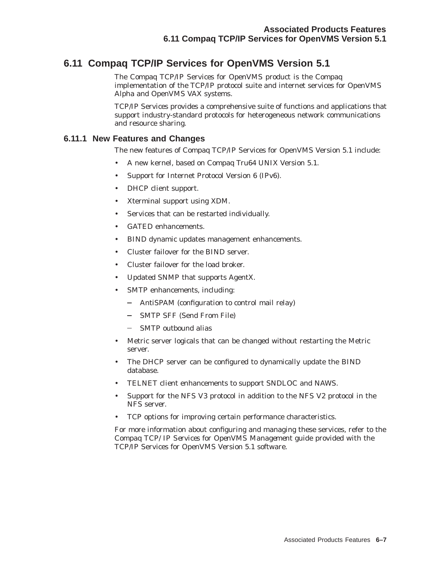## **6.11 Compaq TCP/IP Services for OpenVMS Version 5.1**

The Compaq TCP/IP Services for OpenVMS product is the Compaq implementation of the TCP/IP protocol suite and internet services for OpenVMS Alpha and OpenVMS VAX systems.

TCP/IP Services provides a comprehensive suite of functions and applications that support industry-standard protocols for heterogeneous network communications and resource sharing.

#### **6.11.1 New Features and Changes**

The new features of Compaq TCP/IP Services for OpenVMS Version 5.1 include:

- A new kernel, based on Compaq Tru64 UNIX Version 5.1.
- Support for Internet Protocol Version 6 (IPv6).
- DHCP client support.
- Xterminal support using XDM.
- Services that can be restarted individually.
- GATED enhancements.
- BIND dynamic updates management enhancements.
- Cluster failover for the BIND server.
- Cluster failover for the load broker.
- Updated SNMP that supports AgentX.
- SMTP enhancements, including:
	- AntiSPAM (configuration to control mail relay)
	- SMTP SFF (Send From File)
	- SMTP outbound alias
- Metric server logicals that can be changed without restarting the Metric server.
- The DHCP server can be configured to dynamically update the BIND database.
- TELNET client enhancements to support SNDLOC and NAWS.
- Support for the NFS V3 protocol in addition to the NFS V2 protocol in the NFS server.
- TCP options for improving certain performance characteristics.

For more information about configuring and managing these services, refer to the *Compaq TCP/IP Services for OpenVMS Management* guide provided with the TCP/IP Services for OpenVMS Version 5.1 software.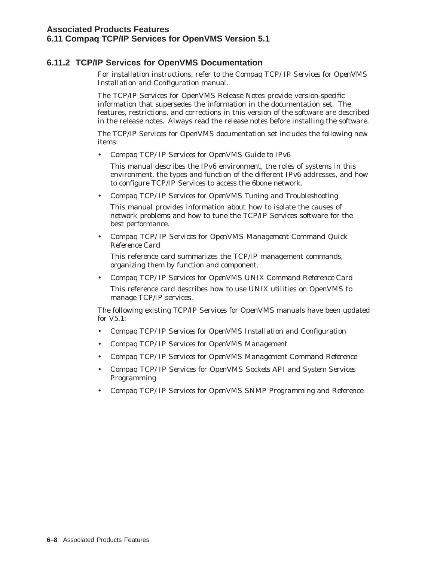#### **6.11.2 TCP/IP Services for OpenVMS Documentation**

For installation instructions, refer to the *Compaq TCP/IP Services for OpenVMS Installation and Configuration* manual.

The TCP/IP Services for OpenVMS Release Notes provide version-specific information that supersedes the information in the documentation set. The features, restrictions, and corrections in this version of the software are described in the release notes. Always read the release notes before installing the software.

The TCP/IP Services for OpenVMS documentation set includes the following new items:

• *Compaq TCP/IP Services for OpenVMS Guide to IPv6*

This manual describes the IPv6 environment, the roles of systems in this environment, the types and function of the different IPv6 addresses, and how to configure TCP/IP Services to access the 6bone network.

• *Compaq TCP/IP Services for OpenVMS Tuning and Troubleshooting*

This manual provides information about how to isolate the causes of network problems and how to tune the TCP/IP Services software for the best performance.

• *Compaq TCP/IP Services for OpenVMS Management Command Quick Reference Card*

This reference card summarizes the TCP/IP management commands, organizing them by function and component.

• *Compaq TCP/IP Services for OpenVMS UNIX Command Reference Card*

This reference card describes how to use UNIX utilities on OpenVMS to manage TCP/IP services.

The following existing TCP/IP Services for OpenVMS manuals have been updated for V5.1:

- *Compaq TCP/IP Services for OpenVMS Installation and Configuration*
- *Compaq TCP/IP Services for OpenVMS Management*
- *Compaq TCP/IP Services for OpenVMS Management Command Reference*
- *Compaq TCP/IP Services for OpenVMS Sockets API and System Services Programming*
- *Compaq TCP/IP Services for OpenVMS SNMP Programming and Reference*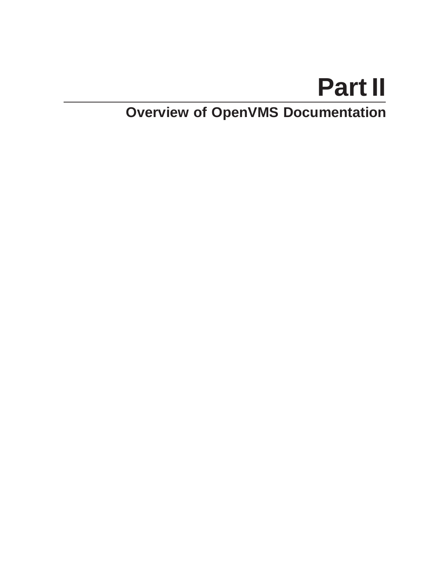# **Part II**

## **Overview of OpenVMS Documentation**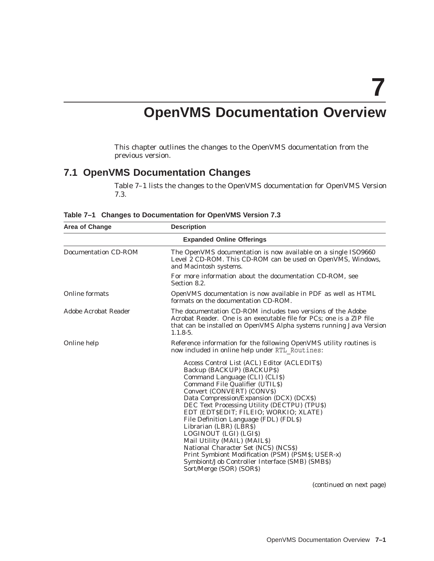**7**

## **OpenVMS Documentation Overview**

This chapter outlines the changes to the OpenVMS documentation from the previous version.

## **7.1 OpenVMS Documentation Changes**

Table 7–1 lists the changes to the OpenVMS documentation for OpenVMS Version 7.3.

| <b>Description</b><br>Area of Change |                                                                                                                                                                                                                                                                                                                                                                                                                                                                                                                                                                                                                           |  |  |
|--------------------------------------|---------------------------------------------------------------------------------------------------------------------------------------------------------------------------------------------------------------------------------------------------------------------------------------------------------------------------------------------------------------------------------------------------------------------------------------------------------------------------------------------------------------------------------------------------------------------------------------------------------------------------|--|--|
|                                      | <b>Expanded Online Offerings</b>                                                                                                                                                                                                                                                                                                                                                                                                                                                                                                                                                                                          |  |  |
| <b>Documentation CD-ROM</b>          | The OpenVMS documentation is now available on a single ISO9660<br>Level 2 CD-ROM. This CD-ROM can be used on OpenVMS, Windows,<br>and Macintosh systems.                                                                                                                                                                                                                                                                                                                                                                                                                                                                  |  |  |
|                                      | For more information about the documentation CD-ROM, see<br>Section 8.2.                                                                                                                                                                                                                                                                                                                                                                                                                                                                                                                                                  |  |  |
| <b>Online formats</b>                | OpenVMS documentation is now available in PDF as well as HTML<br>formats on the documentation CD-ROM.                                                                                                                                                                                                                                                                                                                                                                                                                                                                                                                     |  |  |
| Adobe Acrobat Reader                 | The documentation CD-ROM includes two versions of the Adobe<br>Acrobat Reader. One is an executable file for PCs; one is a ZIP file<br>that can be installed on OpenVMS Alpha systems running Java Version<br>$1.1.8 - 5.$                                                                                                                                                                                                                                                                                                                                                                                                |  |  |
| Online help                          | Reference information for the following OpenVMS utility routines is<br>now included in online help under RTL Routines:                                                                                                                                                                                                                                                                                                                                                                                                                                                                                                    |  |  |
|                                      | Access Control List (ACL) Editor (ACLEDITS)<br>Backup (BACKUP) (BACKUPS)<br>Command Language (CLI) (CLI\$)<br>Command File Qualifier (UTILS)<br>Convert (CONVERT) (CONV\$)<br>Data Compression/Expansion (DCX) (DCX\$)<br>DEC Text Processing Utility (DECTPU) (TPU\$)<br>EDT (EDT\$EDIT; FILEIO; WORKIO; XLATE)<br>File Definition Language (FDL) (FDL\$)<br>Librarian (LBR) (LBRS)<br>LOGINOUT (LGI) (LGIS)<br>Mail Utility (MAIL) (MAIL\$)<br>National Character Set (NCS) (NCS\$)<br>Print Symbiont Modification (PSM) (PSM\$; USER-x)<br>Symbiont/Job Controller Interface (SMB) (SMB\$)<br>Sort/Merge (SOR) (SOR\$) |  |  |

**Table 7–1 Changes to Documentation for OpenVMS Version 7.3**

(continued on next page)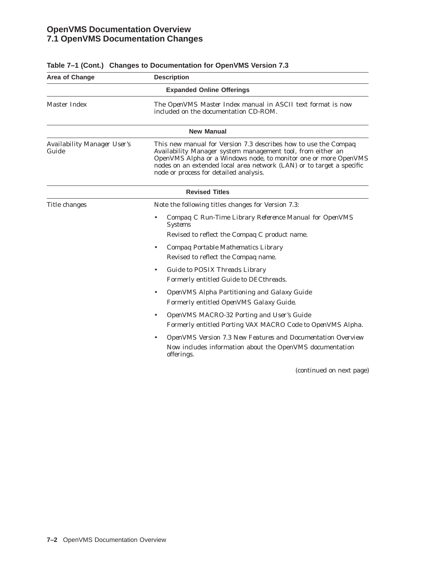#### **OpenVMS Documentation Overview 7.1 OpenVMS Documentation Changes**

| Area of Change                       | <b>Description</b>                                                                                                                                                                                                                                                                                                   |  |
|--------------------------------------|----------------------------------------------------------------------------------------------------------------------------------------------------------------------------------------------------------------------------------------------------------------------------------------------------------------------|--|
|                                      | <b>Expanded Online Offerings</b>                                                                                                                                                                                                                                                                                     |  |
| Master Index                         | The OpenVMS Master Index manual in ASCII text format is now<br>included on the documentation CD-ROM.                                                                                                                                                                                                                 |  |
|                                      | <b>New Manual</b>                                                                                                                                                                                                                                                                                                    |  |
| Availability Manager User's<br>Guide | This new manual for Version 7.3 describes how to use the Compaq<br>Availability Manager system management tool, from either an<br>OpenVMS Alpha or a Windows node, to monitor one or more OpenVMS<br>nodes on an extended local area network (LAN) or to target a specific<br>node or process for detailed analysis. |  |
|                                      | <b>Revised Titles</b>                                                                                                                                                                                                                                                                                                |  |
| Title changes                        | Note the following titles changes for Version 7.3:                                                                                                                                                                                                                                                                   |  |
|                                      | Compaq C Run-Time Library Reference Manual for OpenVMS<br><b>Systems</b><br>Revised to reflect the Compaq C product name.                                                                                                                                                                                            |  |
|                                      | Compaq Portable Mathematics Library<br>$\bullet$<br>Revised to reflect the Compaq name.                                                                                                                                                                                                                              |  |
|                                      | Guide to POSIX Threads Library<br>$\bullet$<br>Formerly entitled Guide to DECthreads.                                                                                                                                                                                                                                |  |
|                                      | OpenVMS Alpha Partitioning and Galaxy Guide<br>Formerly entitled OpenVMS Galaxy Guide.                                                                                                                                                                                                                               |  |
|                                      | OpenVMS MACRO-32 Porting and User's Guide<br>Formerly entitled Porting VAX MACRO Code to OpenVMS Alpha.                                                                                                                                                                                                              |  |
|                                      | OpenVMS Version 7.3 New Features and Documentation Overview<br>Now includes information about the OpenVMS documentation<br>offerings.                                                                                                                                                                                |  |
|                                      | (continued on next page)                                                                                                                                                                                                                                                                                             |  |

#### **Table 7–1 (Cont.) Changes to Documentation for OpenVMS Version 7.3**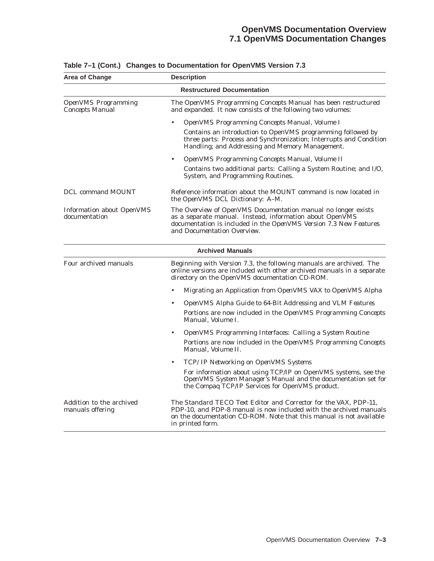#### **OpenVMS Documentation Overview 7.1 OpenVMS Documentation Changes**

| Area of Change                                    | <b>Description</b>                                                                                                                                                                                                                       |  |
|---------------------------------------------------|------------------------------------------------------------------------------------------------------------------------------------------------------------------------------------------------------------------------------------------|--|
|                                                   | <b>Restructured Documentation</b>                                                                                                                                                                                                        |  |
| OpenVMS Programming<br><b>Concepts Manual</b>     | The OpenVMS Programming Concepts Manual has been restructured<br>and expanded. It now consists of the following two volumes:                                                                                                             |  |
|                                                   | OpenVMS Programming Concepts Manual, Volume I                                                                                                                                                                                            |  |
|                                                   | Contains an introduction to OpenVMS programming followed by<br>three parts: Process and Synchronization; Interrupts and Condition<br>Handling; and Addressing and Memory Management.                                                     |  |
|                                                   | OpenVMS Programming Concepts Manual, Volume II                                                                                                                                                                                           |  |
|                                                   | Contains two additional parts: Calling a System Routine; and I/O,<br>System, and Programming Routines.                                                                                                                                   |  |
| <b>DCL command MOUNT</b>                          | Reference information about the MOUNT command is now located in<br>the OpenVMS DCL Dictionary: A-M.                                                                                                                                      |  |
| <b>Information about OpenVMS</b><br>documentation | The Overview of OpenVMS Documentation manual no longer exists<br>as a separate manual. Instead, information about OpenVMS<br>documentation is included in the OpenVMS Version 7.3 New Features<br>and Documentation Overview.            |  |
|                                                   | <b>Archived Manuals</b>                                                                                                                                                                                                                  |  |
| Four archived manuals                             | Beginning with Version 7.3, the following manuals are archived. The<br>online versions are included with other archived manuals in a separate<br>directory on the OpenVMS documentation CD-ROM.                                          |  |
|                                                   | Migrating an Application from OpenVMS VAX to OpenVMS Alpha                                                                                                                                                                               |  |
|                                                   | OpenVMS Alpha Guide to 64-Bit Addressing and VLM Features<br>$\bullet$                                                                                                                                                                   |  |
|                                                   | Portions are now included in the OpenVMS Programming Concepts<br>Manual, Volume I.                                                                                                                                                       |  |
|                                                   | OpenVMS Programming Interfaces: Calling a System Routine                                                                                                                                                                                 |  |
|                                                   | Portions are now included in the OpenVMS Programming Concepts<br>Manual, Volume II.                                                                                                                                                      |  |
|                                                   | TCP/IP Networking on OpenVMS Systems                                                                                                                                                                                                     |  |
|                                                   | For information about using TCP/IP on OpenVMS systems, see the<br>OpenVMS System Manager's Manual and the documentation set for<br>the Compaq TCP/IP Services for OpenVMS product.                                                       |  |
| Addition to the archived<br>manuals offering      | The Standard TECO Text Editor and Corrector for the VAX, PDP-11,<br><i>PDP-10, and PDP-8</i> manual is now included with the archived manuals<br>on the documentation CD-ROM. Note that this manual is not available<br>in printed form. |  |

#### **Table 7–1 (Cont.) Changes to Documentation for OpenVMS Version 7.3**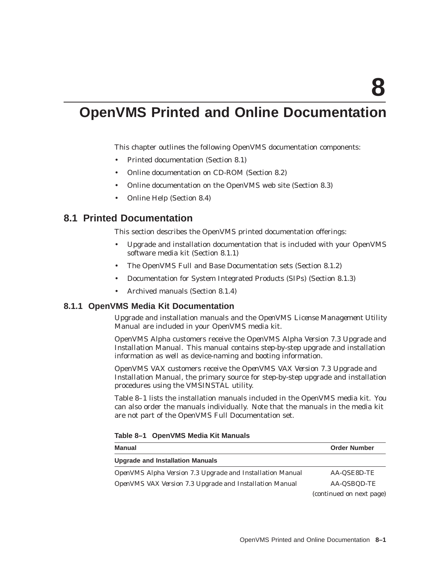## **OpenVMS Printed and Online Documentation**

This chapter outlines the following OpenVMS documentation components:

- Printed documentation (Section 8.1)
- Online documentation on CD-ROM (Section 8.2)
- Online documentation on the OpenVMS web site (Section 8.3)
- Online Help (Section 8.4)

#### **8.1 Printed Documentation**

This section describes the OpenVMS printed documentation offerings:

- Upgrade and installation documentation that is included with your OpenVMS software media kit (Section 8.1.1)
- The OpenVMS Full and Base Documentation sets (Section 8.1.2)
- Documentation for System Integrated Products (SIPs) (Section 8.1.3)
- Archived manuals (Section 8.1.4)

#### **8.1.1 OpenVMS Media Kit Documentation**

Upgrade and installation manuals and the *OpenVMS License Management Utility Manual* are included in your OpenVMS media kit.

OpenVMS Alpha customers receive the *OpenVMS Alpha Version 7.3 Upgrade and Installation Manual*. This manual contains step-by-step upgrade and installation information as well as device-naming and booting information.

OpenVMS VAX customers receive the *OpenVMS VAX Version 7.3 Upgrade and Installation Manual*, the primary source for step-by-step upgrade and installation procedures using the VMSINSTAL utility.

Table 8–1 lists the installation manuals included in the OpenVMS media kit. You can also order the manuals individually. Note that the manuals in the media kit are not part of the OpenVMS Full Documentation set.

| <b>Manual</b>                                             | <b>Order Number</b>      |
|-----------------------------------------------------------|--------------------------|
| <b>Upgrade and Installation Manuals</b>                   |                          |
| OpenVMS Alpha Version 7.3 Upgrade and Installation Manual | AA-QSE8D-TE              |
| OpenVMS VAX Version 7.3 Upgrade and Installation Manual   | AA-QSBQD-TE              |
|                                                           | (continued on next page) |

**Table 8–1 OpenVMS Media Kit Manuals**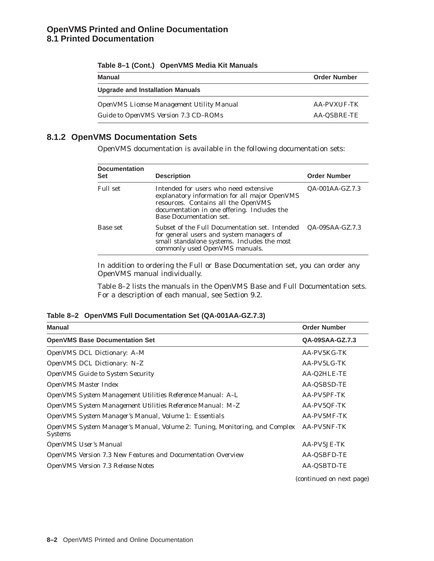#### **OpenVMS Printed and Online Documentation 8.1 Printed Documentation**

| $1800$ $0$ $-1$ (COIII.) Open virus means and manual s |                     |  |
|--------------------------------------------------------|---------------------|--|
| Manual                                                 | <b>Order Number</b> |  |
| Upgrade and Installation Manuals                       |                     |  |
| OpenVMS License Management Utility Manual              | AA-PVXUF-TK         |  |
| Guide to OpenVMS Version 7.3 CD-ROMs                   | AA-QSBRE-TE         |  |

#### **Table 8–1 (Cont.) OpenVMS Media Kit Manuals**

#### **8.1.2 OpenVMS Documentation Sets**

OpenVMS documentation is available in the following documentation sets:

| <b>Documentation</b><br><b>Set</b> | <b>Description</b>                                                                                                                                                                                      | <b>Order Number</b> |
|------------------------------------|---------------------------------------------------------------------------------------------------------------------------------------------------------------------------------------------------------|---------------------|
| Full set                           | Intended for users who need extensive<br>explanatory information for all major OpenVMS<br>resources. Contains all the OpenVMS<br>documentation in one offering. Includes the<br>Base Documentation set. | QA-001AA-GZ.7.3     |
| Base set                           | Subset of the Full Documentation set. Intended<br>for general users and system managers of<br>small standalone systems. Includes the most<br>commonly used OpenVMS manuals.                             | QA-09SAA-GZ.7.3     |

In addition to ordering the Full or Base Documentation set, you can order any OpenVMS manual individually.

Table 8–2 lists the manuals in the OpenVMS Base and Full Documentation sets. For a description of each manual, see Section 9.2.

| <b>Manual</b>                                                                         | <b>Order Number</b> |
|---------------------------------------------------------------------------------------|---------------------|
| <b>OpenVMS Base Documentation Set</b>                                                 | QA-09SAA-GZ.7.3     |
| OpenVMS DCL Dictionary: A-M                                                           | AA-PV5KG-TK         |
| OpenVMS DCL Dictionary: N-Z                                                           | AA-PV5LG-TK         |
| OpenVMS Guide to System Security                                                      | AA-Q2HLE-TE         |
| OpenVMS Master Index                                                                  | AA-QSBSD-TE         |
| OpenVMS System Management Utilities Reference Manual: A-L                             | AA-PV5PF-TK         |
| OpenVMS System Management Utilities Reference Manual: M-Z                             | AA-PV5QF-TK         |
| OpenVMS System Manager's Manual, Volume 1: Essentials                                 | AA-PV5MF-TK         |
| OpenVMS System Manager's Manual, Volume 2: Tuning, Monitoring, and Complex<br>Systems | AA-PV5NF-TK         |
| OpenVMS User's Manual                                                                 | AA-PV5.JE-TK        |
| OpenVMS Version 7.3 New Features and Documentation Overview                           | AA-QSBFD-TE         |
| <i>OpenVMS Version 7.3 Release Notes</i>                                              | AA-QSBTD-TE         |

(continued on next page)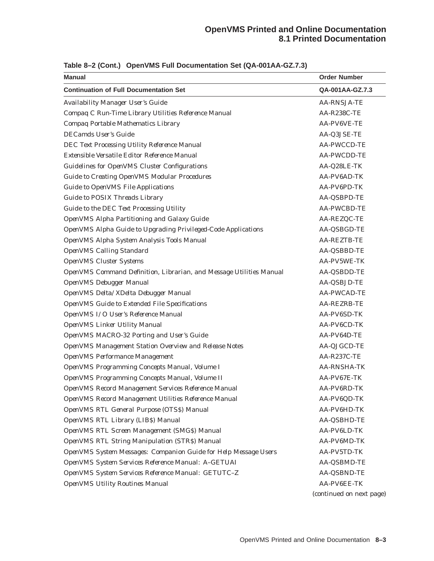#### **OpenVMS Printed and Online Documentation 8.1 Printed Documentation**

| <b>Manual</b>                                                       | <b>Order Number</b>      |
|---------------------------------------------------------------------|--------------------------|
| <b>Continuation of Full Documentation Set</b>                       | QA-001AA-GZ.7.3          |
| Availability Manager User's Guide                                   | <b>AA-RNSJA-TE</b>       |
| Compaq C Run-Time Library Utilities Reference Manual                | AA-R238C-TE              |
| Compaq Portable Mathematics Library                                 | AA-PV6VE-TE              |
| <b>DECamds User's Guide</b>                                         | AA-Q3JSE-TE              |
| DEC Text Processing Utility Reference Manual                        | <b>AA-PWCCD-TE</b>       |
| Extensible Versatile Editor Reference Manual                        | <b>AA-PWCDD-TE</b>       |
| Guidelines for OpenVMS Cluster Configurations                       | AA-Q28LE-TK              |
| Guide to Creating OpenVMS Modular Procedures                        | AA-PV6AD-TK              |
| Guide to OpenVMS File Applications                                  | AA-PV6PD-TK              |
| Guide to POSIX Threads Library                                      | AA-QSBPD-TE              |
| Guide to the DEC Text Processing Utility                            | <b>AA-PWCBD-TE</b>       |
| OpenVMS Alpha Partitioning and Galaxy Guide                         | AA-REZQC-TE              |
| OpenVMS Alpha Guide to Upgrading Privileged-Code Applications       | AA-QSBGD-TE              |
| OpenVMS Alpha System Analysis Tools Manual                          | <b>AA-REZTB-TE</b>       |
| OpenVMS Calling Standard                                            | <b>AA-QSBBD-TE</b>       |
| OpenVMS Cluster Systems                                             | AA-PV5WE-TK              |
| OpenVMS Command Definition, Librarian, and Message Utilities Manual | AA-QSBDD-TE              |
| OpenVMS Debugger Manual                                             | AA-QSBJD-TE              |
| OpenVMS Delta/XDelta Debugger Manual                                | <b>AA-PWCAD-TE</b>       |
| OpenVMS Guide to Extended File Specifications                       | <b>AA-REZRB-TE</b>       |
| OpenVMS I/O User's Reference Manual                                 | AA-PV6SD-TK              |
| OpenVMS Linker Utility Manual                                       | AA-PV6CD-TK              |
| OpenVMS MACRO-32 Porting and User's Guide                           | AA-PV64D-TE              |
| OpenVMS Management Station Overview and Release Notes               | AA-QJGCD-TE              |
| OpenVMS Performance Management                                      | AA-R237C-TE              |
| OpenVMS Programming Concepts Manual, Volume I                       | <b>AA-RNSHA-TK</b>       |
| OpenVMS Programming Concepts Manual, Volume II                      | AA-PV67E-TK              |
| OpenVMS Record Management Services Reference Manual                 | AA-PV6RD-TK              |
| OpenVMS Record Management Utilities Reference Manual                | AA-PV6QD-TK              |
| OpenVMS RTL General Purpose (OTS\$) Manual                          | AA-PV6HD-TK              |
| OpenVMS RTL Library (LIBS) Manual                                   | <b>AA-QSBHD-TE</b>       |
| OpenVMS RTL Screen Management (SMGS) Manual                         | AA-PV6LD-TK              |
| OpenVMS RTL String Manipulation (STR\$) Manual                      | AA-PV6MD-TK              |
| OpenVMS System Messages: Companion Guide for Help Message Users     | AA-PV5TD-TK              |
| OpenVMS System Services Reference Manual: A-GETUAI                  | <b>AA-QSBMD-TE</b>       |
| OpenVMS System Services Reference Manual: GETUTC-Z                  | AA-QSBND-TE              |
| OpenVMS Utility Routines Manual                                     | AA-PV6EE-TK              |
|                                                                     | (continued on next page) |

**Table 8–2 (Cont.) OpenVMS Full Documentation Set (QA-001AA-GZ.7.3)**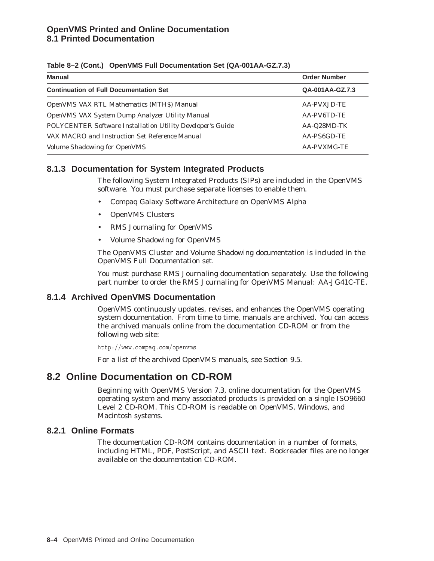| <b>Manual</b>                                              | <b>Order Number</b> |
|------------------------------------------------------------|---------------------|
| <b>Continuation of Full Documentation Set</b>              | QA-001AA-GZ.7.3     |
| OpenVMS VAX RTL Mathematics (MTHS) Manual                  | AA-PVXJD-TE         |
| OpenVMS VAX System Dump Analyzer Utility Manual            | AA-PV6TD-TE         |
| POLYCENTER Software Installation Utility Developer's Guide | AA-Q28MD-TK         |
| VAX MACRO and Instruction Set Reference Manual             | AA-PS6GD-TE         |
| Volume Shadowing for OpenVMS                               | AA-PVXMG-TE         |

#### **Table 8–2 (Cont.) OpenVMS Full Documentation Set (QA-001AA-GZ.7.3)**

#### **8.1.3 Documentation for System Integrated Products**

The following System Integrated Products (SIPs) are included in the OpenVMS software. You must purchase separate licenses to enable them.

- Compaq Galaxy Software Architecture on OpenVMS Alpha
- OpenVMS Clusters
- RMS Journaling for OpenVMS
- Volume Shadowing for OpenVMS

The OpenVMS Cluster and Volume Shadowing documentation is included in the OpenVMS Full Documentation set.

You must purchase RMS Journaling documentation separately. Use the following part number to order the *RMS Journaling for OpenVMS Manual*: AA-JG41C-TE.

#### **8.1.4 Archived OpenVMS Documentation**

OpenVMS continuously updates, revises, and enhances the OpenVMS operating system documentation. From time to time, manuals are archived. You can access the archived manuals online from the documentation CD-ROM or from the following web site:

http://www.compaq.com/openvms

For a list of the archived OpenVMS manuals, see Section 9.5.

## **8.2 Online Documentation on CD-ROM**

Beginning with OpenVMS Version 7.3, online documentation for the OpenVMS operating system and many associated products is provided on a single ISO9660 Level 2 CD-ROM. This CD-ROM is readable on OpenVMS, Windows, and Macintosh systems.

#### **8.2.1 Online Formats**

The documentation CD-ROM contains documentation in a number of formats, including HTML, PDF, PostScript, and ASCII text. Bookreader files are no longer available on the documentation CD-ROM.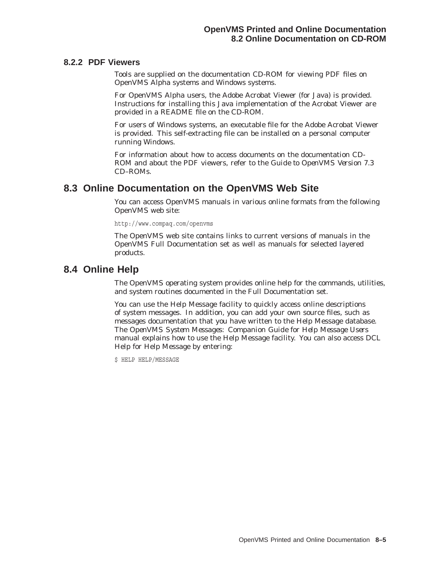#### **8.2.2 PDF Viewers**

Tools are supplied on the documentation CD-ROM for viewing PDF files on OpenVMS Alpha systems and Windows systems.

For OpenVMS Alpha users, the Adobe Acrobat Viewer (for Java) is provided. Instructions for installing this Java implementation of the Acrobat Viewer are provided in a README file on the CD-ROM.

For users of Windows systems, an executable file for the Adobe Acrobat Viewer is provided. This self-extracting file can be installed on a personal computer running Windows.

For information about how to access documents on the documentation CD-ROM and about the PDF viewers, refer to the *Guide to OpenVMS Version 7.3 CD–ROMs*.

## **8.3 Online Documentation on the OpenVMS Web Site**

You can access OpenVMS manuals in various online formats from the following OpenVMS web site:

http://www.compaq.com/openvms

The OpenVMS web site contains links to current versions of manuals in the OpenVMS Full Documentation set as well as manuals for selected layered products.

### **8.4 Online Help**

The OpenVMS operating system provides online help for the commands, utilities, and system routines documented in the Full Documentation set.

You can use the Help Message facility to quickly access online descriptions of system messages. In addition, you can add your own source files, such as messages documentation that you have written to the Help Message database. The *OpenVMS System Messages: Companion Guide for Help Message Users* manual explains how to use the Help Message facility. You can also access DCL Help for Help Message by entering:

\$ HELP HELP/MESSAGE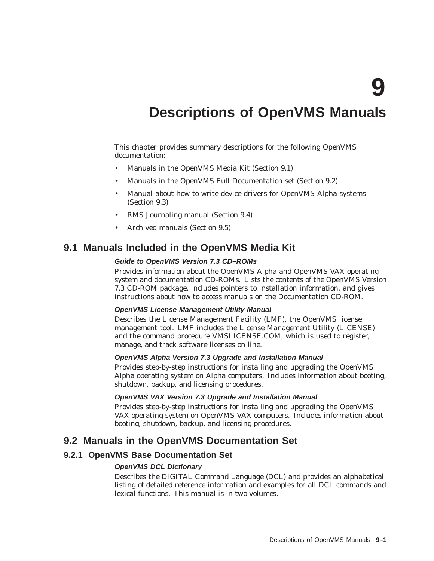**9**

# **Descriptions of OpenVMS Manuals**

This chapter provides summary descriptions for the following OpenVMS documentation:

- Manuals in the OpenVMS Media Kit (Section 9.1)
- Manuals in the OpenVMS Full Documentation set (Section 9.2)
- Manual about how to write device drivers for OpenVMS Alpha systems (Section 9.3)
- RMS Journaling manual (Section 9.4)
- Archived manuals (Section 9.5)

### **9.1 Manuals Included in the OpenVMS Media Kit**

#### **Guide to OpenVMS Version 7.3 CD–ROMs**

Provides information about the OpenVMS Alpha and OpenVMS VAX operating system and documentation CD-ROMs. Lists the contents of the OpenVMS Version 7.3 CD-ROM package, includes pointers to installation information, and gives instructions about how to access manuals on the Documentation CD-ROM.

#### **OpenVMS License Management Utility Manual**

Describes the License Management Facility (LMF), the OpenVMS license management tool. LMF includes the License Management Utility (LICENSE) and the command procedure VMSLICENSE.COM, which is used to register, manage, and track software licenses on line.

#### **OpenVMS Alpha Version 7.3 Upgrade and Installation Manual**

Provides step-by-step instructions for installing and upgrading the OpenVMS Alpha operating system on Alpha computers. Includes information about booting, shutdown, backup, and licensing procedures.

#### **OpenVMS VAX Version 7.3 Upgrade and Installation Manual**

Provides step-by-step instructions for installing and upgrading the OpenVMS VAX operating system on OpenVMS VAX computers. Includes information about booting, shutdown, backup, and licensing procedures.

### **9.2 Manuals in the OpenVMS Documentation Set**

#### **9.2.1 OpenVMS Base Documentation Set**

#### **OpenVMS DCL Dictionary**

Describes the DIGITAL Command Language (DCL) and provides an alphabetical listing of detailed reference information and examples for all DCL commands and lexical functions. This manual is in two volumes.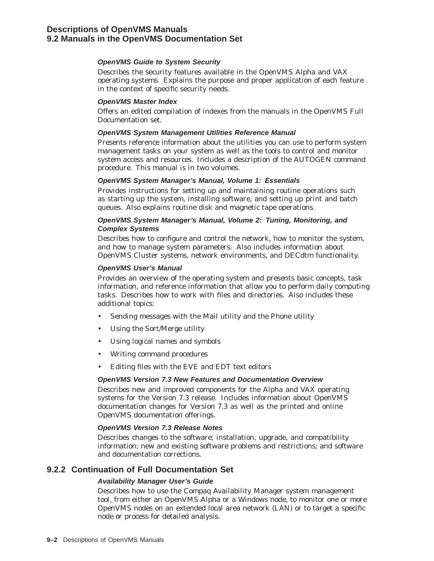#### **OpenVMS Guide to System Security**

Describes the security features available in the OpenVMS Alpha and VAX operating systems. Explains the purpose and proper application of each feature in the context of specific security needs.

#### **OpenVMS Master Index**

Offers an edited compilation of indexes from the manuals in the OpenVMS Full Documentation set.

#### **OpenVMS System Management Utilities Reference Manual**

Presents reference information about the utilities you can use to perform system management tasks on your system as well as the tools to control and monitor system access and resources. Includes a description of the AUTOGEN command procedure. This manual is in two volumes.

#### **OpenVMS System Manager's Manual, Volume 1: Essentials**

Provides instructions for setting up and maintaining routine operations such as starting up the system, installing software, and setting up print and batch queues. Also explains routine disk and magnetic tape operations.

#### **OpenVMS System Manager's Manual, Volume 2: Tuning, Monitoring, and Complex Systems**

Describes how to configure and control the network, how to monitor the system, and how to manage system parameters. Also includes information about OpenVMS Cluster systems, network environments, and DECdtm functionality.

#### **OpenVMS User's Manual**

Provides an overview of the operating system and presents basic concepts, task information, and reference information that allow you to perform daily computing tasks. Describes how to work with files and directories. Also includes these additional topics:

- Sending messages with the Mail utility and the Phone utility
- Using the Sort/Merge utility
- Using logical names and symbols
- Writing command procedures
- Editing files with the EVE and EDT text editors

#### **OpenVMS Version 7.3 New Features and Documentation Overview**

Describes new and improved components for the Alpha and VAX operating systems for the Version 7.3 release. Includes information about OpenVMS documentation changes for Version 7.3 as well as the printed and online OpenVMS documentation offerings.

#### **OpenVMS Version 7.3 Release Notes**

Describes changes to the software; installation, upgrade, and compatibility information; new and existing software problems and restrictions; and software and documentation corrections.

### **9.2.2 Continuation of Full Documentation Set**

#### **Availability Manager User's Guide**

Describes how to use the Compaq Availability Manager system management tool, from either an OpenVMS Alpha or a Windows node, to monitor one or more OpenVMS nodes on an extended local area network (LAN) or to target a specific node or process for detailed analysis.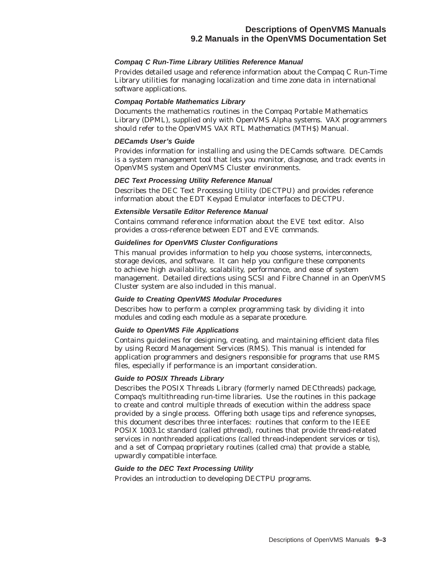#### **Compaq C Run-Time Library Utilities Reference Manual**

Provides detailed usage and reference information about the Compaq C Run-Time Library utilities for managing localization and time zone data in international software applications.

#### **Compaq Portable Mathematics Library**

Documents the mathematics routines in the Compaq Portable Mathematics Library (DPML), supplied only with OpenVMS Alpha systems. VAX programmers should refer to the *OpenVMS VAX RTL Mathematics (MTH\$) Manual*.

#### **DECamds User's Guide**

Provides information for installing and using the DECamds software. DECamds is a system management tool that lets you monitor, diagnose, and track events in OpenVMS system and OpenVMS Cluster environments.

#### **DEC Text Processing Utility Reference Manual**

Describes the DEC Text Processing Utility (DECTPU) and provides reference information about the EDT Keypad Emulator interfaces to DECTPU.

#### **Extensible Versatile Editor Reference Manual**

Contains command reference information about the EVE text editor. Also provides a cross-reference between EDT and EVE commands.

#### **Guidelines for OpenVMS Cluster Configurations**

This manual provides information to help you choose systems, interconnects, storage devices, and software. It can help you configure these components to achieve high availability, scalability, performance, and ease of system management. Detailed directions using SCSI and Fibre Channel in an OpenVMS Cluster system are also included in this manual.

#### **Guide to Creating OpenVMS Modular Procedures**

Describes how to perform a complex programming task by dividing it into modules and coding each module as a separate procedure.

#### **Guide to OpenVMS File Applications**

Contains guidelines for designing, creating, and maintaining efficient data files by using Record Management Services (RMS). This manual is intended for application programmers and designers responsible for programs that use RMS files, especially if performance is an important consideration.

#### **Guide to POSIX Threads Library**

Describes the POSIX Threads Library (formerly named DECthreads) package, Compaq's multithreading run-time libraries. Use the routines in this package to create and control multiple threads of execution within the address space provided by a single process. Offering both usage tips and reference synopses, this document describes three interfaces: routines that conform to the IEEE POSIX 1003.1c standard (called *pthread*), routines that provide thread-related services in nonthreaded applications (called thread-independent services or *tis*), and a set of Compaq proprietary routines (called *cma*) that provide a stable, upwardly compatible interface.

#### **Guide to the DEC Text Processing Utility**

Provides an introduction to developing DECTPU programs.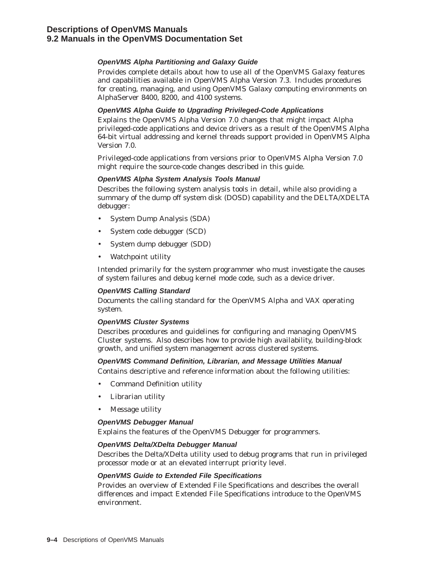#### **OpenVMS Alpha Partitioning and Galaxy Guide**

Provides complete details about how to use all of the OpenVMS Galaxy features and capabilities available in OpenVMS Alpha Version 7.3. Includes procedures for creating, managing, and using OpenVMS Galaxy computing environments on AlphaServer 8400, 8200, and 4100 systems.

#### **OpenVMS Alpha Guide to Upgrading Privileged-Code Applications**

Explains the OpenVMS Alpha Version 7.0 changes that might impact Alpha privileged-code applications and device drivers as a result of the OpenVMS Alpha 64-bit virtual addressing and kernel threads support provided in OpenVMS Alpha Version 7.0.

Privileged-code applications from versions prior to OpenVMS Alpha Version 7.0 might require the source-code changes described in this guide.

#### **OpenVMS Alpha System Analysis Tools Manual**

Describes the following system analysis tools in detail, while also providing a summary of the dump off system disk (DOSD) capability and the DELTA/XDELTA debugger:

- System Dump Analysis (SDA)
- System code debugger (SCD)
- System dump debugger (SDD)
- Watchpoint utility

Intended primarily for the system programmer who must investigate the causes of system failures and debug kernel mode code, such as a device driver.

#### **OpenVMS Calling Standard**

Documents the calling standard for the OpenVMS Alpha and VAX operating system.

#### **OpenVMS Cluster Systems**

Describes procedures and guidelines for configuring and managing OpenVMS Cluster systems. Also describes how to provide high availability, building-block growth, and unified system management across clustered systems.

#### **OpenVMS Command Definition, Librarian, and Message Utilities Manual**

Contains descriptive and reference information about the following utilities:

- Command Definition utility
- Librarian utility
- Message utility

#### **OpenVMS Debugger Manual**

Explains the features of the OpenVMS Debugger for programmers.

#### **OpenVMS Delta/XDelta Debugger Manual**

Describes the Delta/XDelta utility used to debug programs that run in privileged processor mode or at an elevated interrupt priority level.

#### **OpenVMS Guide to Extended File Specifications**

Provides an overview of Extended File Specifications and describes the overall differences and impact Extended File Specifications introduce to the OpenVMS environment.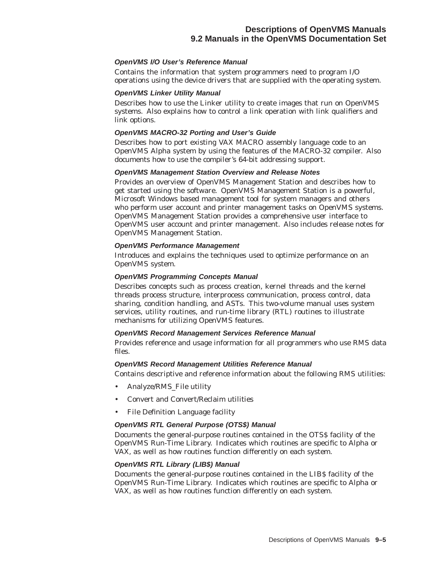#### **OpenVMS I/O User's Reference Manual**

Contains the information that system programmers need to program I/O operations using the device drivers that are supplied with the operating system.

#### **OpenVMS Linker Utility Manual**

Describes how to use the Linker utility to create images that run on OpenVMS systems. Also explains how to control a link operation with link qualifiers and link options.

#### **OpenVMS MACRO-32 Porting and User's Guide**

Describes how to port existing VAX MACRO assembly language code to an OpenVMS Alpha system by using the features of the MACRO-32 compiler. Also documents how to use the compiler's 64-bit addressing support.

#### **OpenVMS Management Station Overview and Release Notes**

Provides an overview of OpenVMS Management Station and describes how to get started using the software. OpenVMS Management Station is a powerful, Microsoft Windows based management tool for system managers and others who perform user account and printer management tasks on OpenVMS systems. OpenVMS Management Station provides a comprehensive user interface to OpenVMS user account and printer management. Also includes release notes for OpenVMS Management Station.

#### **OpenVMS Performance Management**

Introduces and explains the techniques used to optimize performance on an OpenVMS system.

#### **OpenVMS Programming Concepts Manual**

Describes concepts such as process creation, kernel threads and the kernel threads process structure, interprocess communication, process control, data sharing, condition handling, and ASTs. This two-volume manual uses system services, utility routines, and run-time library (RTL) routines to illustrate mechanisms for utilizing OpenVMS features.

#### **OpenVMS Record Management Services Reference Manual**

Provides reference and usage information for all programmers who use RMS data files.

#### **OpenVMS Record Management Utilities Reference Manual**

Contains descriptive and reference information about the following RMS utilities:

- Analyze/RMS\_File utility
- Convert and Convert/Reclaim utilities
- File Definition Language facility

#### **OpenVMS RTL General Purpose (OTS\$) Manual**

Documents the general-purpose routines contained in the OTS\$ facility of the OpenVMS Run-Time Library. Indicates which routines are specific to Alpha or VAX, as well as how routines function differently on each system.

#### **OpenVMS RTL Library (LIB\$) Manual**

Documents the general-purpose routines contained in the LIB\$ facility of the OpenVMS Run-Time Library. Indicates which routines are specific to Alpha or VAX, as well as how routines function differently on each system.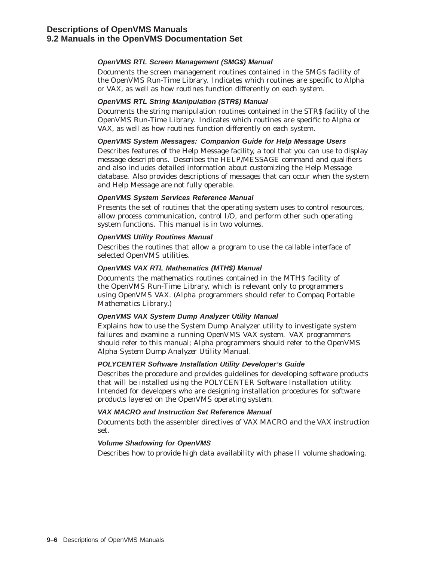#### **OpenVMS RTL Screen Management (SMG\$) Manual**

Documents the screen management routines contained in the SMG\$ facility of the OpenVMS Run-Time Library. Indicates which routines are specific to Alpha or VAX, as well as how routines function differently on each system.

#### **OpenVMS RTL String Manipulation (STR\$) Manual**

Documents the string manipulation routines contained in the STR\$ facility of the OpenVMS Run-Time Library. Indicates which routines are specific to Alpha or VAX, as well as how routines function differently on each system.

#### **OpenVMS System Messages: Companion Guide for Help Message Users**

Describes features of the Help Message facility, a tool that you can use to display message descriptions. Describes the HELP/MESSAGE command and qualifiers and also includes detailed information about customizing the Help Message database. Also provides descriptions of messages that can occur when the system and Help Message are not fully operable.

#### **OpenVMS System Services Reference Manual**

Presents the set of routines that the operating system uses to control resources, allow process communication, control I/O, and perform other such operating system functions. This manual is in two volumes.

#### **OpenVMS Utility Routines Manual**

Describes the routines that allow a program to use the callable interface of selected OpenVMS utilities.

#### **OpenVMS VAX RTL Mathematics (MTH\$) Manual**

Documents the mathematics routines contained in the MTH\$ facility of the OpenVMS Run-Time Library, which is relevant only to programmers using OpenVMS VAX. (Alpha programmers should refer to *Compaq Portable Mathematics Library*.)

#### **OpenVMS VAX System Dump Analyzer Utility Manual**

Explains how to use the System Dump Analyzer utility to investigate system failures and examine a running OpenVMS VAX system. VAX programmers should refer to this manual; Alpha programmers should refer to the *OpenVMS Alpha System Dump Analyzer Utility Manual*.

#### **POLYCENTER Software Installation Utility Developer's Guide**

Describes the procedure and provides guidelines for developing software products that will be installed using the POLYCENTER Software Installation utility. Intended for developers who are designing installation procedures for software products layered on the OpenVMS operating system.

#### **VAX MACRO and Instruction Set Reference Manual**

Documents both the assembler directives of VAX MACRO and the VAX instruction set.

#### **Volume Shadowing for OpenVMS**

Describes how to provide high data availability with phase II volume shadowing.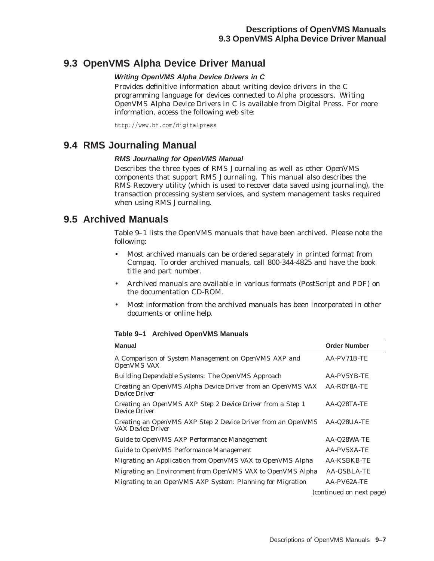### **Descriptions of OpenVMS Manuals 9.3 OpenVMS Alpha Device Driver Manual**

# **9.3 OpenVMS Alpha Device Driver Manual**

#### **Writing OpenVMS Alpha Device Drivers in C**

Provides definitive information about writing device drivers in the C programming language for devices connected to Alpha processors. *Writing OpenVMS Alpha Device Drivers in C* is available from Digital Press. For more information, access the following web site:

http://www.bh.com/digitalpress

## **9.4 RMS Journaling Manual**

#### **RMS Journaling for OpenVMS Manual**

Describes the three types of RMS Journaling as well as other OpenVMS components that support RMS Journaling. This manual also describes the RMS Recovery utility (which is used to recover data saved using journaling), the transaction processing system services, and system management tasks required when using RMS Journaling.

### **9.5 Archived Manuals**

Table 9–1 lists the OpenVMS manuals that have been archived. Please note the following:

- Most archived manuals can be ordered separately in printed format from Compaq. To order archived manuals, call 800-344-4825 and have the book title and part number.
- Archived manuals are available in various formats (PostScript and PDF) on the documentation CD-ROM.
- Most information from the archived manuals has been incorporated in other documents or online help.

| <b>Manual</b>                                                                     | <b>Order Number</b>      |
|-----------------------------------------------------------------------------------|--------------------------|
| A Comparison of System Management on OpenVMS AXP and<br>OpenVMS VAX               | AA-PV71B-TE              |
| Building Dependable Systems: The OpenVMS Approach                                 | AA-PV5YB-TE              |
| Creating an OpenVMS Alpha Device Driver from an OpenVMS VAX<br>Device Driver      | AA-ROYSA-TE              |
| Creating an OpenVMS AXP Step 2 Device Driver from a Step 1<br>Device Driver       | AA-Q28TA-TE              |
| Creating an OpenVMS AXP Step 2 Device Driver from an OpenVMS<br>VAX Device Driver | AA-Q28UA-TE              |
| Guide to OpenVMS AXP Performance Management                                       | AA-Q28WA-TE              |
| Guide to OpenVMS Performance Management                                           | AA-PV5XA-TE              |
| Migrating an Application from OpenVMS VAX to OpenVMS Alpha                        | <b>AA-KSBKB-TE</b>       |
| Migrating an Environment from OpenVMS VAX to OpenVMS Alpha                        | AA-QSBLA-TE              |
| Migrating to an OpenVMS AXP System: Planning for Migration                        | AA-PV62A-TE              |
|                                                                                   | (continued on next page) |

#### **Table 9–1 Archived OpenVMS Manuals**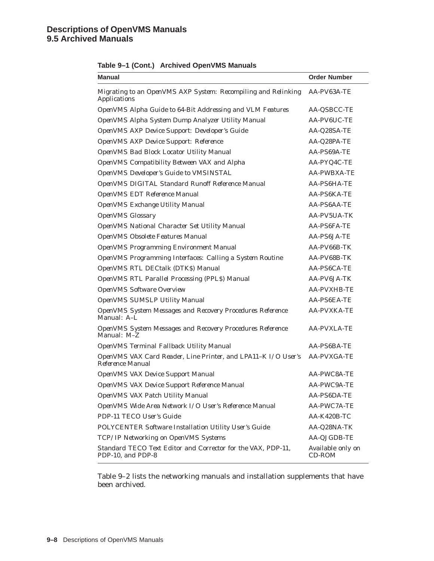| Manual                                                                               | <b>Order Number</b>         |
|--------------------------------------------------------------------------------------|-----------------------------|
| Migrating to an OpenVMS AXP System: Recompiling and Relinking<br><i>Applications</i> | AA-PV63A-TE                 |
| OpenVMS Alpha Guide to 64-Bit Addressing and VLM Features                            | AA-QSBCC-TE                 |
| OpenVMS Alpha System Dump Analyzer Utility Manual                                    | AA-PV6UC-TE                 |
| OpenVMS AXP Device Support: Developer's Guide                                        | AA-Q28SA-TE                 |
| OpenVMS AXP Device Support: Reference                                                | AA-Q28PA-TE                 |
| OpenVMS Bad Block Locator Utility Manual                                             | AA-PS69A-TE                 |
| OpenVMS Compatibility Between VAX and Alpha                                          | AA-PYQ4C-TE                 |
| OpenVMS Developer's Guide to VMSINSTAL                                               | <b>AA-PWBXA-TE</b>          |
| OpenVMS DIGITAL Standard Runoff Reference Manual                                     | AA-PS6HA-TE                 |
| OpenVMS EDT Reference Manual                                                         | AA-PS6KA-TE                 |
| OpenVMS Exchange Utility Manual                                                      | AA-PS6AA-TE                 |
| OpenVMS Glossary                                                                     | AA-PV5UA-TK                 |
| OpenVMS National Character Set Utility Manual                                        | AA-PS6FA-TE                 |
| OpenVMS Obsolete Features Manual                                                     | AA-PS6JA-TE                 |
| OpenVMS Programming Environment Manual                                               | AA-PV66B-TK                 |
| OpenVMS Programming Interfaces: Calling a System Routine                             | AA-PV68B-TK                 |
| OpenVMS RTL DECtalk (DTKS) Manual                                                    | AA-PS6CA-TE                 |
| OpenVMS RTL Parallel Processing (PPLS) Manual                                        | AA-PV6JA-TK                 |
| OpenVMS Software Overview                                                            | <b>AA-PVXHB-TE</b>          |
| OpenVMS SUMSLP Utility Manual                                                        | AA-PS6EA-TE                 |
| OpenVMS System Messages and Recovery Procedures Reference<br>Manual: A-L             | <b>AA-PVXKA-TE</b>          |
| OpenVMS System Messages and Recovery Procedures Reference<br>Manual: M-Z             | <b>AA-PVXLA-TE</b>          |
| OpenVMS Terminal Fallback Utility Manual                                             | AA-PS6BA-TE                 |
| OpenVMS VAX Card Reader, Line Printer, and LPA11-K I/O User's<br>Reference Manual    | <b>AA-PVXGA-TE</b>          |
| OpenVMS VAX Device Support Manual                                                    | AA-PWC8A-TE                 |
| OpenVMS VAX Device Support Reference Manual                                          | <b>AA-PWC9A-TE</b>          |
| OpenVMS VAX Patch Utility Manual                                                     | AA-PS6DA-TE                 |
| OpenVMS Wide Area Network I/O User's Reference Manual                                | AA-PWC7A-TE                 |
| PDP-11 TECO User's Guide                                                             | AA-K420B-TC                 |
| POLYCENTER Software Installation Utility User's Guide                                | AA-Q28NA-TK                 |
| TCP/IP Networking on OpenVMS Systems                                                 | AA-QJGDB-TE                 |
| Standard TECO Text Editor and Corrector for the VAX, PDP-11,<br>PDP-10, and PDP-8    | Available only on<br>CD-ROM |

**Table 9–1 (Cont.) Archived OpenVMS Manuals**

Table 9–2 lists the networking manuals and installation supplements that have been archived.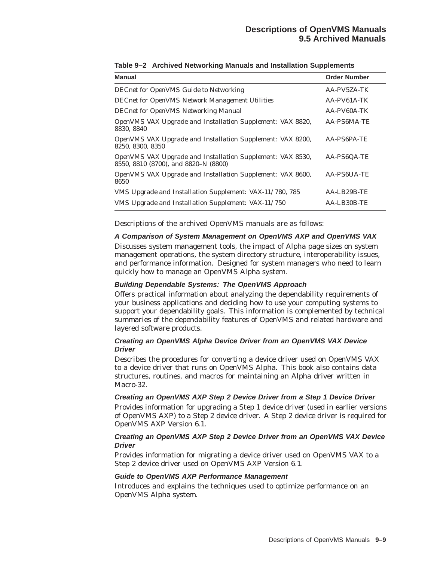| <b>Manual</b>                                                                                      | <b>Order Number</b> |
|----------------------------------------------------------------------------------------------------|---------------------|
| DECnet for OpenVMS Guide to Networking                                                             | AA-PV5ZA-TK         |
| DECnet for OpenVMS Network Management Utilities                                                    | AA-PV61A-TK         |
| DECnet for OpenVMS Networking Manual                                                               | AA-PV60A-TK         |
| OpenVMS VAX Upgrade and Installation Supplement: VAX 8820,<br>8830, 8840                           | AA-PS6MA-TE         |
| OpenVMS VAX Upgrade and Installation Supplement: VAX 8200,<br>8250, 8300, 8350                     | AA-PS6PA-TE         |
| OpenVMS VAX Upgrade and Installation Supplement: VAX 8530,<br>8550, 8810 (8700), and 8820-N (8800) | AA-PS6QA-TE         |
| OpenVMS VAX Upgrade and Installation Supplement: VAX 8600,<br>8650                                 | AA-PS6UA-TE         |
| VMS Upgrade and Installation Supplement: VAX-11/780, 785                                           | AA-LB29B-TE         |
| VMS Upgrade and Installation Supplement: VAX-11/750                                                | AA-LB30B-TE         |

#### **Table 9–2 Archived Networking Manuals and Installation Supplements**

Descriptions of the archived OpenVMS manuals are as follows:

**A Comparison of System Management on OpenVMS AXP and OpenVMS VAX** Discusses system management tools, the impact of Alpha page sizes on system management operations, the system directory structure, interoperability issues, and performance information. Designed for system managers who need to learn quickly how to manage an OpenVMS Alpha system.

#### **Building Dependable Systems: The OpenVMS Approach**

Offers practical information about analyzing the dependability requirements of your business applications and deciding how to use your computing systems to support your dependability goals. This information is complemented by technical summaries of the dependability features of OpenVMS and related hardware and layered software products.

#### **Creating an OpenVMS Alpha Device Driver from an OpenVMS VAX Device Driver**

Describes the procedures for converting a device driver used on OpenVMS VAX to a device driver that runs on OpenVMS Alpha. This book also contains data structures, routines, and macros for maintaining an Alpha driver written in Macro-32.

**Creating an OpenVMS AXP Step 2 Device Driver from a Step 1 Device Driver**

Provides information for upgrading a Step 1 device driver (used in earlier versions of OpenVMS AXP) to a Step 2 device driver. A Step 2 device driver is required for OpenVMS AXP Version 6.1.

#### **Creating an OpenVMS AXP Step 2 Device Driver from an OpenVMS VAX Device Driver**

Provides information for migrating a device driver used on OpenVMS VAX to a Step 2 device driver used on OpenVMS AXP Version 6.1.

#### **Guide to OpenVMS AXP Performance Management**

Introduces and explains the techniques used to optimize performance on an OpenVMS Alpha system.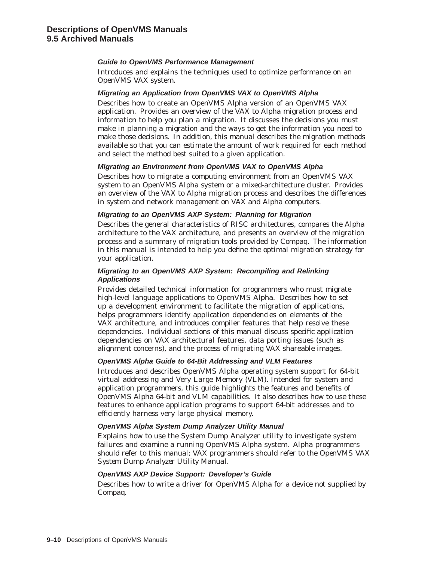#### **Guide to OpenVMS Performance Management**

Introduces and explains the techniques used to optimize performance on an OpenVMS VAX system.

#### **Migrating an Application from OpenVMS VAX to OpenVMS Alpha**

Describes how to create an OpenVMS Alpha version of an OpenVMS VAX application. Provides an overview of the VAX to Alpha migration process and information to help you plan a migration. It discusses the decisions you must make in planning a migration and the ways to get the information you need to make those decisions. In addition, this manual describes the migration methods available so that you can estimate the amount of work required for each method and select the method best suited to a given application.

#### **Migrating an Environment from OpenVMS VAX to OpenVMS Alpha**

Describes how to migrate a computing environment from an OpenVMS VAX system to an OpenVMS Alpha system or a mixed-architecture cluster. Provides an overview of the VAX to Alpha migration process and describes the differences in system and network management on VAX and Alpha computers.

#### **Migrating to an OpenVMS AXP System: Planning for Migration**

Describes the general characteristics of RISC architectures, compares the Alpha architecture to the VAX architecture, and presents an overview of the migration process and a summary of migration tools provided by Compaq. The information in this manual is intended to help you define the optimal migration strategy for your application.

#### **Migrating to an OpenVMS AXP System: Recompiling and Relinking Applications**

Provides detailed technical information for programmers who must migrate high-level language applications to OpenVMS Alpha. Describes how to set up a development environment to facilitate the migration of applications, helps programmers identify application dependencies on elements of the VAX architecture, and introduces compiler features that help resolve these dependencies. Individual sections of this manual discuss specific application dependencies on VAX architectural features, data porting issues (such as alignment concerns), and the process of migrating VAX shareable images.

#### **OpenVMS Alpha Guide to 64-Bit Addressing and VLM Features**

Introduces and describes OpenVMS Alpha operating system support for 64-bit virtual addressing and Very Large Memory (VLM). Intended for system and application programmers, this guide highlights the features and benefits of OpenVMS Alpha 64-bit and VLM capabilities. It also describes how to use these features to enhance application programs to support 64-bit addresses and to efficiently harness very large physical memory.

#### **OpenVMS Alpha System Dump Analyzer Utility Manual**

Explains how to use the System Dump Analyzer utility to investigate system failures and examine a running OpenVMS Alpha system. Alpha programmers should refer to this manual; VAX programmers should refer to the *OpenVMS VAX System Dump Analyzer Utility Manual*.

#### **OpenVMS AXP Device Support: Developer's Guide**

Describes how to write a driver for OpenVMS Alpha for a device not supplied by Compaq.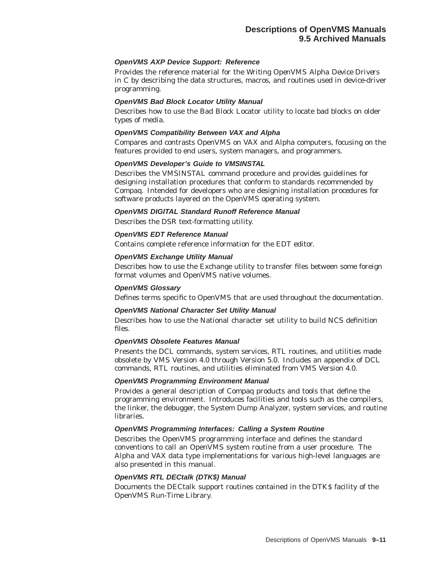#### **OpenVMS AXP Device Support: Reference**

Provides the reference material for the *Writing OpenVMS Alpha Device Drivers in C* by describing the data structures, macros, and routines used in device-driver programming.

#### **OpenVMS Bad Block Locator Utility Manual**

Describes how to use the Bad Block Locator utility to locate bad blocks on older types of media.

#### **OpenVMS Compatibility Between VAX and Alpha**

Compares and contrasts OpenVMS on VAX and Alpha computers, focusing on the features provided to end users, system managers, and programmers.

#### **OpenVMS Developer's Guide to VMSINSTAL**

Describes the VMSINSTAL command procedure and provides guidelines for designing installation procedures that conform to standards recommended by Compaq. Intended for developers who are designing installation procedures for software products layered on the OpenVMS operating system.

#### **OpenVMS DIGITAL Standard Runoff Reference Manual**

Describes the DSR text-formatting utility.

#### **OpenVMS EDT Reference Manual**

Contains complete reference information for the EDT editor.

#### **OpenVMS Exchange Utility Manual**

Describes how to use the Exchange utility to transfer files between some foreign format volumes and OpenVMS native volumes.

#### **OpenVMS Glossary**

Defines terms specific to OpenVMS that are used throughout the documentation.

#### **OpenVMS National Character Set Utility Manual**

Describes how to use the National character set utility to build NCS definition files.

#### **OpenVMS Obsolete Features Manual**

Presents the DCL commands, system services, RTL routines, and utilities made obsolete by VMS Version 4.0 through Version 5.0. Includes an appendix of DCL commands, RTL routines, and utilities eliminated from VMS Version 4.0.

#### **OpenVMS Programming Environment Manual**

Provides a general description of Compaq products and tools that define the programming environment. Introduces facilities and tools such as the compilers, the linker, the debugger, the System Dump Analyzer, system services, and routine libraries.

#### **OpenVMS Programming Interfaces: Calling a System Routine**

Describes the OpenVMS programming interface and defines the standard conventions to call an OpenVMS system routine from a user procedure. The Alpha and VAX data type implementations for various high-level languages are also presented in this manual.

#### **OpenVMS RTL DECtalk (DTK\$) Manual**

Documents the DECtalk support routines contained in the DTK\$ facility of the OpenVMS Run-Time Library.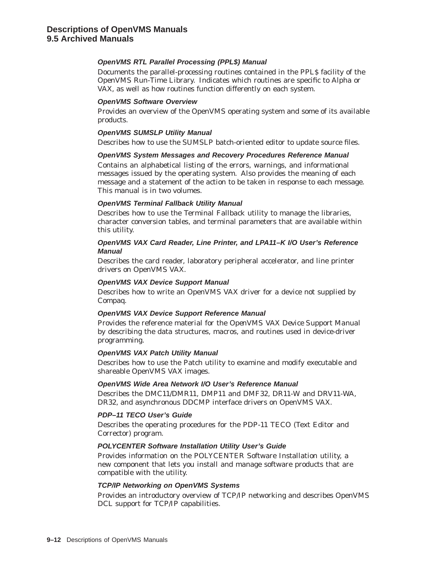#### **OpenVMS RTL Parallel Processing (PPL\$) Manual**

Documents the parallel-processing routines contained in the PPL\$ facility of the OpenVMS Run-Time Library. Indicates which routines are specific to Alpha or VAX, as well as how routines function differently on each system.

#### **OpenVMS Software Overview**

Provides an overview of the OpenVMS operating system and some of its available products.

#### **OpenVMS SUMSLP Utility Manual**

Describes how to use the SUMSLP batch-oriented editor to update source files.

#### **OpenVMS System Messages and Recovery Procedures Reference Manual**

Contains an alphabetical listing of the errors, warnings, and informational messages issued by the operating system. Also provides the meaning of each message and a statement of the action to be taken in response to each message. This manual is in two volumes.

#### **OpenVMS Terminal Fallback Utility Manual**

Describes how to use the Terminal Fallback utility to manage the libraries, character conversion tables, and terminal parameters that are available within this utility.

#### **OpenVMS VAX Card Reader, Line Printer, and LPA11–K I/O User's Reference Manual**

Describes the card reader, laboratory peripheral accelerator, and line printer drivers on OpenVMS VAX.

#### **OpenVMS VAX Device Support Manual**

Describes how to write an OpenVMS VAX driver for a device not supplied by Compaq.

#### **OpenVMS VAX Device Support Reference Manual**

Provides the reference material for the *OpenVMS VAX Device Support Manual* by describing the data structures, macros, and routines used in device-driver programming.

#### **OpenVMS VAX Patch Utility Manual**

Describes how to use the Patch utility to examine and modify executable and shareable OpenVMS VAX images.

#### **OpenVMS Wide Area Network I/O User's Reference Manual**

Describes the DMC11/DMR11, DMP11 and DMF32, DR11-W and DRV11-WA, DR32, and asynchronous DDCMP interface drivers on OpenVMS VAX.

#### **PDP–11 TECO User's Guide**

Describes the operating procedures for the PDP-11 TECO (Text Editor and Corrector) program.

#### **POLYCENTER Software Installation Utility User's Guide**

Provides information on the POLYCENTER Software Installation utility, a new component that lets you install and manage software products that are compatible with the utility.

#### **TCP/IP Networking on OpenVMS Systems**

Provides an introductory overview of TCP/IP networking and describes OpenVMS DCL support for TCP/IP capabilities.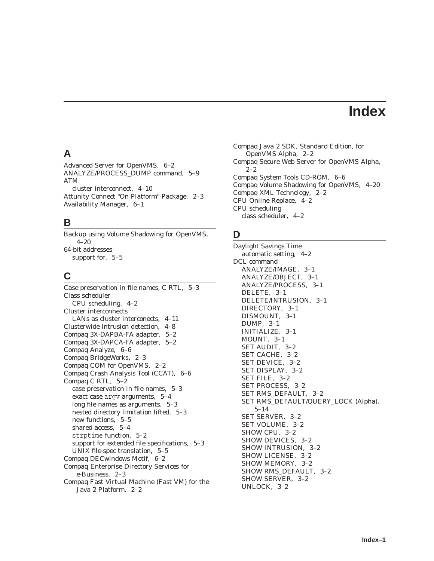# **Index**

### **A**

Advanced Server for OpenVMS, 6–2 ANALYZE/PROCESS\_DUMP command, 5–9 ATM cluster interconnect, 4–10 Attunity Connect "On Platform" Package, 2–3 Availability Manager, 6–1

### **B**

Backup using Volume Shadowing for OpenVMS,  $4 - 20$ 64-bit addresses support for, 5–5

# **C**

Case preservation in file names, C RTL, 5–3 Class scheduler CPU scheduling, 4–2 Cluster interconnects LANs as cluster interconects, 4–11 Clusterwide intrusion detection, 4–8 Compaq 3X-DAPBA-FA adapter, 5–2 Compaq 3X-DAPCA-FA adapter, 5–2 Compaq Analyze, 6–6 Compaq BridgeWorks, 2–3 Compaq COM for OpenVMS, 2–2 Compaq Crash Analysis Tool (CCAT), 6–6 Compaq C RTL, 5–2 case preservation in file names, 5–3 exact case argv arguments, 5–4 long file names as arguments, 5–3 nested directory limitation lifted, 5–3 new functions, 5–5 shared access, 5–4 strptime function, 5–2 support for extended file specifications, 5–3 UNIX file-spec translation, 5–5 Compaq DECwindows Motif, 6–2 Compaq Enterprise Directory Services for e-Business, 2–3 Compaq Fast Virtual Machine (Fast VM) for the Java 2 Platform, 2–2

Compaq Java 2 SDK, Standard Edition, for OpenVMS Alpha, 2–2 Compaq Secure Web Server for OpenVMS Alpha,  $2 - 2$ Compaq System Tools CD-ROM, 6–6 Compaq Volume Shadowing for OpenVMS, 4–20 Compaq XML Technology, 2–2 CPU Online Replace, 4–2 CPU scheduling class scheduler, 4–2

### **D**

Daylight Savings Time automatic setting, 4–2 DCL command ANALYZE/IMAGE, 3–1 ANALYZE/OBJECT, 3–1 ANALYZE/PROCESS, 3–1 DELETE, 3–1 DELETE/INTRUSION, 3–1 DIRECTORY, 3–1 DISMOUNT, 3–1 DUMP, 3–1 INITIALIZE, 3–1 MOUNT, 3–1 SET AUDIT, 3–2 SET CACHE, 3–2 SET DEVICE, 3–2 SET DISPLAY, 3–2 SET FILE, 3–2 SET PROCESS, 3–2 SET RMS\_DEFAULT, 3–2 SET RMS\_DEFAULT/QUERY\_LOCK (Alpha), 5–14 SET SERVER, 3–2 SET VOLUME, 3–2 SHOW CPU, 3–2 SHOW DEVICES, 3–2 SHOW INTRUSION, 3–2 SHOW LICENSE, 3–2 SHOW MEMORY, 3–2 SHOW RMS\_DEFAULT, 3–2 SHOW SERVER, 3–2 UNLOCK, 3–2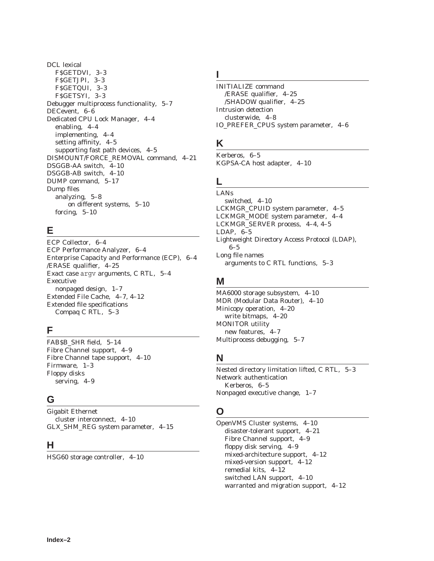DCL lexical F\$GETDVI, 3–3 F\$GETJPI, 3–3 F\$GETQUI, 3–3 F\$GETSYI, 3–3 Debugger multiprocess functionality, 5–7 DECevent, 6–6 Dedicated CPU Lock Manager, 4–4 enabling, 4–4 implementing, 4–4 setting affinity, 4–5 supporting fast path devices, 4–5 DISMOUNT/FORCE\_REMOVAL command, 4–21 DSGGB-AA switch, 4–10 DSGGB-AB switch, 4–10 DUMP command, 5–17 Dump files analyzing, 5–8 on different systems, 5–10 forcing,  $5-10$ 

# **E**

ECP Collector, 6–4 ECP Performance Analyzer, 6–4 Enterprise Capacity and Performance (ECP), 6–4 /ERASE qualifier, 4–25 Exact case argv arguments, C RTL, 5–4 Executive nonpaged design, 1–7 Extended File Cache, 4–7, 4–12 Extended file specifications Compaq C RTL, 5–3

# **F**

FAB\$B\_SHR field, 5–14 Fibre Channel support, 4–9 Fibre Channel tape support, 4–10 Firmware, 1–3 Floppy disks serving, 4–9

# **G**

Gigabit Ethernet cluster interconnect, 4–10 GLX\_SHM\_REG system parameter, 4–15

# **H**

HSG60 storage controller, 4–10

# **I**

INITIALIZE command /ERASE qualifier, 4–25 /SHADOW qualifier, 4–25 Intrusion detection clusterwide, 4–8 IO\_PREFER\_CPUS system parameter, 4–6

### **K**

Kerberos, 6–5 KGPSA-CA host adapter, 4–10

# **L**

LANs switched, 4–10 LCKMGR\_CPUID system parameter, 4–5 LCKMGR\_MODE system parameter, 4–4 LCKMGR\_SERVER process, 4–4, 4–5 LDAP, 6–5 Lightweight Directory Access Protocol (LDAP), 6–5 Long file names arguments to C RTL functions, 5–3

### **M**

MA6000 storage subsystem, 4–10 MDR (Modular Data Router), 4–10 Minicopy operation, 4–20 write bitmaps, 4–20 MONITOR utility new features, 4–7 Multiprocess debugging, 5–7

# **N**

Nested directory limitation lifted, C RTL, 5–3 Network authentication Kerberos, 6–5 Nonpaged executive change, 1–7

# **O**

OpenVMS Cluster systems, 4–10 disaster-tolerant support, 4–21 Fibre Channel support, 4–9 floppy disk serving, 4–9 mixed-architecture support, 4–12 mixed-version support, 4–12 remedial kits, 4–12 switched LAN support, 4–10 warranted and migration support, 4–12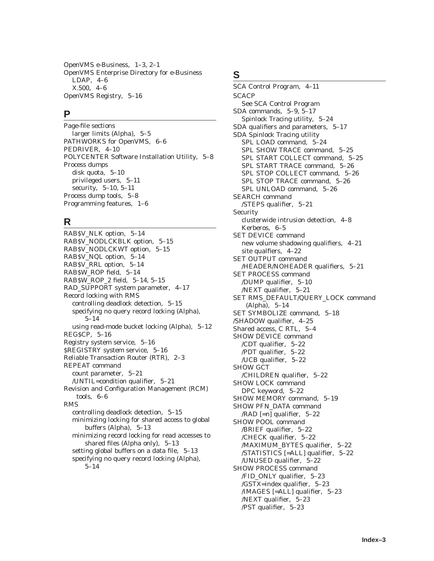OpenVMS e-Business, 1–3, 2–1 OpenVMS Enterprise Directory for e-Business LDAP, 4–6 X.500, 4–6 OpenVMS Registry, 5–16

### **P**

Page-file sections larger limits (Alpha), 5–5 PATHWORKS for OpenVMS, 6–6 PEDRIVER, 4–10 POLYCENTER Software Installation Utility, 5–8 Process dumps disk quota, 5–10 privileged users, 5–11 security, 5–10, 5–11 Process dump tools, 5–8 Programming features, 1–6

### **R**

RAB\$V\_NLK option, 5–14 RAB\$V\_NODLCKBLK option, 5–15 RAB\$V\_NODLCKWT option, 5–15 RAB\$V\_NQL option, 5–14 RAB\$V\_RRL option, 5–14 RAB\$W\_ROP field, 5–14 RAB\$W\_ROP\_2 field, 5–14, 5–15 RAD\_SUPPORT system parameter, 4–17 Record locking with RMS controlling deadlock detection, 5–15 specifying no query record locking (Alpha), 5–14 using read-mode bucket locking (Alpha), 5–12 REG\$CP, 5–16 Registry system service, 5–16 \$REGISTRY system service, 5–16 Reliable Transaction Router (RTR), 2–3 REPEAT command count parameter, 5–21 /UNTIL=condition qualifier, 5–21 Revision and Configuration Management (RCM) tools, 6–6 RMS controlling deadlock detection, 5–15 minimizing locking for shared access to global buffers (Alpha), 5–13 minimizing record locking for read accesses to shared files (Alpha only), 5–13 setting global buffers on a data file, 5–13 specifying no query record locking (Alpha),

#### 5–14

#### **S**

SCA Control Program, 4–11 SCACP See SCA Control Program SDA commands, 5–9, 5–17 Spinlock Tracing utility, 5–24 SDA qualifiers and parameters, 5–17 SDA Spinlock Tracing utility SPL LOAD command, 5–24 SPL SHOW TRACE command, 5–25 SPL START COLLECT command, 5–25 SPL START TRACE command, 5–26 SPL STOP COLLECT command, 5–26 SPL STOP TRACE command, 5–26 SPL UNLOAD command, 5–26 SEARCH command /STEPS qualifier, 5–21 Security clusterwide intrusion detection, 4–8 Kerberos, 6–5 SET DEVICE command new volume shadowing qualifiers, 4–21 site qualfiers, 4–22 SET OUTPUT command /HEADER/NOHEADER qualifiers, 5–21 SET PROCESS command /DUMP qualifier, 5–10 /NEXT qualifier, 5–21 SET RMS\_DEFAULT/QUERY\_LOCK command (Alpha), 5–14 SET SYMBOLIZE command, 5–18 /SHADOW qualifier, 4–25 Shared access, C RTL, 5–4 SHOW DEVICE command /CDT qualifier, 5–22 /PDT qualifier, 5–22 /UCB qualifier, 5–22 SHOW GCT /CHILDREN qualifier, 5–22 SHOW LOCK command DPC keyword, 5–22 SHOW MEMORY command, 5–19 SHOW PFN\_DATA command  $/$ RAD  $[-n]$  qualifier, 5–22 SHOW POOL command /BRIEF qualifier, 5–22 /CHECK qualifier, 5–22 /MAXIMUM\_BYTES qualifier, 5–22 /STATISTICS [=ALL] qualifier, 5–22 /UNUSED qualifier, 5–22 SHOW PROCESS command /FID\_ONLY qualifier, 5–23 /GSTX=index qualifier, 5–23 /IMAGES [=ALL] qualifier, 5–23 /NEXT qualifier, 5–23 /PST qualifier, 5–23